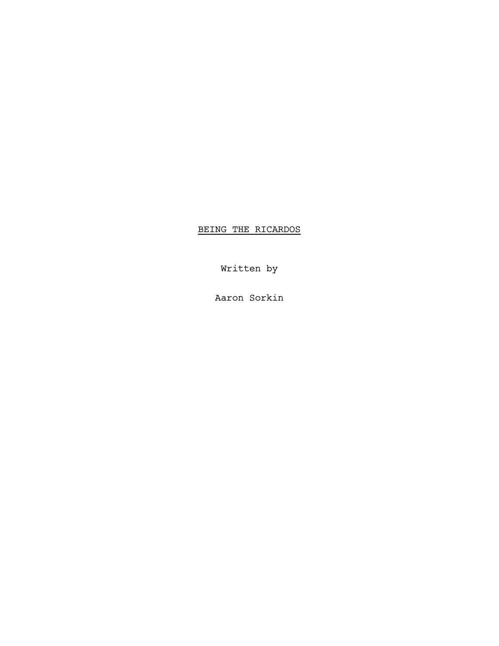BEING THE RICARDOS

Written by

Aaron Sorkin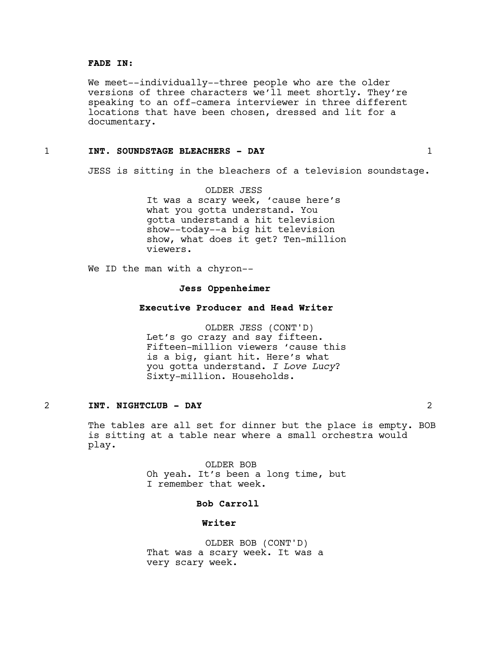## **FADE IN:**

We meet--individually--three people who are the older versions of three characters we'll meet shortly. They're speaking to an off-camera interviewer in three different locations that have been chosen, dressed and lit for a documentary.

## 1 **INT. SOUNDSTAGE BLEACHERS - DAY** 1

JESS is sitting in the bleachers of a television soundstage.

OLDER JESS It was a scary week, 'cause here's what you gotta understand. You gotta understand a hit television show--today--a big hit television show, what does it get? Ten-million viewers.

We ID the man with a chyron--

## **Jess Oppenheimer**

## **Executive Producer and Head Writer**

OLDER JESS (CONT'D) Let's go crazy and say fifteen. Fifteen-million viewers 'cause this is a big, giant hit. Here's what you gotta understand. *I Love Lucy*? Sixty-million. Households.

## 2 **INT. NIGHTCLUB - DAY** 2

The tables are all set for dinner but the place is empty. BOB is sitting at a table near where a small orchestra would play.

> OLDER BOB Oh yeah. It's been a long time, but I remember that week.

## **Bob Carroll**

## **Writer**

OLDER BOB (CONT'D) That was a scary week. It was a very scary week.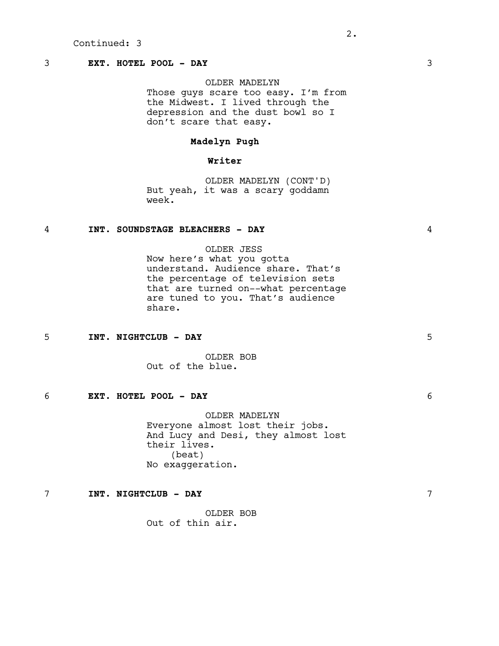# 3 **EXT. HOTEL POOL - DAY** 3

## OLDER MADELYN

Those guys scare too easy. I'm from the Midwest. I lived through the depression and the dust bowl so I don't scare that easy.

# **Madelyn Pugh**

# **Writer**

OLDER MADELYN (CONT'D) But yeah, it was a scary goddamn week.

# 4 **INT. SOUNDSTAGE BLEACHERS - DAY** 4

OLDER JESS

Now here's what you gotta understand. Audience share. That's the percentage of television sets that are turned on--what percentage are tuned to you. That's audience share.

## 5 **INT. NIGHTCLUB - DAY** 5

OLDER BOB Out of the blue.

## 6 **EXT. HOTEL POOL - DAY** 6

OLDER MADELYN Everyone almost lost their jobs. And Lucy and Desi, they almost lost their lives. (beat) No exaggeration.

## 7 **INT. NIGHTCLUB - DAY** 7

OLDER BOB Out of thin air.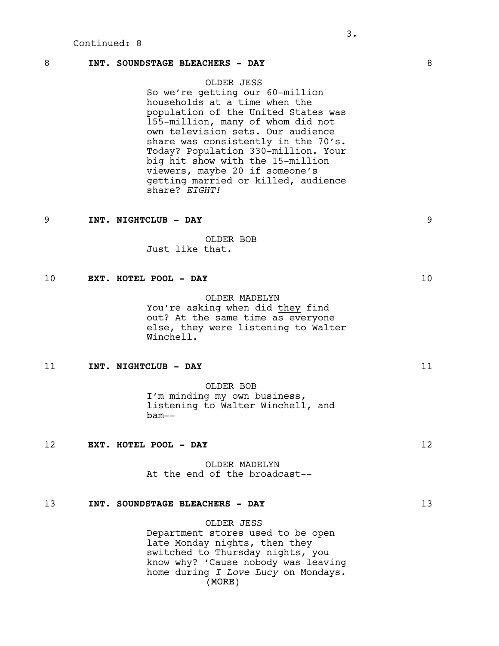## 8 **INT. SOUNDSTAGE BLEACHERS - DAY** 8

OLDER JESS So we're getting our 60-million households at a time when the population of the United States was 155-million, many of whom did not own television sets. Our audience share was consistently in the 70's. Today? Population 330-million. Your big hit show with the 15-million viewers, maybe 20 if someone's getting married or killed, audience share? *EIGHT!*

#### 9 **INT. NIGHTCLUB - DAY** 9

OLDER BOB Just like that.

## 10 **EXT. HOTEL POOL - DAY** 10

OLDER MADELYN You're asking when did they find out? At the same time as everyone else, they were listening to Walter Winchell.

## 11 **INT. NIGHTCLUB - DAY** 11

OLDER BOB I'm minding my own business, listening to Walter Winchell, and bam--

## 12 **EXT. HOTEL POOL - DAY** 12

OLDER MADELYN At the end of the broadcast--

## 13 **INT. SOUNDSTAGE BLEACHERS - DAY** 13

(MORE) OLDER JESS Department stores used to be open late Monday nights, then they switched to Thursday nights, you know why? 'Cause nobody was leaving home during *I Love Lucy* on Mondays.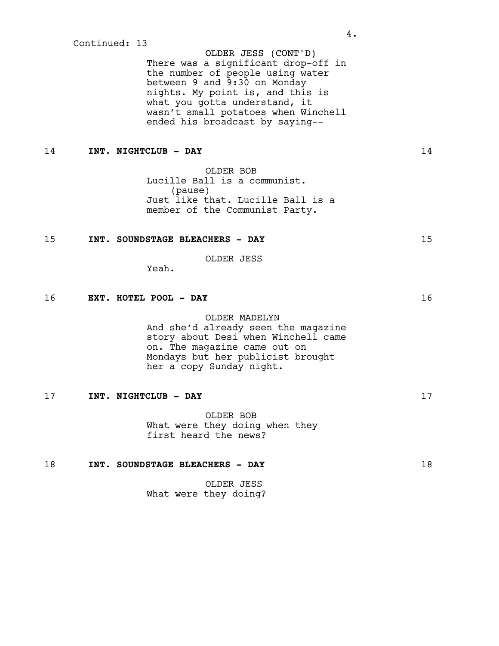OLDER JESS (CONT'D) There was a significant drop-off in the number of people using water between 9 and 9:30 on Monday nights. My point is, and this is what you gotta understand, it wasn't small potatoes when Winchell ended his broadcast by saying--

# 14 **INT. NIGHTCLUB - DAY** 14

OLDER BOB Lucille Ball is a communist. (pause) Just like that. Lucille Ball is a member of the Communist Party.

## 15 **INT. SOUNDSTAGE BLEACHERS - DAY** 15

OLDER JESS

Yeah.

# 16 **EXT. HOTEL POOL - DAY** 16

#### OLDER MADELYN

And she'd already seen the magazine story about Desi when Winchell came on. The magazine came out on Mondays but her publicist brought her a copy Sunday night.

## 17 **INT. NIGHTCLUB - DAY** 17

OLDER BOB What were they doing when they first heard the news?

# 18 **INT. SOUNDSTAGE BLEACHERS - DAY** 18

OLDER JESS What were they doing?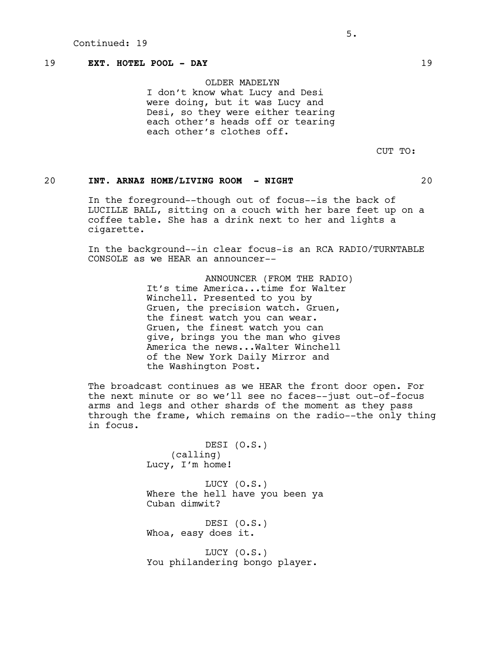# 19 **EXT. HOTEL POOL - DAY** 19

OLDER MADELYN I don't know what Lucy and Desi were doing, but it was Lucy and Desi, so they were either tearing each other's heads off or tearing each other's clothes off.

CUT TO:

# 20 **INT. ARNAZ HOME/LIVING ROOM - NIGHT** 20

In the foreground--though out of focus--is the back of LUCILLE BALL, sitting on a couch with her bare feet up on a coffee table. She has a drink next to her and lights a cigarette.

In the background--in clear focus-is an RCA RADIO/TURNTABLE CONSOLE as we HEAR an announcer--

> ANNOUNCER (FROM THE RADIO) It's time America...time for Walter Winchell. Presented to you by Gruen, the precision watch. Gruen, the finest watch you can wear. Gruen, the finest watch you can give, brings you the man who gives America the news...Walter Winchell of the New York Daily Mirror and the Washington Post.

The broadcast continues as we HEAR the front door open. For the next minute or so we'll see no faces--just out-of-focus arms and legs and other shards of the moment as they pass through the frame, which remains on the radio--the only thing in focus.

> DESI (O.S.) (calling) Lucy, I'm home!

LUCY (O.S.) Where the hell have you been ya Cuban dimwit?

DESI (O.S.) Whoa, easy does it.

LUCY (O.S.) You philandering bongo player.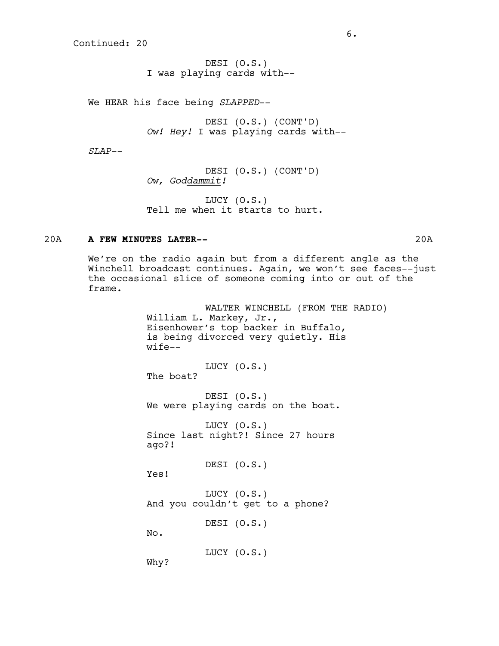DESI (O.S.) I was playing cards with--

We HEAR his face being *SLAPPED*--

DESI (O.S.) (CONT'D) *Ow! Hey!* I was playing cards with--

*SLAP--*

DESI (O.S.) (CONT'D) *Ow, Goddammit!*

LUCY (O.S.) Tell me when it starts to hurt.

## 20A **A FEW MINUTES LATER--** 20A

We're on the radio again but from a different angle as the Winchell broadcast continues. Again, we won't see faces--just the occasional slice of someone coming into or out of the frame.

> WALTER WINCHELL (FROM THE RADIO) William L. Markey, Jr., Eisenhower's top backer in Buffalo, is being divorced very quietly. His wife--

LUCY (O.S.) The boat?

DESI (O.S.) We were playing cards on the boat.

LUCY (O.S.) Since last night?! Since 27 hours ago?!

DESI (O.S.)

LUCY (O.S.) And you couldn't get to a phone?

DESI (O.S.)

No.

Yes!

LUCY (O.S.)

Why?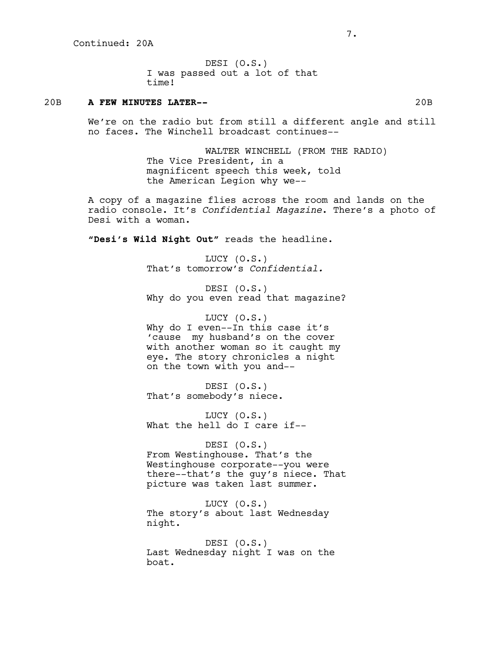DESI (O.S.) I was passed out a lot of that time!

## 20B **A FEW MINUTES LATER--** 20B

We're on the radio but from still a different angle and still no faces. The Winchell broadcast continues--

> WALTER WINCHELL (FROM THE RADIO) The Vice President, in a magnificent speech this week, told the American Legion why we--

A copy of a magazine flies across the room and lands on the radio console. It's *Confidential Magazine*. There's a photo of Desi with a woman.

**"Desi's Wild Night Out"** reads the headline.

LUCY (O.S.) That's tomorrow's *Confidential.*

DESI (O.S.) Why do you even read that magazine?

LUCY (O.S.) Why do I even--In this case it's 'cause my husband's on the cover with another woman so it caught my eye. The story chronicles a night on the town with you and--

DESI (O.S.) That's somebody's niece.

LUCY (O.S.) What the hell do I care if--

DESI (O.S.) From Westinghouse. That's the Westinghouse corporate--you were there--that's the guy's niece. That picture was taken last summer.

LUCY (O.S.) The story's about last Wednesday night.

DESI (O.S.) Last Wednesday night I was on the boat.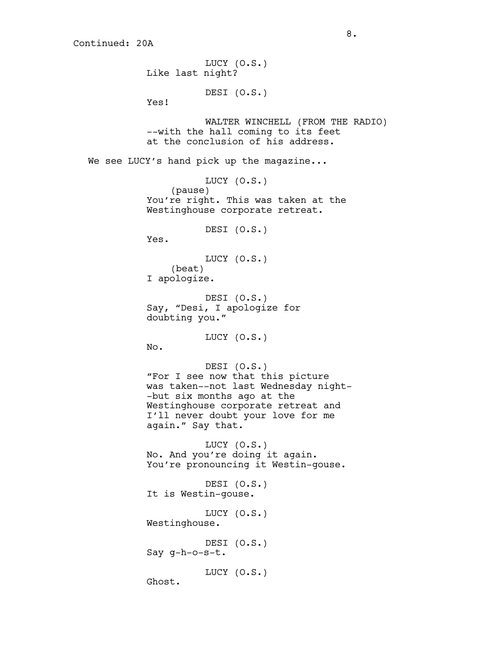LUCY (O.S.) Like last night? DESI (O.S.) Yes! WALTER WINCHELL (FROM THE RADIO) --with the hall coming to its feet at the conclusion of his address. We see LUCY's hand pick up the magazine... LUCY (O.S.) (pause) You're right. This was taken at the Westinghouse corporate retreat. DESI (O.S.) Yes. LUCY (O.S.) (beat) I apologize. DESI (O.S.) Say, "Desi, I apologize for doubting you." LUCY (O.S.) No. DESI (O.S.) "For I see now that this picture was taken--not last Wednesday night- -but six months ago at the Westinghouse corporate retreat and I'll never doubt your love for me again." Say that. LUCY (O.S.) No. And you're doing it again. You're pronouncing it Westin-gouse. DESI (O.S.) It is Westin-gouse. LUCY (O.S.) Westinghouse. DESI (O.S.) Say g-h-o-s-t. LUCY (O.S.) Ghost.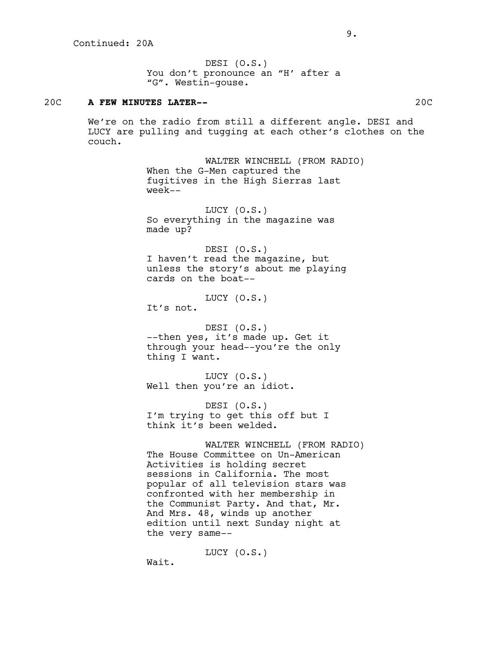DESI (O.S.) You don't pronounce an "H' after a "G". Westin-gouse.

## 20C **A FEW MINUTES LATER--** 20C

We're on the radio from still a different angle. DESI and LUCY are pulling and tugging at each other's clothes on the couch.

> WALTER WINCHELL (FROM RADIO) When the G-Men captured the fugitives in the High Sierras last week--

LUCY (O.S.) So everything in the magazine was made up?

DESI (O.S.) I haven't read the magazine, but unless the story's about me playing cards on the boat--

LUCY (O.S.) It's not.

DESI (O.S.) --then yes, it's made up. Get it through your head--you're the only thing I want.

LUCY (O.S.) Well then you're an idiot.

DESI (O.S.) I'm trying to get this off but I think it's been welded.

WALTER WINCHELL (FROM RADIO) The House Committee on Un-American Activities is holding secret sessions in California. The most popular of all television stars was confronted with her membership in the Communist Party. And that, Mr. And Mrs. 48, winds up another edition until next Sunday night at the very same--

LUCY (O.S.)

Wait.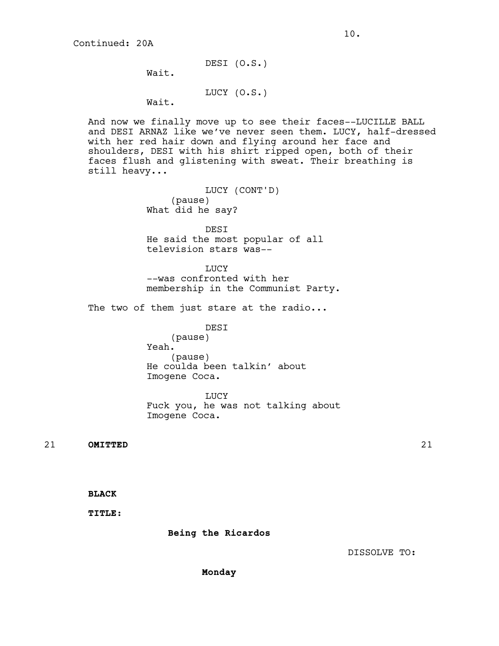DESI (O.S.)

Wait.

LUCY (O.S.)

Wait.

And now we finally move up to see their faces--LUCILLE BALL and DESI ARNAZ like we've never seen them. LUCY, half-dressed with her red hair down and flying around her face and shoulders, DESI with his shirt ripped open, both of their faces flush and glistening with sweat. Their breathing is still heavy...

> LUCY (CONT'D) (pause) What did he say?

DESI He said the most popular of all television stars was--

LUCY --was confronted with her membership in the Communist Party.

The two of them just stare at the radio...

DESI

(pause) Yeah. (pause) He coulda been talkin' about Imogene Coca.

LUCY Fuck you, he was not talking about Imogene Coca.

21 **OMITTED** 21

**BLACK**

**TITLE:**

 **Being the Ricardos**

DISSOLVE TO:

**Monday**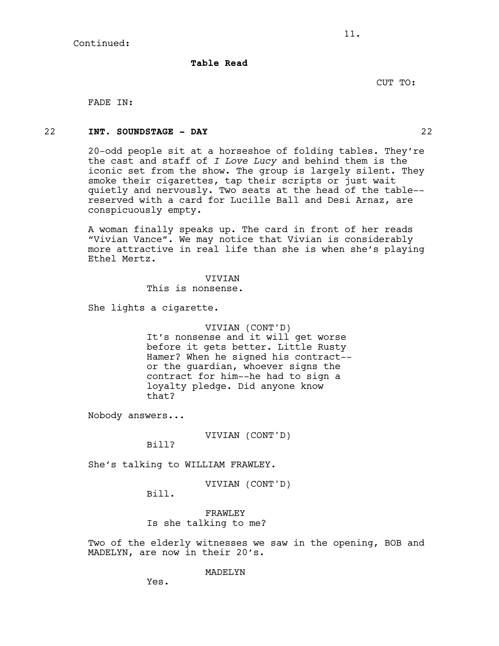**Table Read**

CUT TO:

FADE IN:

## 22 **INT. SOUNDSTAGE - DAY** 22

20-odd people sit at a horseshoe of folding tables. They're the cast and staff of *I Love Lucy* and behind them is the iconic set from the show. The group is largely silent. They smoke their cigarettes, tap their scripts or just wait quietly and nervously. Two seats at the head of the table- reserved with a card for Lucille Ball and Desi Arnaz, are conspicuously empty.

11.

A woman finally speaks up. The card in front of her reads "Vivian Vance". We may notice that Vivian is considerably more attractive in real life than she is when she's playing Ethel Mertz.

**VIVIAN** 

This is nonsense.

She lights a cigarette.

VIVIAN (CONT'D) It's nonsense and it will get worse before it gets better. Little Rusty Hamer? When he signed his contract- or the guardian, whoever signs the contract for him--he had to sign a loyalty pledge. Did anyone know that?

Nobody answers...

VIVIAN (CONT'D)

Bill?

She's talking to WILLIAM FRAWLEY.

VIVIAN (CONT'D)

Bill.

FRAWLEY Is she talking to me?

Two of the elderly witnesses we saw in the opening, BOB and MADELYN, are now in their 20's.

MADELYN

Yes.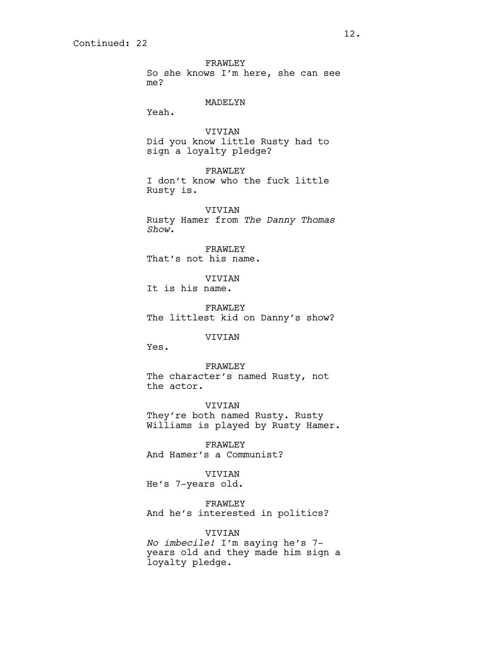FRAWLEY So she knows I'm here, she can see me?

MADELYN

Yeah.

VIVIAN Did you know little Rusty had to sign a loyalty pledge?

FRAWLEY I don't know who the fuck little Rusty is.

VIVIAN Rusty Hamer from *The Danny Thomas Show*.

FRAWLEY That's not his name.

VIVIAN It is his name.

FRAWLEY The littlest kid on Danny's show?

VIVIAN

Yes.

FRAWLEY The character's named Rusty, not the actor.

VIVIAN They're both named Rusty. Rusty Williams is played by Rusty Hamer.

FRAWLEY And Hamer's a Communist?

VIVIAN

He's 7-years old.

FRAWLEY And he's interested in politics?

VIVIAN *No imbecile!* I'm saying he's 7 years old and they made him sign a loyalty pledge.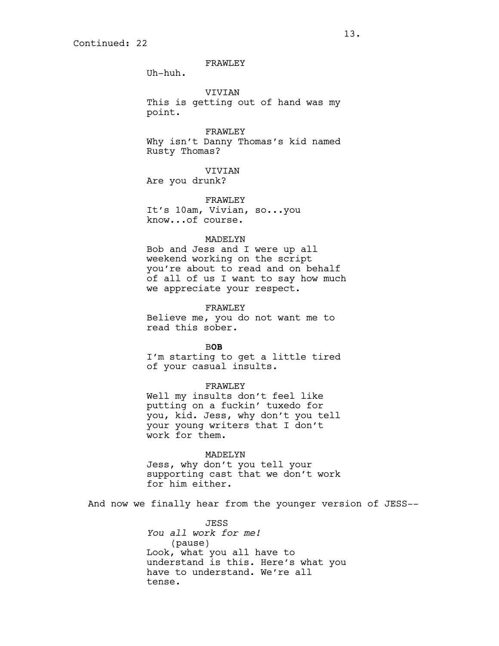# FRAWLEY

Uh-huh.

VIVIAN

This is getting out of hand was my point.

FRAWLEY Why isn't Danny Thomas's kid named Rusty Thomas?

VIVIAN

Are you drunk?

FRAWLEY It's 10am, Vivian, so...you know...of course.

#### MADELYN

Bob and Jess and I were up all weekend working on the script you're about to read and on behalf of all of us I want to say how much we appreciate your respect.

FRAWLEY

Believe me, you do not want me to read this sober.

B**OB**

I'm starting to get a little tired of your casual insults.

## FRAWLEY

Well my insults don't feel like putting on a fuckin' tuxedo for you, kid. Jess, why don't you tell your young writers that I don't work for them.

#### MADELYN

Jess, why don't you tell your supporting cast that we don't work for him either.

And now we finally hear from the younger version of JESS--

JESS *You all work for me!* (pause) Look, what you all have to understand is this. Here's what you have to understand. We're all tense.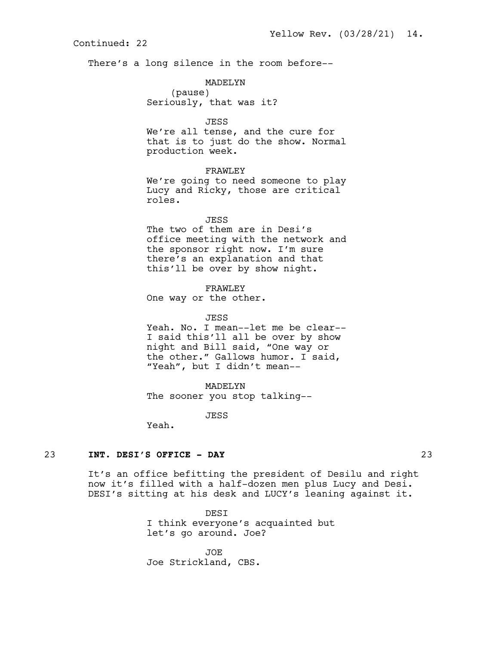There's a long silence in the room before--

# MADELYN

(pause) Seriously, that was it?

JESS

We're all tense, and the cure for that is to just do the show. Normal production week.

## FRAWLEY

We're going to need someone to play Lucy and Ricky, those are critical roles.

## JESS

The two of them are in Desi's office meeting with the network and the sponsor right now. I'm sure there's an explanation and that this'll be over by show night.

#### FRAWLEY

One way or the other.

#### JESS

Yeah. No. I mean--let me be clear-- I said this'll all be over by show night and Bill said, "One way or the other." Gallows humor. I said, "Yeah", but I didn't mean--

### MADELYN

The sooner you stop talking--

JESS

Yeah.

## 23 **INT. DESI'S OFFICE - DAY** 23

It's an office befitting the president of Desilu and right now it's filled with a half-dozen men plus Lucy and Desi. DESI's sitting at his desk and LUCY's leaning against it.

> DESI I think everyone's acquainted but let's go around. Joe?

JOE Joe Strickland, CBS.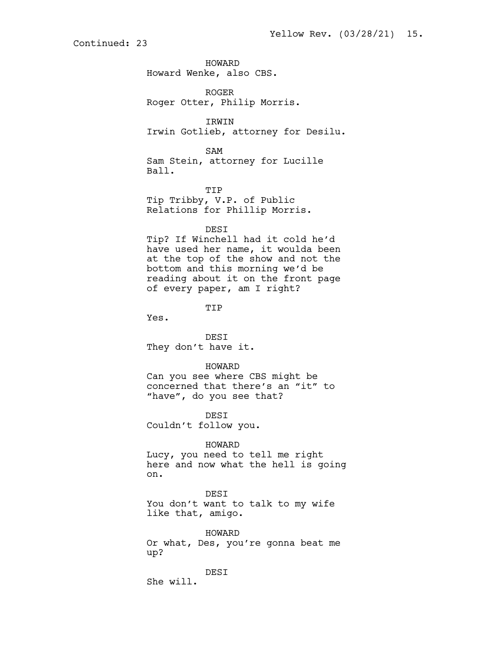HOWARD Howard Wenke, also CBS.

ROGER Roger Otter, Philip Morris.

IRWIN Irwin Gotlieb, attorney for Desilu.

SAM Sam Stein, attorney for Lucille Ball.

TIP Tip Tribby, V.P. of Public Relations for Phillip Morris.

### DESI

Tip? If Winchell had it cold he'd have used her name, it woulda been at the top of the show and not the bottom and this morning we'd be reading about it on the front page of every paper, am I right?

TIP

Yes.

DESI They don't have it.

### HOWARD

Can you see where CBS might be concerned that there's an "it" to "have", do you see that?

DESI Couldn't follow you.

#### HOWARD

Lucy, you need to tell me right here and now what the hell is going on.

DESI You don't want to talk to my wife like that, amigo.

HOWARD Or what, Des, you're gonna beat me up?

DESI She will.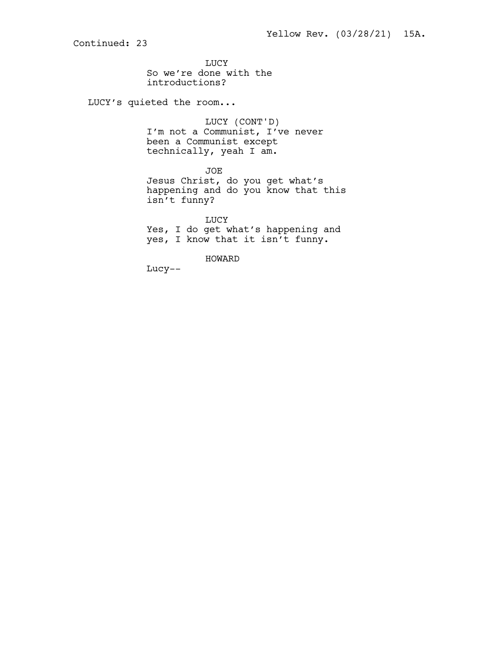LUCY So we're done with the introductions?

LUCY's quieted the room...

LUCY (CONT'D) I'm not a Communist, I've never been a Communist except technically, yeah I am.

JOE Jesus Christ, do you get what's happening and do you know that this isn't funny?

LUCY Yes, I do get what's happening and yes, I know that it isn't funny.

HOWARD

Lucy--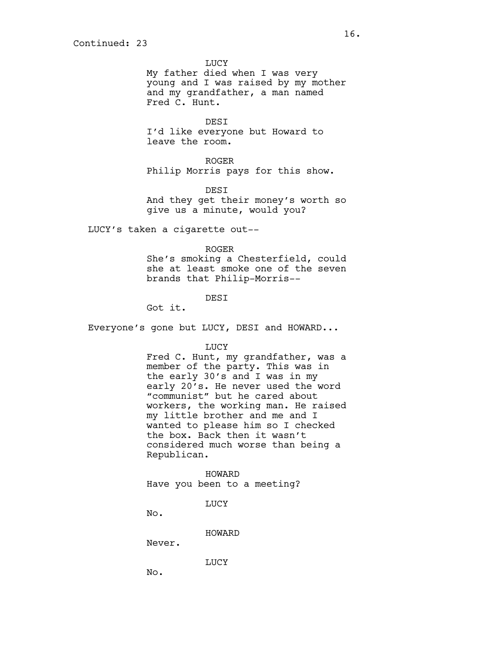LUCY

My father died when I was very young and I was raised by my mother and my grandfather, a man named Fred C. Hunt.

DESI I'd like everyone but Howard to leave the room.

ROGER Philip Morris pays for this show.

DESI And they get their money's worth so give us a minute, would you?

LUCY's taken a cigarette out--

#### ROGER

She's smoking a Chesterfield, could she at least smoke one of the seven brands that Philip-Morris--

**DEST** 

Got it.

Everyone's gone but LUCY, DESI and HOWARD...

LUCY

Fred C. Hunt, my grandfather, was a member of the party. This was in the early 30's and I was in my early 20's. He never used the word "communist" but he cared about workers, the working man. He raised my little brother and me and I wanted to please him so I checked the box. Back then it wasn't considered much worse than being a Republican.

HOWARD Have you been to a meeting?

LUCY

No.

HOWARD

Never.

LUCY

No.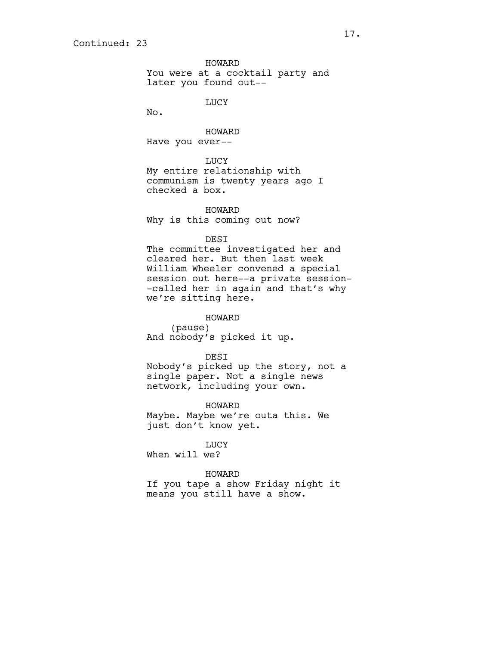HOWARD You were at a cocktail party and later you found out--

LUCY

No.

HOWARD Have you ever--

LUCY My entire relationship with communism is twenty years ago I checked a box.

HOWARD Why is this coming out now?

#### DESI

The committee investigated her and cleared her. But then last week William Wheeler convened a special session out here--a private session- -called her in again and that's why we're sitting here.

HOWARD (pause) And nobody's picked it up.

DESI Nobody's picked up the story, not a single paper. Not a single news network, including your own.

HOWARD Maybe. Maybe we're outa this. We just don't know yet.

LUCY When will we?

HOWARD If you tape a show Friday night it means you still have a show.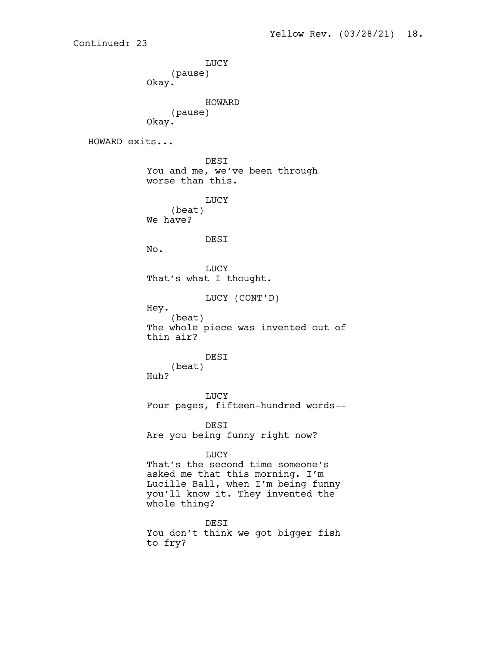LUCY (pause) Okay. HOWARD (pause) Okay. HOWARD exits... DESI You and me, we've been through worse than this. LUCY (beat) We have? DESI No. LUCY That's what I thought. LUCY (CONT'D) Hey. (beat) The whole piece was invented out of thin air? DESI (beat) Huh? LUCY Four pages, fifteen-hundred words-- DESI Are you being funny right now? LUCY That's the second time someone's asked me that this morning. I'm Lucille Ball, when I'm being funny you'll know it. They invented the whole thing? DESI You don't think we got bigger fish

Continued: 23

to fry?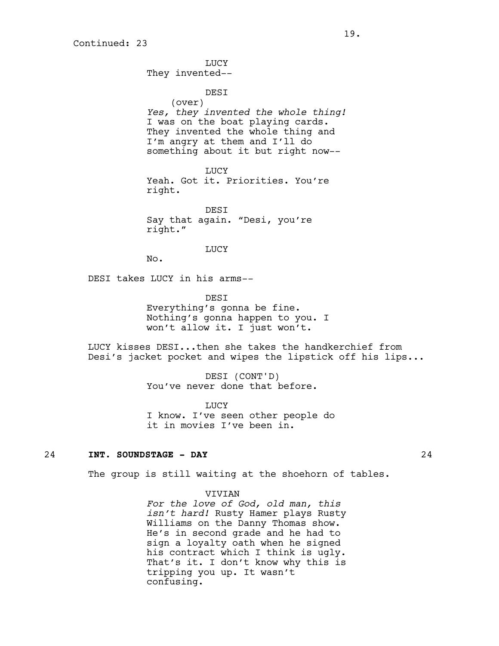LUCY They invented--

DESI (over) *Yes, they invented the whole thing!*  I was on the boat playing cards. They invented the whole thing and I'm angry at them and I'll do something about it but right now--

LUCY Yeah. Got it. Priorities. You're right.

DESI Say that again. "Desi, you're right."

LUCY

No.

DESI takes LUCY in his arms--

**DEST** 

Everything's gonna be fine. Nothing's gonna happen to you. I won't allow it. I just won't.

LUCY kisses DESI...then she takes the handkerchief from Desi's jacket pocket and wipes the lipstick off his lips...

> DESI (CONT'D) You've never done that before.

**TJUCY** I know. I've seen other people do it in movies I've been in.

## 24 **INT. SOUNDSTAGE - DAY** 24

The group is still waiting at the shoehorn of tables.

#### VIVIAN

*For the love of God, old man, this isn't hard!* Rusty Hamer plays Rusty Williams on the Danny Thomas show. He's in second grade and he had to sign a loyalty oath when he signed his contract which I think is ugly. That's it. I don't know why this is tripping you up. It wasn't confusing.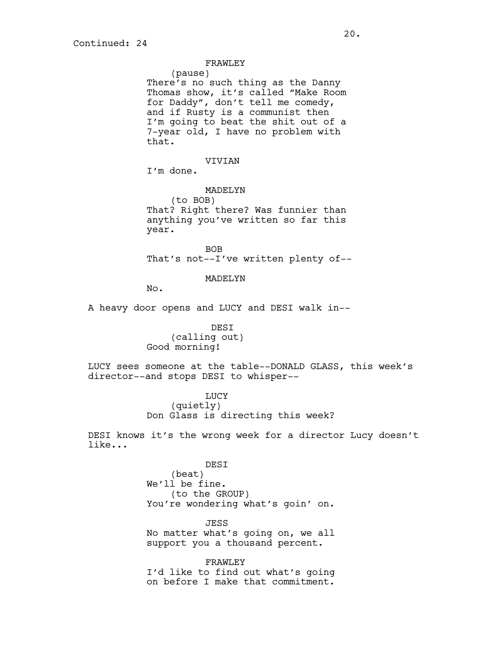FRAWLEY

(pause) There's no such thing as the Danny Thomas show, it's called "Make Room for Daddy", don't tell me comedy, and if Rusty is a communist then I'm going to beat the shit out of a 7-year old, I have no problem with that.

VIVIAN

I'm done.

MADELYN (to BOB) That? Right there? Was funnier than anything you've written so far this year.

BOB That's not--I've written plenty of--

MADELYN

No.

A heavy door opens and LUCY and DESI walk in--

 DESI (calling out) Good morning!

LUCY sees someone at the table--DONALD GLASS, this week's director--and stops DESI to whisper--

> LUCY (quietly) Don Glass is directing this week?

DESI knows it's the wrong week for a director Lucy doesn't like...

> DESI (beat) We'll be fine. (to the GROUP) You're wondering what's goin' on.

JESS No matter what's going on, we all support you a thousand percent.

FRAWLEY I'd like to find out what's going on before I make that commitment.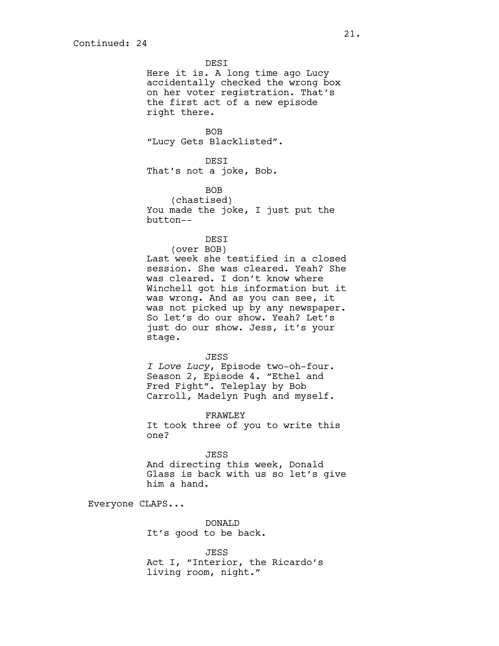DESI Here it is. A long time ago Lucy accidentally checked the wrong box on her voter registration. That's the first act of a new episode right there.

BOB "Lucy Gets Blacklisted".

DESI That's not a joke, Bob.

BOB (chastised) You made the joke, I just put the button--

DESI (over BOB) Last week she testified in a closed session. She was cleared. Yeah? She was cleared. I don't know where Winchell got his information but it was wrong. And as you can see, it was not picked up by any newspaper. So let's do our show. Yeah? Let's just do our show. Jess, it's your

JESS *I Love Lucy*, Episode two-oh-four. Season 2, Episode 4. "Ethel and Fred Fight". Teleplay by Bob Carroll, Madelyn Pugh and myself.

FRAWLEY It took three of you to write this one?

JESS And directing this week, Donald Glass is back with us so let's give him a hand.

Everyone CLAPS...

stage.

DONALD It's good to be back.

JESS Act I, "Interior, the Ricardo's living room, night."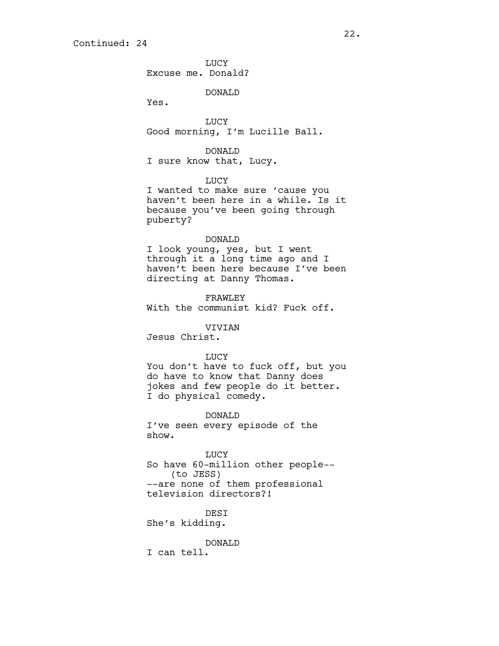**TJUCY** Excuse me. Donald?

DONALD

Yes.

LUCY Good morning, I'm Lucille Ball.

DONALD

I sure know that, Lucy.

LUCY

I wanted to make sure 'cause you haven't been here in a while. Is it because you've been going through puberty?

#### DONALD

I look young, yes, but I went through it a long time ago and I haven't been here because I've been directing at Danny Thomas.

FRAWLEY With the communist kid? Fuck off.

## VIVIAN

Jesus Christ.

#### LUCY

You don't have to fuck off, but you do have to know that Danny does jokes and few people do it better. I do physical comedy.

DONALD I've seen every episode of the show.

LUCY So have 60-million other people-- (to JESS) --are none of them professional television directors?!

DESI She's kidding.

DONALD

I can tell.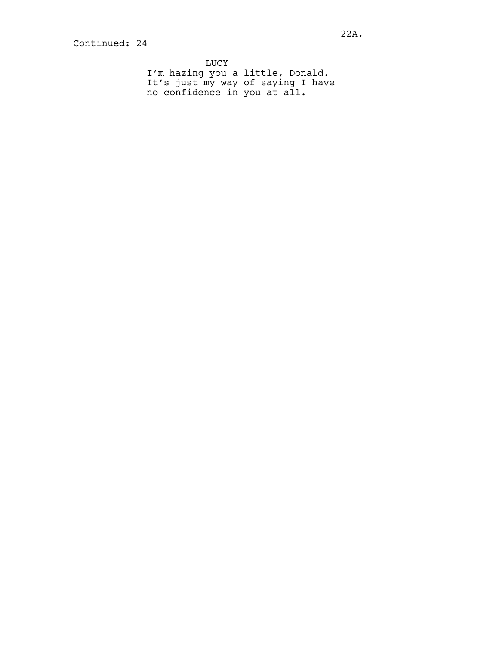LUCY I'm hazing you a little, Donald. It's just my way of saying I have no confidence in you at all.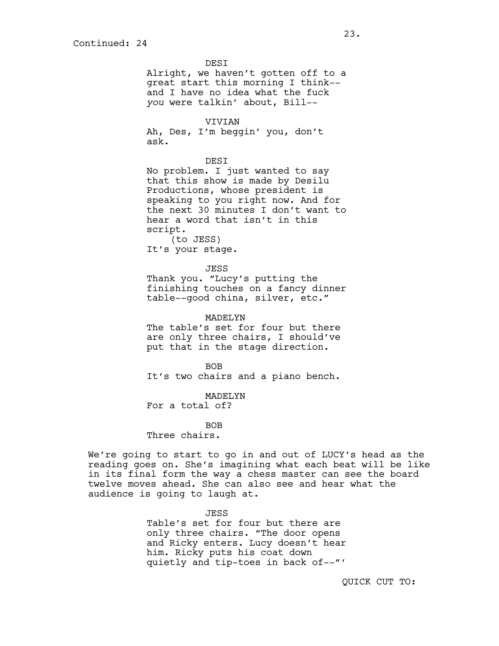**DEST** Alright, we haven't gotten off to a great start this morning I think- and I have no idea what the fuck *you* were talkin' about, Bill--

VIVIAN Ah, Des, I'm beggin' you, don't ask.

#### DESI

No problem. I just wanted to say that this show is made by Desilu Productions, whose president is speaking to you right now. And for the next 30 minutes I don't want to hear a word that isn't in this script. (to JESS)

It's your stage.

#### JESS

Thank you. "Lucy's putting the finishing touches on a fancy dinner table--good china, silver, etc."

MADELYN The table's set for four but there are only three chairs, I should've put that in the stage direction.

BOB It's two chairs and a piano bench.

MADELYN For a total of?

BOB

Three chairs.

We're going to start to go in and out of LUCY's head as the reading goes on. She's imagining what each beat will be like in its final form the way a chess master can see the board twelve moves ahead. She can also see and hear what the audience is going to laugh at.

> JESS Table's set for four but there are only three chairs. "The door opens and Ricky enters. Lucy doesn't hear him. Ricky puts his coat down quietly and tip-toes in back of--"'

QUICK CUT TO: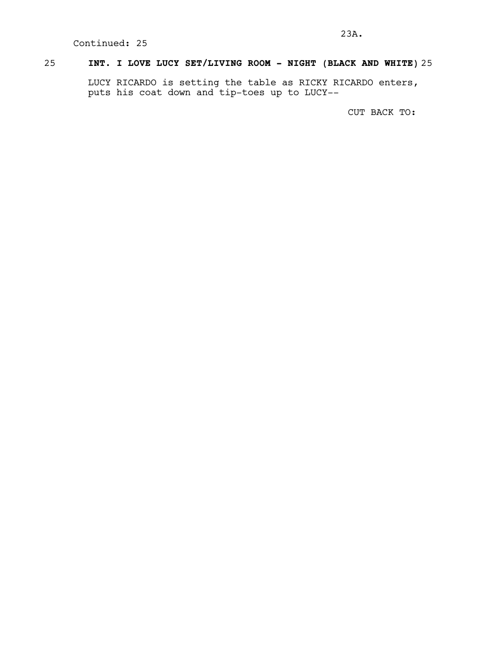# 25 **INT. I LOVE LUCY SET/LIVING ROOM - NIGHT (BLACK AND WHITE)** 25

LUCY RICARDO is setting the table as RICKY RICARDO enters, puts his coat down and tip-toes up to LUCY--

CUT BACK TO: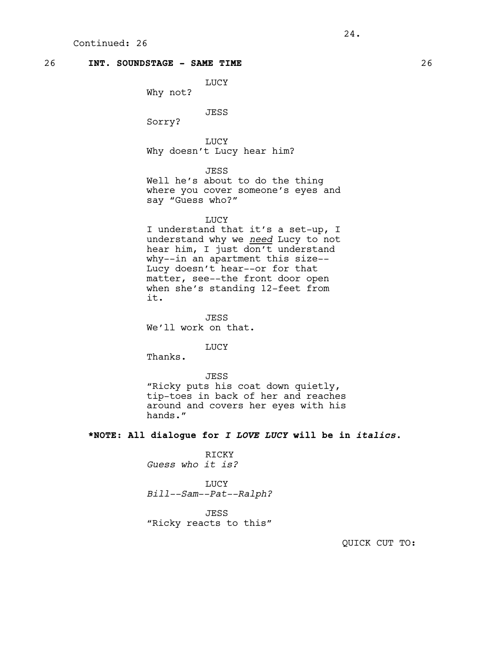## 26 **INT. SOUNDSTAGE - SAME TIME** 26

LUCY

Why not?

JESS

Sorry?

LUCY Why doesn't Lucy hear him?

JESS

Well he's about to do the thing where you cover someone's eyes and say "Guess who?"

## LUCY

I understand that it's a set-up, I understand why we *need* Lucy to not hear him, I just don't understand why--in an apartment this size-- Lucy doesn't hear--or for that matter, see--the front door open when she's standing 12-feet from it.

JESS We'll work on that.

**LUCY** 

Thanks.

# JESS

"Ricky puts his coat down quietly, tip-toes in back of her and reaches around and covers her eyes with his hands."

**\*NOTE: All dialogue for** *I LOVE LUCY* **will be in** *italics***.**

RICKY *Guess who it is?*

LUCY *Bill--Sam--Pat--Ralph?*

JESS "Ricky reacts to this"

QUICK CUT TO: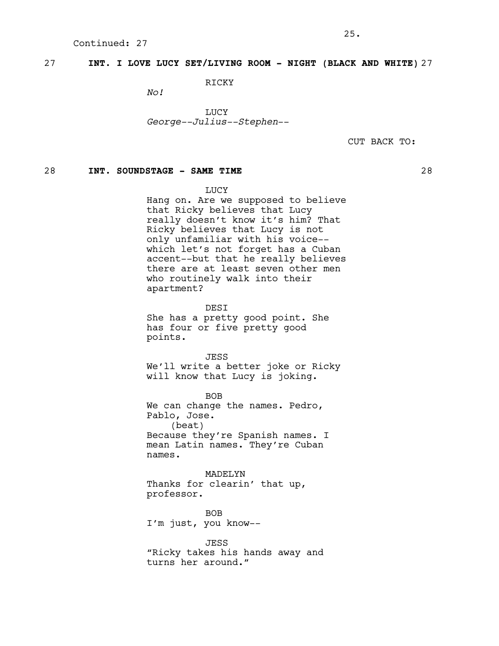# 27 **INT. I LOVE LUCY SET/LIVING ROOM - NIGHT (BLACK AND WHITE)** 27

RICKY

*No!*

LUCY *George--Julius--Stephen*--

CUT BACK TO:

# 28 **INT. SOUNDSTAGE - SAME TIME** 28

LUCY

Hang on. Are we supposed to believe that Ricky believes that Lucy really doesn't know it's him? That Ricky believes that Lucy is not only unfamiliar with his voice- which let's not forget has a Cuban accent--but that he really believes there are at least seven other men who routinely walk into their apartment?

DESI She has a pretty good point. She has four or five pretty good points.

JESS We'll write a better joke or Ricky will know that Lucy is joking.

BOB We can change the names. Pedro, Pablo, Jose. (beat) Because they're Spanish names. I mean Latin names. They're Cuban names.

MADELYN Thanks for clearin' that up, professor.

BOB I'm just, you know--

JESS "Ricky takes his hands away and turns her around."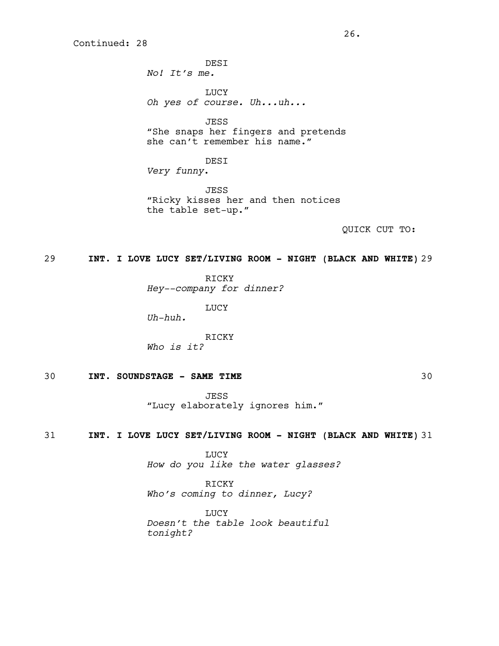**DEST** *No! It's me.* LUCY *Oh yes of course. Uh...uh...* JESS "She snaps her fingers and pretends she can't remember his name."

DESI *Very funny*.

**JESS** "Ricky kisses her and then notices the table set-up."

QUICK CUT TO:

## 29 **INT. I LOVE LUCY SET/LIVING ROOM - NIGHT (BLACK AND WHITE)** 29

RICKY

*Hey--company for dinner?*

LUCY

*Uh-huh.*

RICKY *Who is it?*

# 30 **INT. SOUNDSTAGE - SAME TIME** 30

JESS "Lucy elaborately ignores him."

## 31 **INT. I LOVE LUCY SET/LIVING ROOM - NIGHT (BLACK AND WHITE)** 31

LUCY *How do you like the water glasses?*

RICKY *Who's coming to dinner, Lucy?*

**LUCY** *Doesn't the table look beautiful tonight?*

26.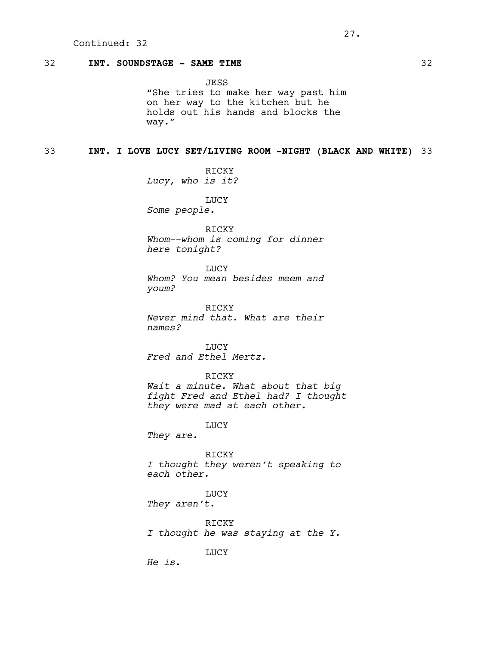# 32 **INT. SOUNDSTAGE - SAME TIME** 32

JESS "She tries to make her way past him on her way to the kitchen but he holds out his hands and blocks the way."

## 33 **INT. I LOVE LUCY SET/LIVING ROOM -NIGHT (BLACK AND WHITE)** 33

RICKY *Lucy, who is it?*

LUCY *Some people.*

RICKY

*Whom--whom is coming for dinner here tonight?*

LUCY *Whom? You mean besides meem and youm?*

RICKY *Never mind that. What are their names?*

LUCY *Fred and Ethel Mertz.*

RICKY

*Wait a minute. What about that big fight Fred and Ethel had? I thought they were mad at each other.*

LUCY

*They are.*

RICKY *I thought they weren't speaking to each other.*

LUCY *They aren't.*

RICKY *I thought he was staying at the Y.*

LUCY

*He is*.

27.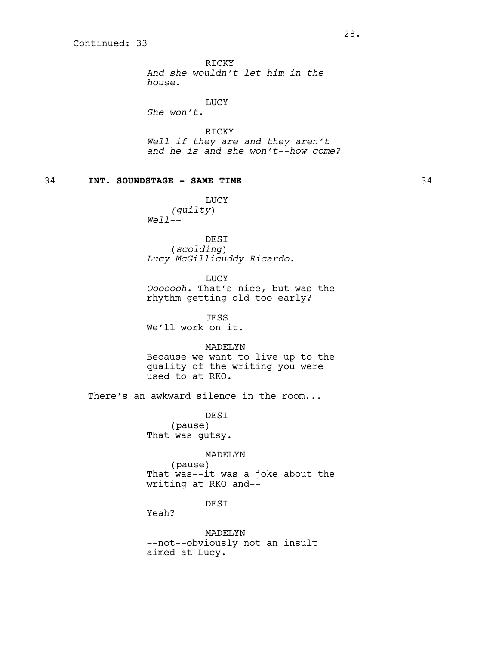RICKY *And she wouldn't let him in the house.*

LUCY

*She won't.*

RICKY *Well if they are and they aren't and he is and she won't--how come?*

# 34 **INT. SOUNDSTAGE - SAME TIME** 34

LUCY *(guilty*) *Well--*

DESI (*scolding*) *Lucy McGillicuddy Ricardo.*

LUCY *Ooooooh.* That's nice, but was the rhythm getting old too early?

JESS We'll work on it.

MADELYN Because we want to live up to the

quality of the writing you were used to at RKO.

There's an awkward silence in the room...

DESI (pause) That was gutsy.

#### MADELYN

(pause) That was--it was a joke about the writing at RKO and--

## DESI

Yeah?

MADELYN --not--obviously not an insult aimed at Lucy.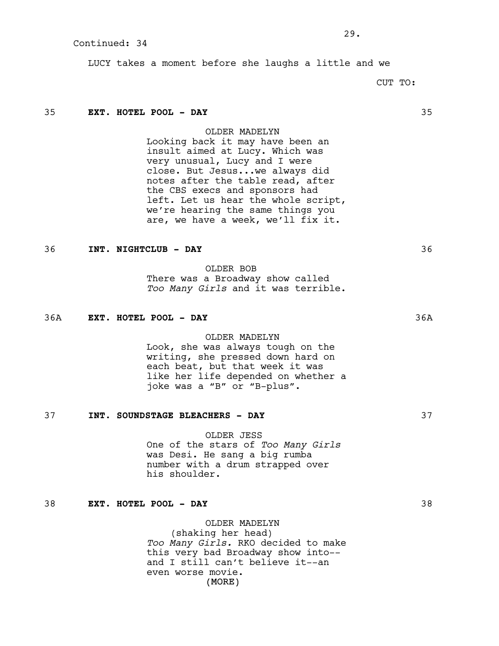LUCY takes a moment before she laughs a little and we

 $29.$ 

CUT TO:

## 35 **EXT. HOTEL POOL - DAY** 35

OLDER MADELYN

Looking back it may have been an insult aimed at Lucy. Which was very unusual, Lucy and I were close. But Jesus...we always did notes after the table read, after the CBS execs and sponsors had left. Let us hear the whole script, we're hearing the same things you are, we have a week, we'll fix it.

# 36 **INT. NIGHTCLUB - DAY** 36

OLDER BOB There was a Broadway show called *Too Many Girls* and it was terrible.

#### 36A **EXT. HOTEL POOL - DAY** 36A

## OLDER MADELYN

Look, she was always tough on the writing, she pressed down hard on each beat, but that week it was like her life depended on whether a joke was a "B" or "B-plus".

#### 37 **INT. SOUNDSTAGE BLEACHERS - DAY** 37

OLDER JESS One of the stars of *Too Many Girls* was Desi. He sang a big rumba number with a drum strapped over his shoulder.

## 38 **EXT. HOTEL POOL - DAY** 38

(MORE) OLDER MADELYN (shaking her head) *Too Many Girls.* RKO decided to make this very bad Broadway show into- and I still can't believe it--an even worse movie.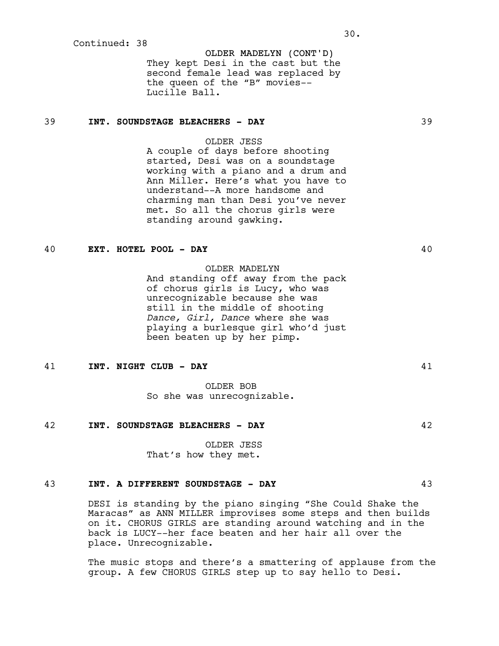OLDER MADELYN (CONT'D) They kept Desi in the cast but the second female lead was replaced by the queen of the "B" movies-- Lucille Ball.

# 39 **INT. SOUNDSTAGE BLEACHERS - DAY** 39

## OLDER JESS

A couple of days before shooting started, Desi was on a soundstage working with a piano and a drum and Ann Miller. Here's what you have to understand--A more handsome and charming man than Desi you've never met. So all the chorus girls were standing around gawking.

## 40 **EXT. HOTEL POOL - DAY** 40

## OLDER MADELYN

And standing off away from the pack of chorus girls is Lucy, who was unrecognizable because she was still in the middle of shooting *Dance, Girl, Dance* where she was playing a burlesque girl who'd just been beaten up by her pimp.

### 41 **INT. NIGHT CLUB - DAY** 41

OLDER BOB So she was unrecognizable.

#### 42 **INT. SOUNDSTAGE BLEACHERS - DAY** 42

OLDER JESS That's how they met.

# 43 **INT. A DIFFERENT SOUNDSTAGE - DAY** 43

DESI is standing by the piano singing "She Could Shake the Maracas" as ANN MILLER improvises some steps and then builds on it. CHORUS GIRLS are standing around watching and in the back is LUCY--her face beaten and her hair all over the place. Unrecognizable.

The music stops and there's a smattering of applause from the group. A few CHORUS GIRLS step up to say hello to Desi.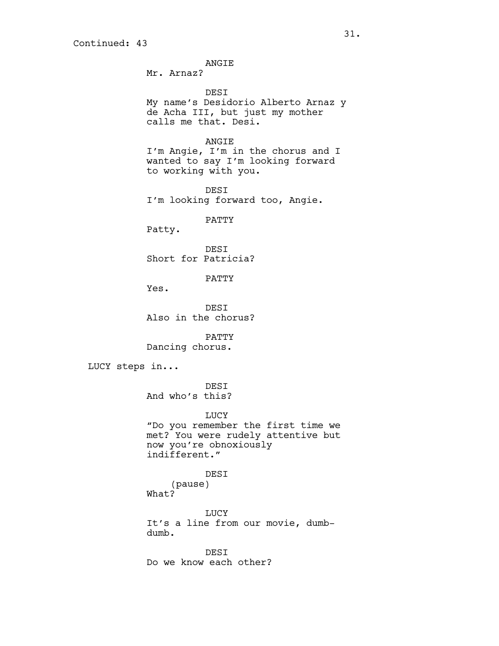ANGIE

Mr. Arnaz?

DESI My name's Desidorio Alberto Arnaz y de Acha III, but just my mother calls me that. Desi.

ANGIE

I'm Angie, I'm in the chorus and I wanted to say I'm looking forward to working with you.

DESI I'm looking forward too, Angie.

PATTY

Patty.

DESI Short for Patricia?

PATTY

Yes.

DESI Also in the chorus?

PATTY Dancing chorus.

LUCY steps in...

DESI And who's this?

LUCY

"Do you remember the first time we met? You were rudely attentive but now you're obnoxiously indifferent."

> DESI (pause)

What?

LUCY It's a line from our movie, dumbdumb.

DESI Do we know each other?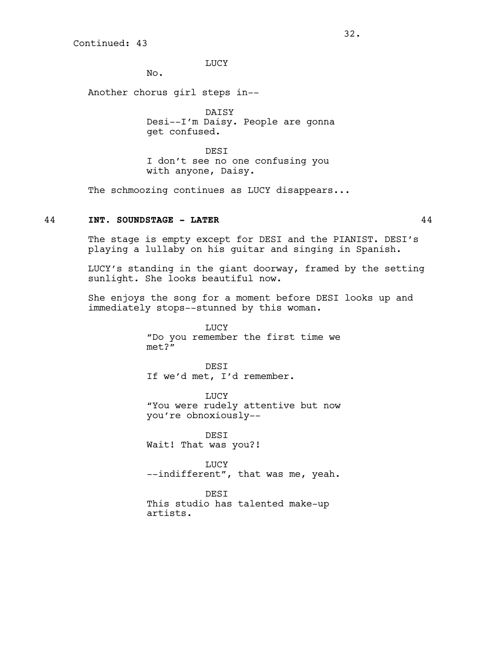LUCY

No.

Another chorus girl steps in--

DAISY Desi--I'm Daisy. People are gonna get confused.

DESI I don't see no one confusing you with anyone, Daisy.

The schmoozing continues as LUCY disappears...

# 44 **INT. SOUNDSTAGE - LATER** 44

The stage is empty except for DESI and the PIANIST. DESI's playing a lullaby on his guitar and singing in Spanish.

LUCY's standing in the giant doorway, framed by the setting sunlight. She looks beautiful now.

She enjoys the song for a moment before DESI looks up and immediately stops--stunned by this woman.

> LUCY "Do you remember the first time we met?"

DESI If we'd met, I'd remember.

LUCY "You were rudely attentive but now you're obnoxiously--

DESI Wait! That was you?!

LUCY --indifferent", that was me, yeah.

DESI

This studio has talented make-up artists.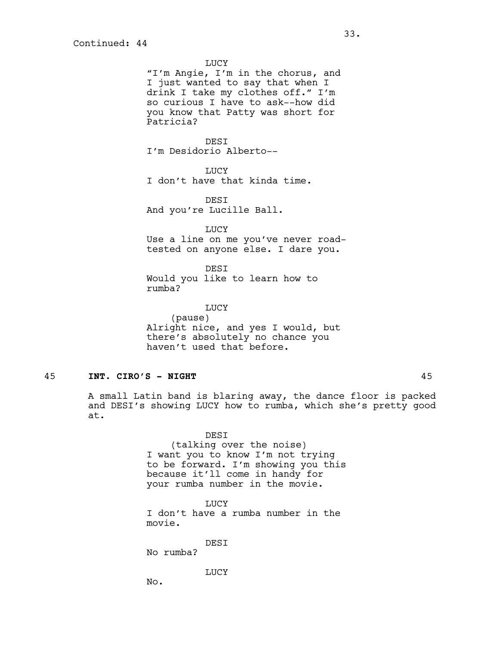LUCY "I'm Angie, I'm in the chorus, and I just wanted to say that when I drink I take my clothes off." I'm so curious I have to ask--how did you know that Patty was short for Patricia?

**DEST** I'm Desidorio Alberto--

**LUCY** 

I don't have that kinda time.

DESI And you're Lucille Ball.

LUCY Use a line on me you've never roadtested on anyone else. I dare you.

DESI Would you like to learn how to rumba?

LUCY (pause) Alright nice, and yes I would, but there's absolutely no chance you haven't used that before.

# 45 **INT. CIRO'S - NIGHT** 45

A small Latin band is blaring away, the dance floor is packed and DESI's showing LUCY how to rumba, which she's pretty good at.

> DESI (talking over the noise) I want you to know I'm not trying to be forward. I'm showing you this because it'll come in handy for your rumba number in the movie.

LUCY I don't have a rumba number in the movie.

DESI

No rumba?

LUCY

No.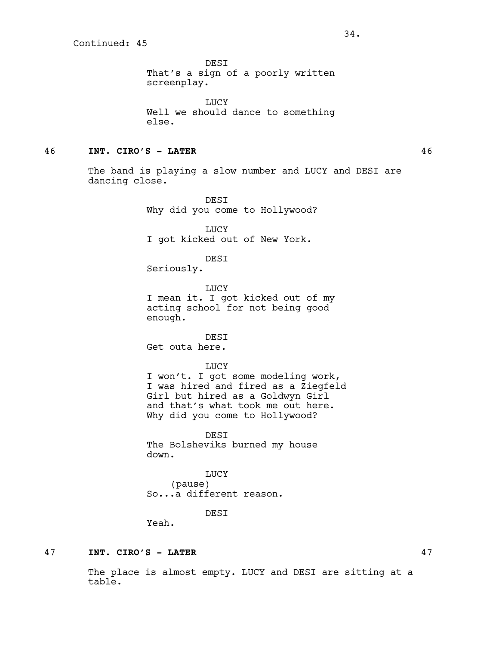DESI That's a sign of a poorly written screenplay.

LUCY Well we should dance to something else.

### 46 **INT. CIRO'S - LATER** 46

The band is playing a slow number and LUCY and DESI are dancing close.

> DESI Why did you come to Hollywood?

LUCY I got kicked out of New York.

DESI

Seriously.

LUCY I mean it. I got kicked out of my acting school for not being good enough.

DESI Get outa here.

LUCY I won't. I got some modeling work, I was hired and fired as a Ziegfeld Girl but hired as a Goldwyn Girl and that's what took me out here. Why did you come to Hollywood?

DESI The Bolsheviks burned my house down.

LUCY (pause) So...a different reason.

**DEST** 

Yeah.

### 47 **INT. CIRO'S - LATER** 47

The place is almost empty. LUCY and DESI are sitting at a table.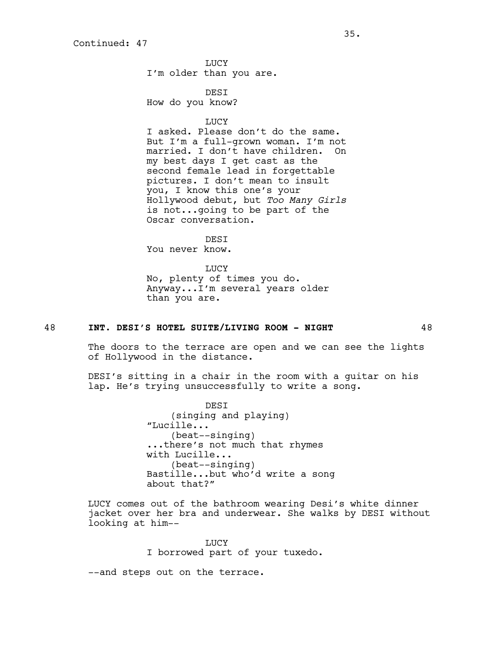LUCY I'm older than you are.

DESI How do you know?

LUCY

I asked. Please don't do the same. But I'm a full-grown woman. I'm not married. I don't have children. On my best days I get cast as the second female lead in forgettable pictures. I don't mean to insult you, I know this one's your Hollywood debut, but *Too Many Girls* is not...going to be part of the Oscar conversation.

DESI

You never know.

LUCY No, plenty of times you do. Anyway...I'm several years older than you are.

# 48 **INT. DESI'S HOTEL SUITE/LIVING ROOM - NIGHT** 48

The doors to the terrace are open and we can see the lights of Hollywood in the distance.

DESI's sitting in a chair in the room with a guitar on his lap. He's trying unsuccessfully to write a song.

> DESI (singing and playing) "Lucille... (beat--singing) ...there's not much that rhymes with Lucille... (beat--singing) Bastille...but who'd write a song about that?"

LUCY comes out of the bathroom wearing Desi's white dinner jacket over her bra and underwear. She walks by DESI without looking at him--

> LUCY I borrowed part of your tuxedo.

--and steps out on the terrace.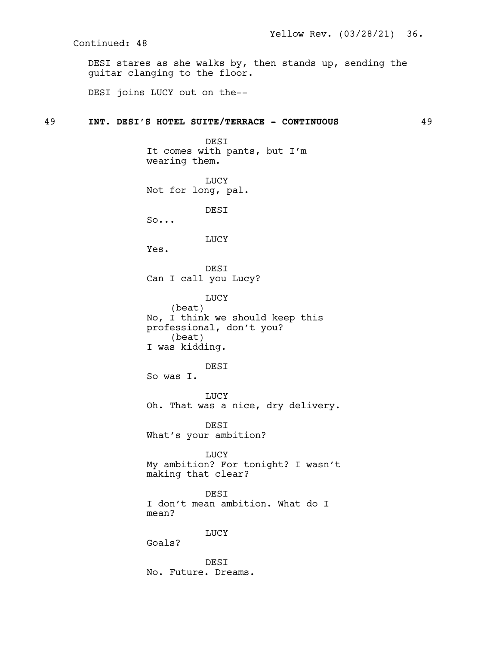DESI stares as she walks by, then stands up, sending the guitar clanging to the floor.

DESI joins LUCY out on the--

# 49 **INT. DESI'S HOTEL SUITE/TERRACE - CONTINUOUS** 49

DESI It comes with pants, but I'm wearing them. LUCY Not for long, pal. DESI So... LUCY Yes. DESI Can I call you Lucy? LUCY (beat) No, I think we should keep this professional, don't you? (beat) I was kidding. DESI So was I. LUCY Oh. That was a nice, dry delivery. DESI What's your ambition? LUCY My ambition? For tonight? I wasn't making that clear? DESI I don't mean ambition. What do I mean? LUCY Goals? **DEST** No. Future. Dreams.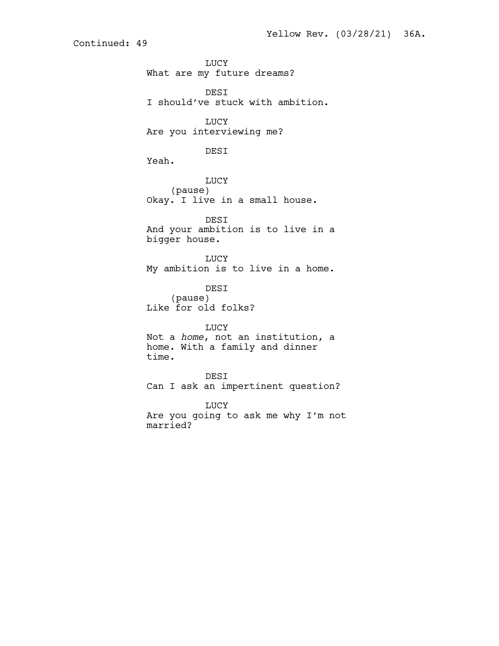LUCY What are my future dreams? DESI I should've stuck with ambition. LUCY Are you interviewing me? DESI Yeah. LUCY (pause) Okay. I live in a small house. DESI And your ambition is to live in a bigger house. LUCY My ambition is to live in a home. DESI (pause) Like for old folks? LUCY Not a *home*, not an institution, a home. With a family and dinner time. DESI Can I ask an impertinent question? LUCY Are you going to ask me why I'm not married?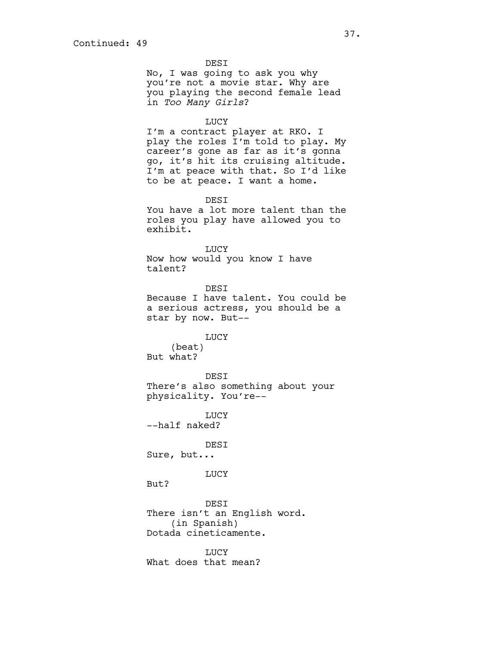DESI No, I was going to ask you why you're not a movie star. Why are you playing the second female lead in *Too Many Girls*?

#### LUCY

I'm a contract player at RKO. I play the roles I'm told to play. My career's gone as far as it's gonna go, it's hit its cruising altitude. I'm at peace with that. So I'd like to be at peace. I want a home.

DESI

You have a lot more talent than the roles you play have allowed you to exhibit.

LUCY Now how would you know I have talent?

DESI Because I have talent. You could be a serious actress, you should be a star by now. But--

#### LUCY

(beat) But what?

DESI There's also something about your physicality. You're--

**LUCY** --half naked?

DESI

Sure, but...

## LUCY

But?

DESI There isn't an English word. (in Spanish) Dotada cineticamente.

LUCY What does that mean?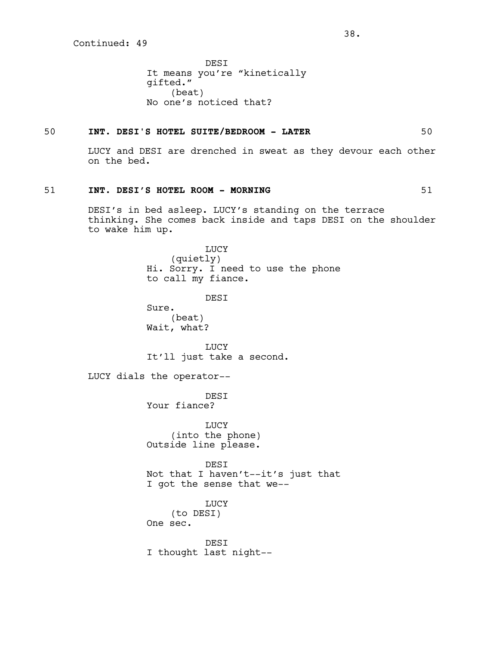DESI It means you're "kinetically gifted." (beat) No one's noticed that?

#### 50 **INT. DESI'S HOTEL SUITE/BEDROOM - LATER** 50

LUCY and DESI are drenched in sweat as they devour each other on the bed.

#### 51 **INT. DESI'S HOTEL ROOM - MORNING** 51

DESI's in bed asleep. LUCY's standing on the terrace thinking. She comes back inside and taps DESI on the shoulder to wake him up.

> LUCY (quietly) Hi. Sorry. I need to use the phone to call my fiance.

> > **DEST**

Sure. (beat) Wait, what?

LUCY It'll just take a second.

LUCY dials the operator--

DESI Your fiance?

LUCY (into the phone) Outside line please.

DESI Not that I haven't--it's just that I got the sense that we--

LUCY (to DESI) One sec.

DESI I thought last night--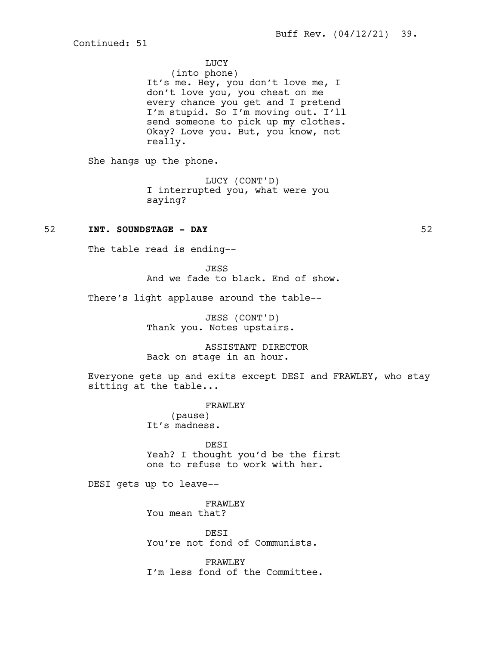# LUCY

(into phone) It's me. Hey, you don't love me, I don't love you, you cheat on me every chance you get and I pretend I'm stupid. So I'm moving out. I'll send someone to pick up my clothes. Okay? Love you. But, you know, not really.

She hangs up the phone.

LUCY (CONT'D) I interrupted you, what were you saying?

# 52 **INT. SOUNDSTAGE - DAY** 52

The table read is ending--

JESS And we fade to black. End of show.

There's light applause around the table--

JESS (CONT'D) Thank you. Notes upstairs.

ASSISTANT DIRECTOR Back on stage in an hour.

Everyone gets up and exits except DESI and FRAWLEY, who stay sitting at the table...

> FRAWLEY (pause) It's madness.

DESI Yeah? I thought you'd be the first one to refuse to work with her.

DESI gets up to leave--

FRAWLEY You mean that?

**DEST** You're not fond of Communists.

FRAWLEY I'm less fond of the Committee.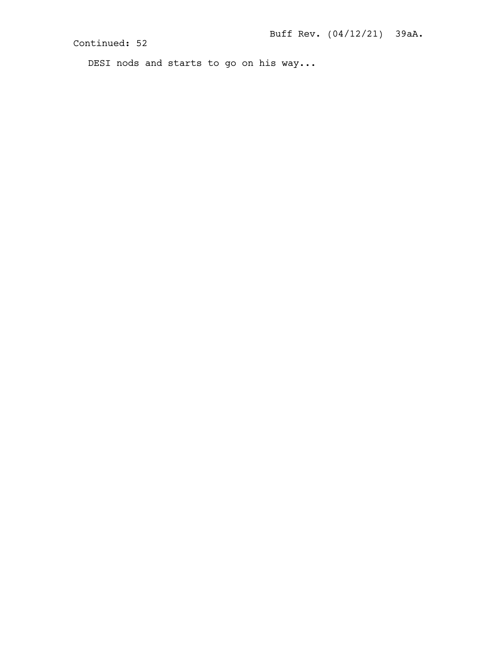DESI nods and starts to go on his way...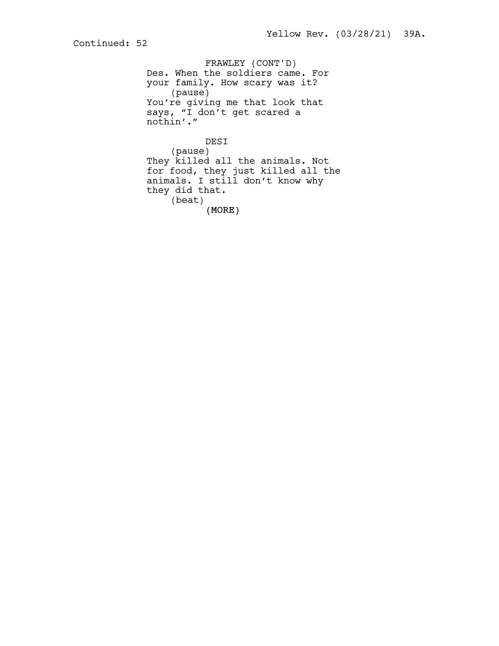FRAWLEY (CONT'D) Des. When the soldiers came. For your family. How scary was it? (pause) You're giving me that look that says, "I don't get scared a nothin'."

(MORE) DESI (pause) They killed all the animals. Not for food, they just killed all the animals. I still don't know why they did that. (beat)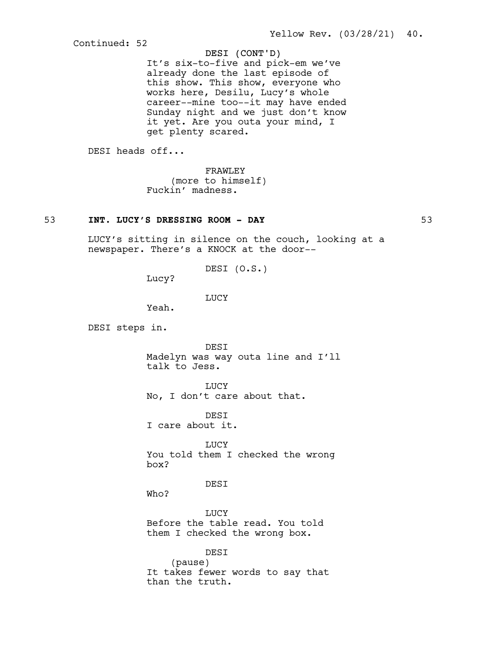# DESI (CONT'D)

It's six-to-five and pick-em we've already done the last episode of this show. This show, everyone who works here, Desilu, Lucy's whole career--mine too--it may have ended Sunday night and we just don't know it yet. Are you outa your mind, I get plenty scared.

DESI heads off...

FRAWLEY (more to himself) Fuckin' madness.

# 53 **INT. LUCY'S DRESSING ROOM - DAY** 53

LUCY's sitting in silence on the couch, looking at a newspaper. There's a KNOCK at the door--

DESI (O.S.)

Lucy?

LUCY

Yeah.

DESI steps in.

DESI Madelyn was way outa line and I'll talk to Jess.

LUCY

No, I don't care about that.

**DEST** I care about it.

LUCY You told them I checked the wrong box?

DESI

Who?

**TJUCY** Before the table read. You told them I checked the wrong box.

DESI (pause) It takes fewer words to say that than the truth.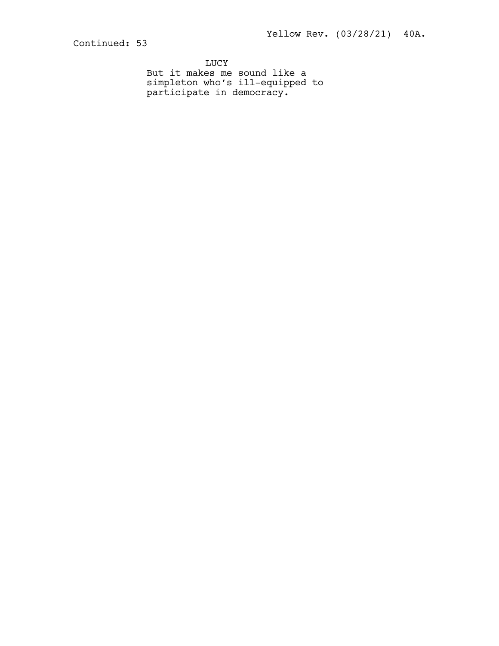LUCY But it makes me sound like a simpleton who's ill-equipped to participate in democracy.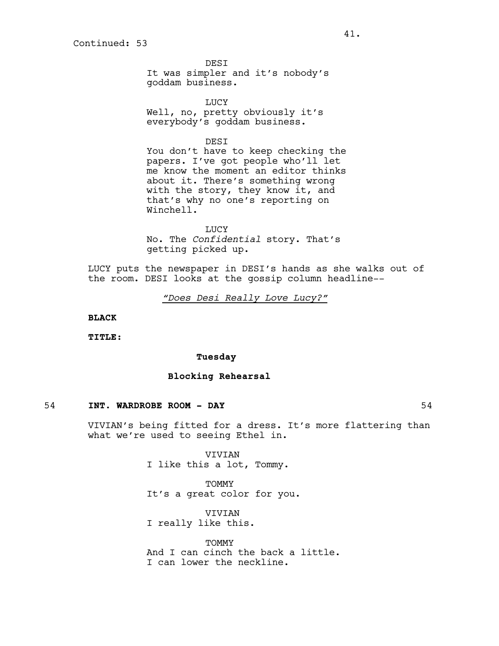**DEST** It was simpler and it's nobody's goddam business.

LUCY Well, no, pretty obviously it's everybody's goddam business.

DESI

You don't have to keep checking the papers. I've got people who'll let me know the moment an editor thinks about it. There's something wrong with the story, they know it, and that's why no one's reporting on Winchell.

LUCY No. The *Confidential* story. That's getting picked up.

LUCY puts the newspaper in DESI's hands as she walks out of the room. DESI looks at the gossip column headline--

*"Does Desi Really Love Lucy?"*

**BLACK**

**TITLE:**

#### **Tuesday**

# **Blocking Rehearsal**

#### 54 **INT. WARDROBE ROOM - DAY** 54

VIVIAN's being fitted for a dress. It's more flattering than what we're used to seeing Ethel in.

> VIVIAN I like this a lot, Tommy.

TOMMY It's a great color for you.

VIVIAN I really like this.

TOMMY And I can cinch the back a little. I can lower the neckline.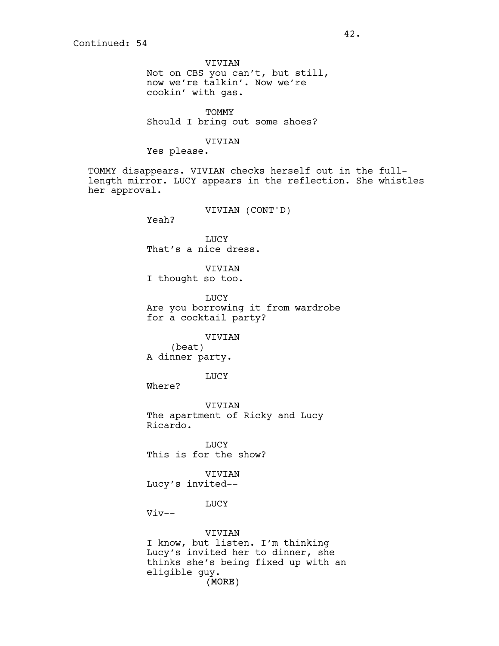VIVIAN Not on CBS you can't, but still, now we're talkin'. Now we're cookin' with gas.

TOMMY Should I bring out some shoes?

#### VIVIAN

Yes please.

TOMMY disappears. VIVIAN checks herself out in the fulllength mirror. LUCY appears in the reflection. She whistles her approval.

VIVIAN (CONT'D)

Yeah?

LUCY That's a nice dress.

VIVIAN I thought so too.

LUCY Are you borrowing it from wardrobe for a cocktail party?

VIVIAN

(beat) A dinner party.

LUCY

Where?

VIVIAN The apartment of Ricky and Lucy Ricardo.

LUCY This is for the show?

VIVIAN

Lucy's invited--

LUCY

 $Viv--$ 

(MORE) VIVIAN I know, but listen. I'm thinking Lucy's invited her to dinner, she thinks she's being fixed up with an eligible guy.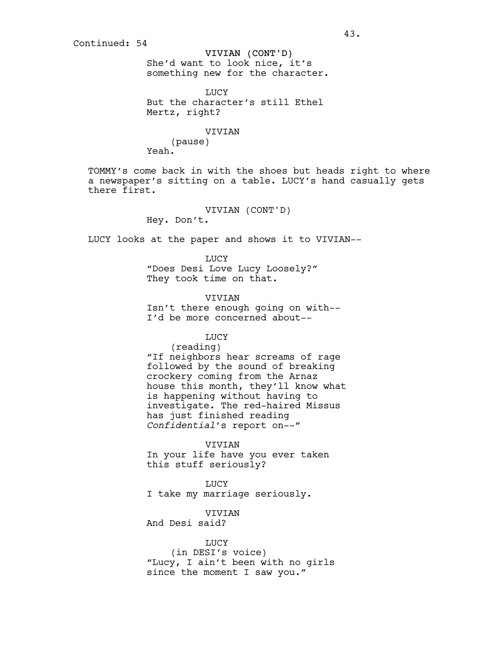VIVIAN (CONT'D) She'd want to look nice, it's something new for the character.

LUCY But the character's still Ethel Mertz, right?

#### VIVIAN

(pause)

Yeah.

TOMMY's come back in with the shoes but heads right to where a newspaper's sitting on a table. LUCY's hand casually gets there first.

> VIVIAN (CONT'D) Hey. Don't.

LUCY looks at the paper and shows it to VIVIAN--

LUCY "Does Desi Love Lucy Loosely?" They took time on that.

VIVIAN

Isn't there enough going on with-- I'd be more concerned about--

# LUCY

(reading)

"If neighbors hear screams of rage followed by the sound of breaking crockery coming from the Arnaz house this month, they'll know what is happening without having to investigate. The red-haired Missus has just finished reading *Confidential*'s report on--"

#### VIVIAN

In your life have you ever taken this stuff seriously?

LUCY I take my marriage seriously.

VIVIAN And Desi said?

#### LUCY

(in DESI's voice) "Lucy, I ain't been with no girls since the moment I saw you."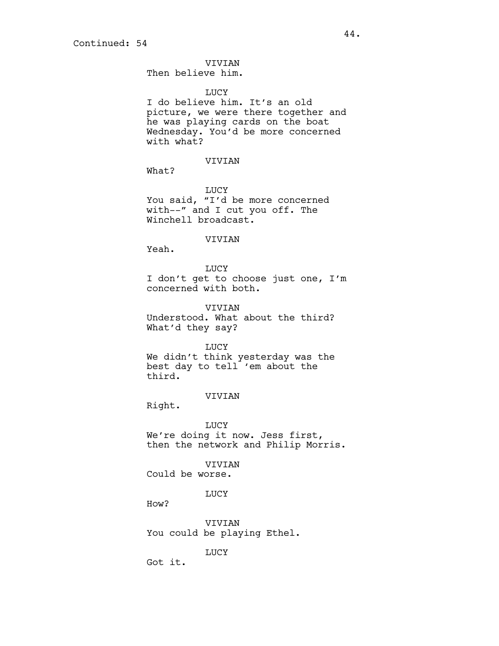VIVIAN Then believe him.

#### LUCY

I do believe him. It's an old picture, we were there together and he was playing cards on the boat Wednesday. You'd be more concerned with what?

# VIVIAN

What?

LUCY You said, "I'd be more concerned with--" and I cut you off. The Winchell broadcast.

#### VIVIAN

Yeah.

LUCY I don't get to choose just one, I'm concerned with both.

VIVIAN Understood. What about the third? What'd they say?

#### LUCY

We didn't think yesterday was the best day to tell 'em about the third.

#### VIVIAN

Right.

LUCY We're doing it now. Jess first, then the network and Philip Morris.

## VIVIAN

Could be worse.

**LUCY** 

How?

VIVIAN You could be playing Ethel.

LUCY

Got it.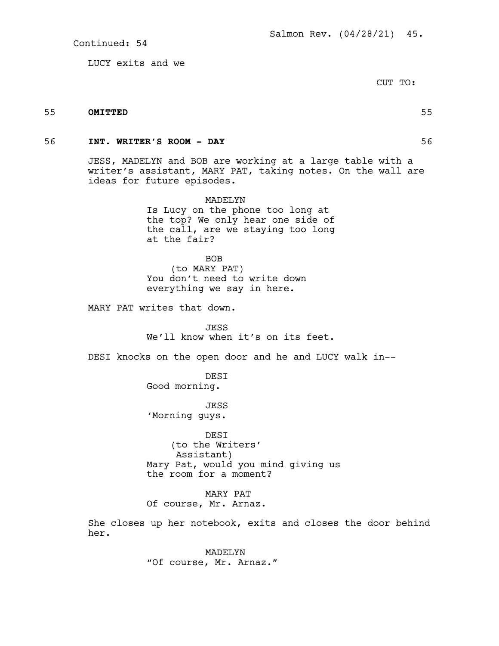LUCY exits and we

CUT TO:

#### 55 **OMITTED** 55

### 56 **INT. WRITER'S ROOM - DAY** 56

JESS, MADELYN and BOB are working at a large table with a writer's assistant, MARY PAT, taking notes. On the wall are ideas for future episodes.

> MADELYN Is Lucy on the phone too long at the top? We only hear one side of the call, are we staying too long at the fair?

BOB (to MARY PAT) You don't need to write down everything we say in here.

MARY PAT writes that down.

JESS We'll know when it's on its feet.

DESI knocks on the open door and he and LUCY walk in--

DESI Good morning.

JESS 'Morning guys.

DESI (to the Writers' Assistant) Mary Pat, would you mind giving us the room for a moment?

MARY PAT Of course, Mr. Arnaz.

She closes up her notebook, exits and closes the door behind her.

> MADELYN "Of course, Mr. Arnaz."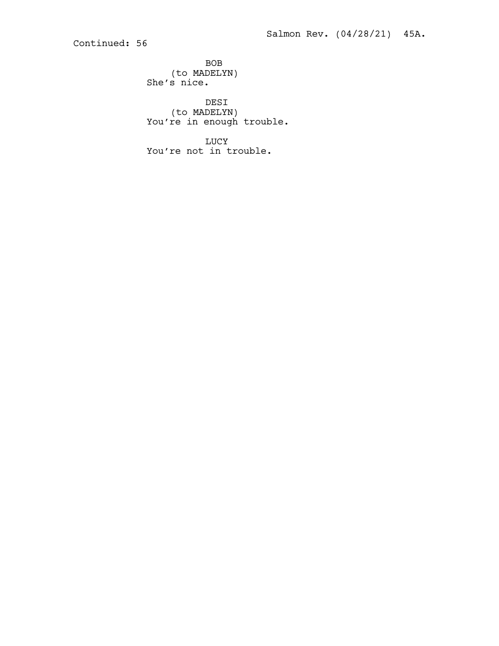BOB (to MADELYN) She's nice.

DESI (to MADELYN) You're in enough trouble.

LUCY You're not in trouble.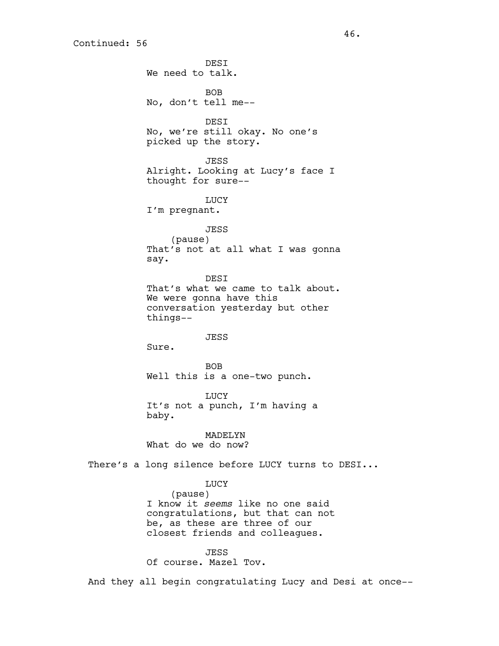**DEST** We need to talk. BOB No, don't tell me-- DESI No, we're still okay. No one's picked up the story. JESS Alright. Looking at Lucy's face I thought for sure-- LUCY I'm pregnant. JESS (pause) That's not at all what I was gonna say. **DEST** That's what we came to talk about. We were gonna have this conversation yesterday but other things-- JESS Sure. BOB Well this is a one-two punch. LUCY It's not a punch, I'm having a baby. MADELYN What do we do now? There's a long silence before LUCY turns to DESI... LUCY (pause) I know it *seems* like no one said congratulations, but that can not be, as these are three of our closest friends and colleagues.

JESS

Of course. Mazel Tov.

And they all begin congratulating Lucy and Desi at once--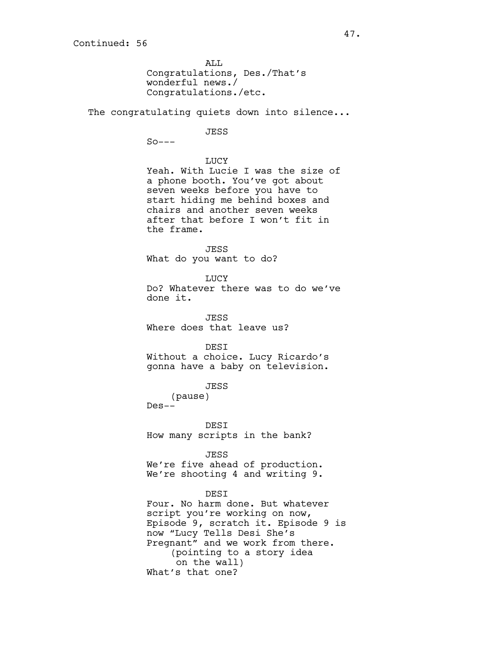ALL Congratulations, Des./That's wonderful news./ Congratulations./etc.

The congratulating quiets down into silence...

#### JESS

 $So---$ 

## LUCY

Yeah. With Lucie I was the size of a phone booth. You've got about seven weeks before you have to start hiding me behind boxes and chairs and another seven weeks after that before I won't fit in the frame.

JESS What do you want to do?

LUCY

Do? Whatever there was to do we've done it.

JESS Where does that leave us?

DESI

Without a choice. Lucy Ricardo's gonna have a baby on television.

JESS

(pause)

Des--

DESI How many scripts in the bank?

JESS We're five ahead of production. We're shooting 4 and writing 9.

#### DESI

Four. No harm done. But whatever script you're working on now, Episode 9, scratch it. Episode 9 is now "Lucy Tells Desi She's Pregnant" and we work from there. (pointing to a story idea on the wall) What's that one?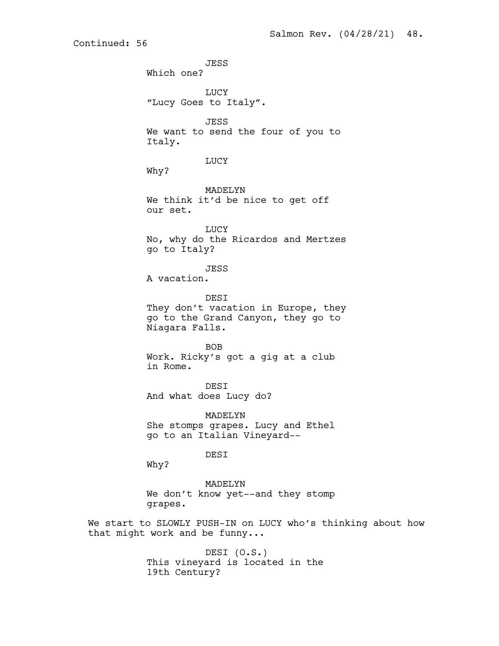JESS Which one? LUCY "Lucy Goes to Italy". JESS We want to send the four of you to Italy. LUCY Why? MADELYN We think it'd be nice to get off our set. LUCY No, why do the Ricardos and Mertzes go to Italy? JESS A vacation. **DEST** They don't vacation in Europe, they go to the Grand Canyon, they go to Niagara Falls. BOB Work. Ricky's got a gig at a club in Rome. DESI And what does Lucy do? MADELYN She stomps grapes. Lucy and Ethel go to an Italian Vineyard-- DESI Why? MADELYN We don't know yet--and they stomp grapes. We start to SLOWLY PUSH-IN on LUCY who's thinking about how that might work and be funny...

Continued: 56

DESI (O.S.) This vineyard is located in the 19th Century?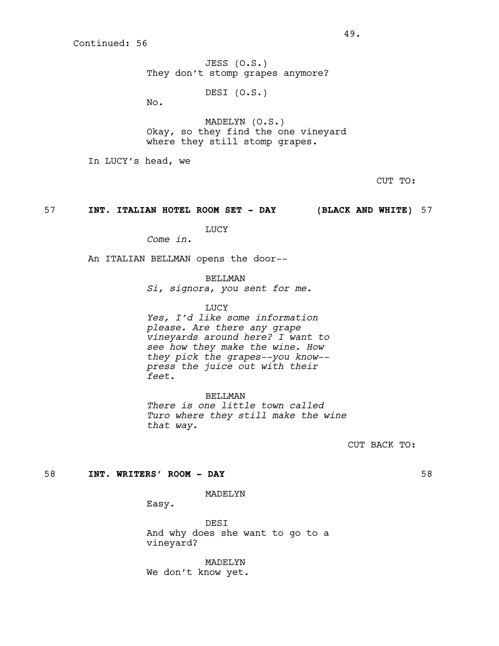JESS (O.S.) They don't stomp grapes anymore?

DESI (O.S.)

No.

MADELYN (O.S.) Okay, so they find the one vineyard where they still stomp grapes.

In LUCY's head, we

CUT TO:

57 **INT. ITALIAN HOTEL ROOM SET - DAY (BLACK AND WHITE)** 57

LUCY

*Come in.*

An ITALIAN BELLMAN opens the door--

BELLMAN

*Si, signora, you sent for me.*

LUCY

*Yes, I'd like some information please. Are there any grape vineyards around here? I want to see how they make the wine. How they pick the grapes--you know- press the juice out with their feet.*

BELLMAN *There is one little town called Turo where they still make the wine that way.*

CUT BACK TO:

58 **INT. WRITERS' ROOM - DAY** 58

MADELYN

Easy.

DESI And why does she want to go to a vineyard?

MADELYN We don't know yet.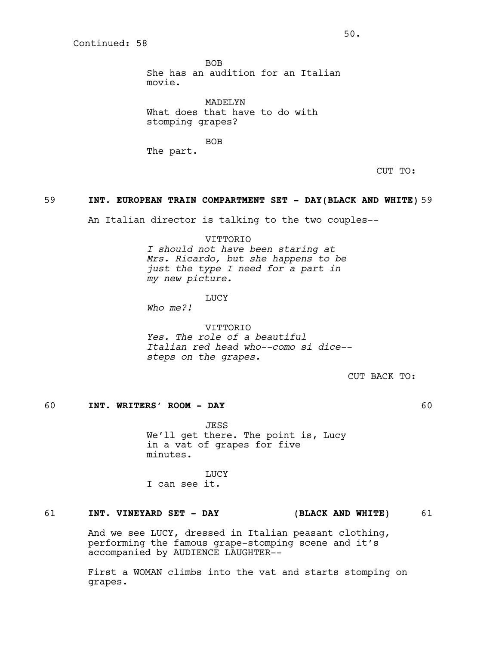BOB She has an audition for an Italian movie.

MADELYN What does that have to do with stomping grapes?

BOB The part.

CUT TO:

#### 59 **INT. EUROPEAN TRAIN COMPARTMENT SET - DAY(BLACK AND WHITE)** 59

An Italian director is talking to the two couples--

VITTORIO

*I should not have been staring at Mrs. Ricardo, but she happens to be just the type I need for a part in my new picture.*

LUCY

*Who me?!*

VITTORIO *Yes. The role of a beautiful Italian red head who--como si dice- steps on the grapes.*

CUT BACK TO:

# 60 **INT. WRITERS' ROOM - DAY** 60

JESS We'll get there. The point is, Lucy in a vat of grapes for five minutes.

**LUCY** I can see it.

# 61 **INT. VINEYARD SET - DAY (BLACK AND WHITE)** 61

And we see LUCY, dressed in Italian peasant clothing, performing the famous grape-stomping scene and it's accompanied by AUDIENCE LAUGHTER--

First a WOMAN climbs into the vat and starts stomping on grapes.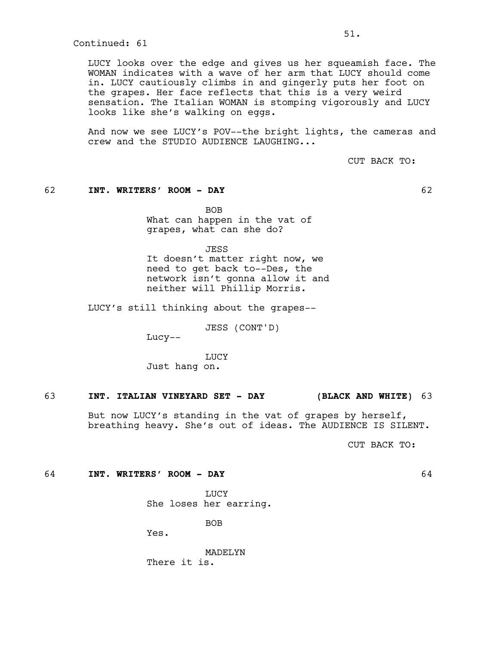LUCY looks over the edge and gives us her squeamish face. The WOMAN indicates with a wave of her arm that LUCY should come in. LUCY cautiously climbs in and gingerly puts her foot on the grapes. Her face reflects that this is a very weird sensation. The Italian WOMAN is stomping vigorously and LUCY looks like she's walking on eggs.

51.

And now we see LUCY's POV--the bright lights, the cameras and crew and the STUDIO AUDIENCE LAUGHING...

CUT BACK TO:

### 62 **INT. WRITERS' ROOM - DAY** 62

BOB What can happen in the vat of grapes, what can she do?

JESS

It doesn't matter right now, we need to get back to--Des, the network isn't gonna allow it and neither will Phillip Morris.

LUCY's still thinking about the grapes--

JESS (CONT'D)

Lucy--

LUCY Just hang on.

# 63 **INT. ITALIAN VINEYARD SET - DAY (BLACK AND WHITE)** 63

But now LUCY's standing in the vat of grapes by herself, breathing heavy. She's out of ideas. The AUDIENCE IS SILENT.

CUT BACK TO:

#### 64 **INT. WRITERS' ROOM - DAY** 64

LUCY

She loses her earring.

BOB

Yes.

MADELYN There it is.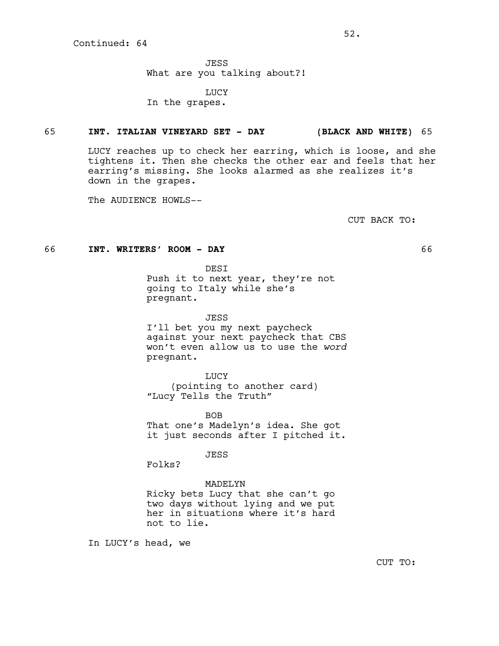JESS What are you talking about?!

LUCY In the grapes.

#### 65 **INT. ITALIAN VINEYARD SET - DAY (BLACK AND WHITE)** 65

LUCY reaches up to check her earring, which is loose, and she tightens it. Then she checks the other ear and feels that her earring's missing. She looks alarmed as she realizes it's down in the grapes.

The AUDIENCE HOWLS--

CUT BACK TO:

#### 66 **INT. WRITERS' ROOM - DAY** 66

DESI Push it to next year, they're not going to Italy while she's pregnant.

JESS I'll bet you my next paycheck against your next paycheck that CBS won't even allow us to use the *word*

pregnant. LUCY (pointing to another card) "Lucy Tells the Truth"

BOB That one's Madelyn's idea. She got it just seconds after I pitched it.

JESS

Folks?

#### MADELYN

Ricky bets Lucy that she can't go two days without lying and we put her in situations where it's hard not to lie.

In LUCY's head, we

CUT TO: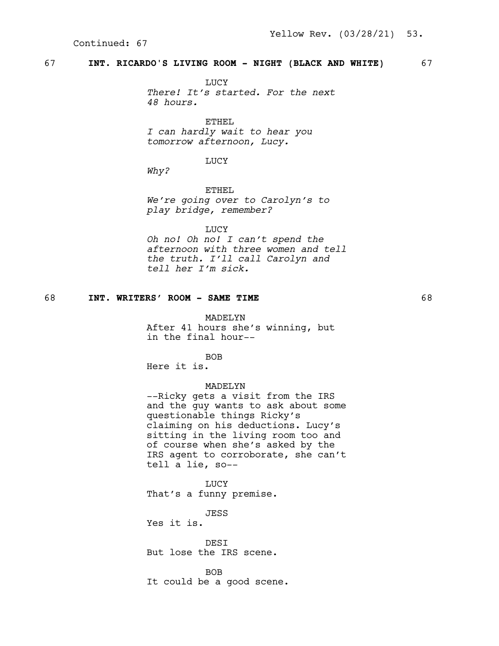# 67 **INT. RICARDO'S LIVING ROOM - NIGHT (BLACK AND WHITE)** 67

**TJUCY** *There! It's started. For the next 48 hours.*

ETHEL *I can hardly wait to hear you tomorrow afternoon, Lucy.*

LUCY

*Why?*

ETHEL *We're going over to Carolyn's to play bridge, remember?*

LUCY

*Oh no! Oh no! I can't spend the afternoon with three women and tell the truth. I'll call Carolyn and tell her I'm sick.*

# 68 **INT. WRITERS' ROOM - SAME TIME** 68

MADELYN After 41 hours she's winning, but

in the final hour--

BOB

Here it is.

# MADELYN

--Ricky gets a visit from the IRS and the guy wants to ask about some questionable things Ricky's claiming on his deductions. Lucy's sitting in the living room too and of course when she's asked by the IRS agent to corroborate, she can't tell a lie, so--

LUCY That's a funny premise.

JESS Yes it is.

DESI But lose the IRS scene.

BOB It could be a good scene.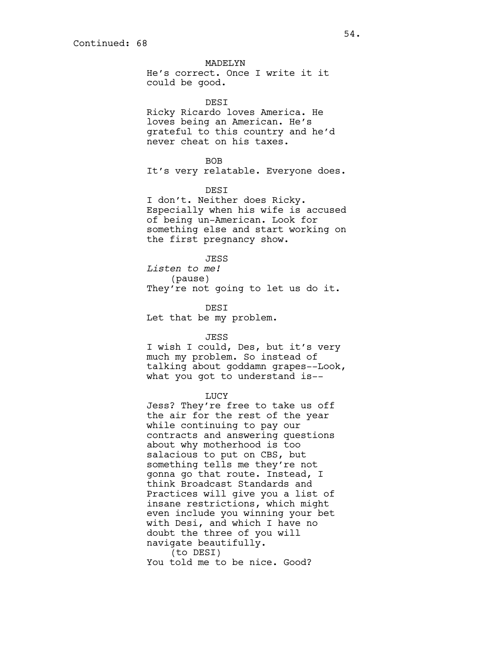MADELYN

He's correct. Once I write it it could be good.

DESI

Ricky Ricardo loves America. He loves being an American. He's grateful to this country and he'd never cheat on his taxes.

#### BOB

It's very relatable. Everyone does.

#### DESI

I don't. Neither does Ricky. Especially when his wife is accused of being un-American. Look for something else and start working on the first pregnancy show.

#### JESS

*Listen to me!* (pause) They're not going to let us do it.

DESI

Let that be my problem.

#### JESS

I wish I could, Des, but it's very much my problem. So instead of talking about goddamn grapes--Look, what you got to understand is--

#### LUCY

Jess? They're free to take us off the air for the rest of the year while continuing to pay our contracts and answering questions about why motherhood is too salacious to put on CBS, but something tells me they're not gonna go that route. Instead, I think Broadcast Standards and Practices will give you a list of insane restrictions, which might even include you winning your bet with Desi, and which I have no doubt the three of you will navigate beautifully. (to DESI)

You told me to be nice. Good?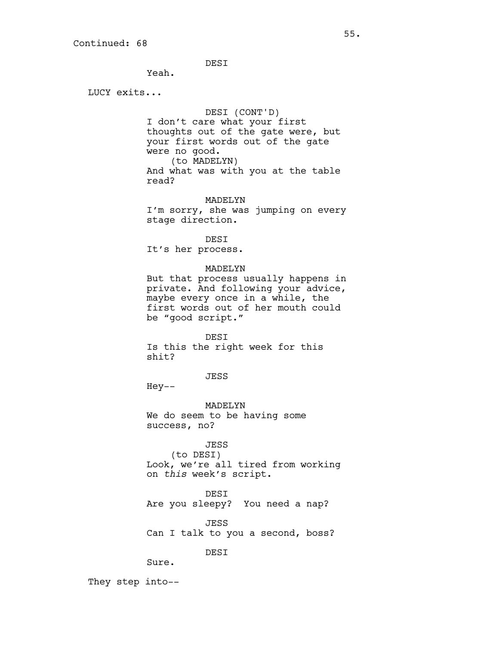DESI

Yeah.

LUCY exits...

### DESI (CONT'D)

I don't care what your first thoughts out of the gate were, but your first words out of the gate were no good. (to MADELYN) And what was with you at the table read?

MADELYN

I'm sorry, she was jumping on every stage direction.

DESI

It's her process.

#### MADELYN

But that process usually happens in private. And following your advice, maybe every once in a while, the first words out of her mouth could be "good script."

DESI Is this the right week for this shit?

JESS

Hey--

MADELYN We do seem to be having some success, no?

# JESS

(to DESI) Look, we're all tired from working on *this* week's script.

DESI

Are you sleepy? You need a nap?

JESS

Can I talk to you a second, boss?

DESI

Sure.

They step into--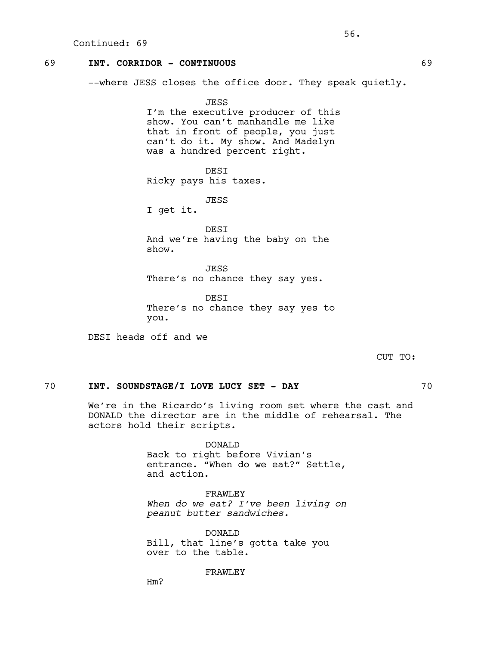# 69 **INT. CORRIDOR - CONTINUOUS** 69

--where JESS closes the office door. They speak quietly.

JESS I'm the executive producer of this show. You can't manhandle me like that in front of people, you just can't do it. My show. And Madelyn was a hundred percent right.

DESI Ricky pays his taxes.

JESS

I get it.

DESI And we're having the baby on the show.

JESS There's no chance they say yes.

**DEST** There's no chance they say yes to you.

DESI heads off and we

CUT TO:

# 70 **INT. SOUNDSTAGE/I LOVE LUCY SET - DAY** 70

We're in the Ricardo's living room set where the cast and DONALD the director are in the middle of rehearsal. The actors hold their scripts.

> DONALD Back to right before Vivian's entrance. "When do we eat?" Settle, and action.

FRAWLEY *When do we eat? I've been living on peanut butter sandwiches.*

DONALD Bill, that line's gotta take you over to the table.

FRAWLEY

Hm?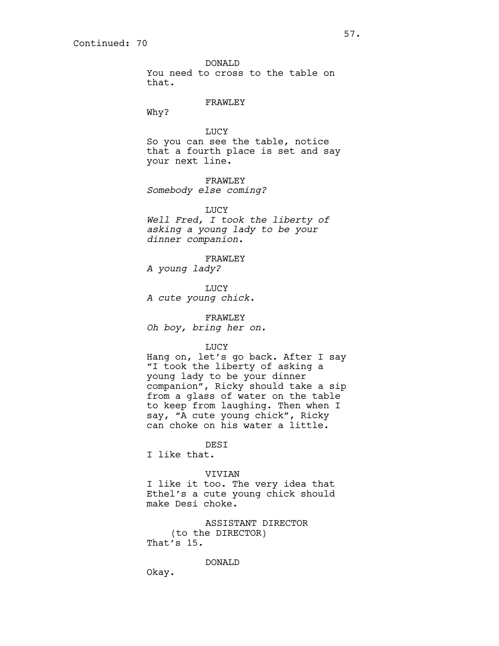DONALD You need to cross to the table on that.

#### FRAWLEY

Why?

# LUCY So you can see the table, notice that a fourth place is set and say your next line.

FRAWLEY *Somebody else coming?*

LUCY *Well Fred, I took the liberty of asking a young lady to be your dinner companion.*

#### FRAWLEY

*A young lady?*

LUCY *A cute young chick.*

FRAWLEY *Oh boy, bring her on.*

#### LUCY

Hang on, let's go back. After I say "I took the liberty of asking a young lady to be your dinner companion", Ricky should take a sip from a glass of water on the table to keep from laughing. Then when I say, "A cute young chick", Ricky can choke on his water a little.

# DESI

I like that.

## VIVIAN

I like it too. The very idea that Ethel's a cute young chick should make Desi choke.

ASSISTANT DIRECTOR (to the DIRECTOR) That's 15.

DONALD

Okay.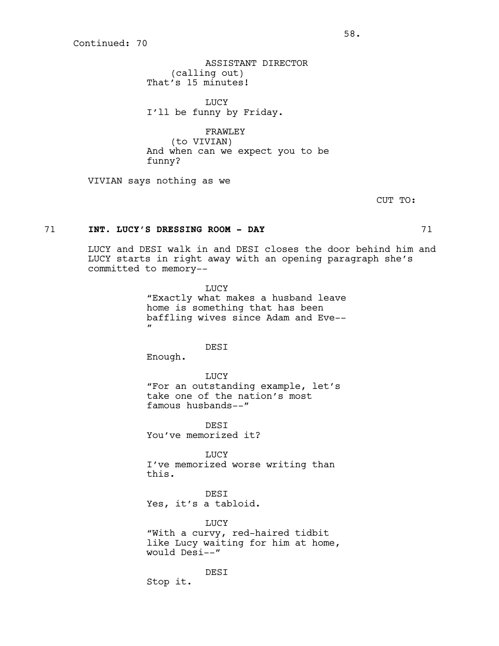ASSISTANT DIRECTOR (calling out) That's 15 minutes!

LUCY I'll be funny by Friday.

FRAWLEY (to VIVIAN) And when can we expect you to be

funny?

VIVIAN says nothing as we

CUT TO:

### 71 **INT. LUCY'S DRESSING ROOM - DAY** 71

LUCY and DESI walk in and DESI closes the door behind him and LUCY starts in right away with an opening paragraph she's committed to memory--

> LUCY "Exactly what makes a husband leave home is something that has been baffling wives since Adam and Eve--  $\mathbf{u}$

#### DESI

Enough.

LUCY "For an outstanding example, let's take one of the nation's most famous husbands--"

**DEST** You've memorized it?

LUCY I've memorized worse writing than this.

DESI Yes, it's a tabloid.

DESI

LUCY "With a curvy, red-haired tidbit like Lucy waiting for him at home, would Desi--"

Stop it.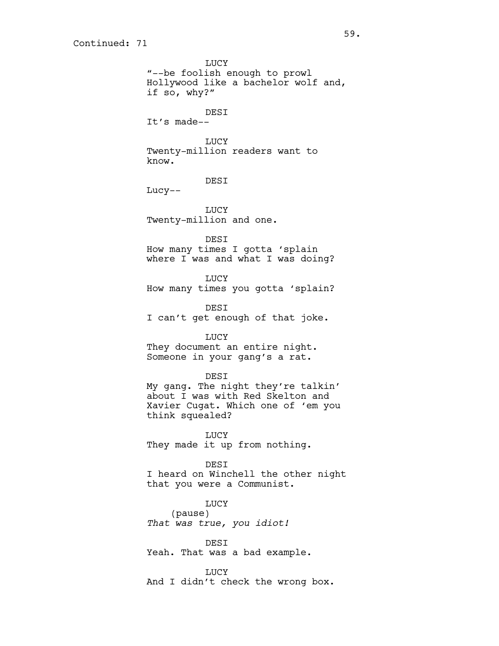LUCY "--be foolish enough to prowl Hollywood like a bachelor wolf and, if so, why?" DESI It's made-- LUCY Twenty-million readers want to know. DESI Lucy-- LUCY Twenty-million and one. DESI How many times I gotta 'splain where I was and what I was doing? LUCY How many times you gotta 'splain? DESI I can't get enough of that joke. LUCY They document an entire night. Someone in your gang's a rat. DESI My gang. The night they're talkin' about I was with Red Skelton and Xavier Cugat. Which one of 'em you think squealed? LUCY They made it up from nothing. DESI I heard on Winchell the other night that you were a Communist. LUCY (pause) *That was true, you idiot!* DESI Yeah. That was a bad example. LUCY And I didn't check the wrong box.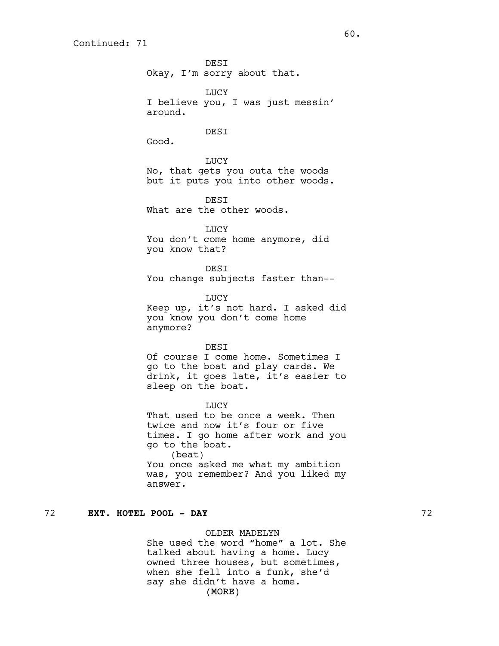DESI Okay, I'm sorry about that. LUCY I believe you, I was just messin' around. DESI Good. LUCY No, that gets you outa the woods but it puts you into other woods. **DEST** What are the other woods. LUCY You don't come home anymore, did you know that? DESI You change subjects faster than-- LUCY Keep up, it's not hard. I asked did you know you don't come home anymore? **DEST** Of course I come home. Sometimes I go to the boat and play cards. We drink, it goes late, it's easier to sleep on the boat. **TJUCY** That used to be once a week. Then twice and now it's four or five times. I go home after work and you go to the boat. (beat) You once asked me what my ambition was, you remember? And you liked my

# answer.

# 72 **EXT. HOTEL POOL - DAY** 72

OLDER MADELYN She used the word "home" a lot. She

(MORE) talked about having a home. Lucy owned three houses, but sometimes, when she fell into a funk, she'd say she didn't have a home.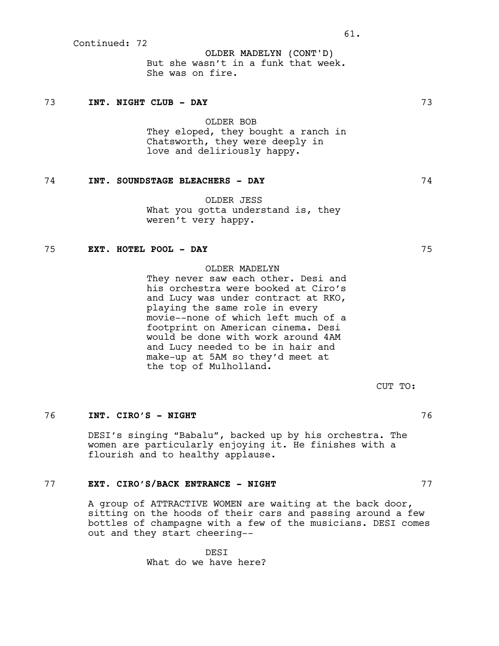OLDER MADELYN (CONT'D) But she wasn't in a funk that week. She was on fire.

#### 73 **INT. NIGHT CLUB - DAY** 73

OLDER BOB They eloped, they bought a ranch in Chatsworth, they were deeply in love and deliriously happy.

# 74 **INT. SOUNDSTAGE BLEACHERS - DAY** 74

OLDER JESS What you gotta understand is, they weren't very happy.

# 75 **EXT. HOTEL POOL - DAY** 75

### OLDER MADELYN

They never saw each other. Desi and his orchestra were booked at Ciro's and Lucy was under contract at RKO, playing the same role in every movie--none of which left much of a footprint on American cinema. Desi would be done with work around 4AM and Lucy needed to be in hair and make-up at 5AM so they'd meet at the top of Mulholland.

CUT TO:

#### 76 **INT. CIRO'S - NIGHT** 76

DESI's singing "Babalu", backed up by his orchestra. The women are particularly enjoying it. He finishes with a flourish and to healthy applause.

# 77 **EXT. CIRO'S/BACK ENTRANCE - NIGHT** 77

A group of ATTRACTIVE WOMEN are waiting at the back door, sitting on the hoods of their cars and passing around a few bottles of champagne with a few of the musicians. DESI comes out and they start cheering--

> DESI What do we have here?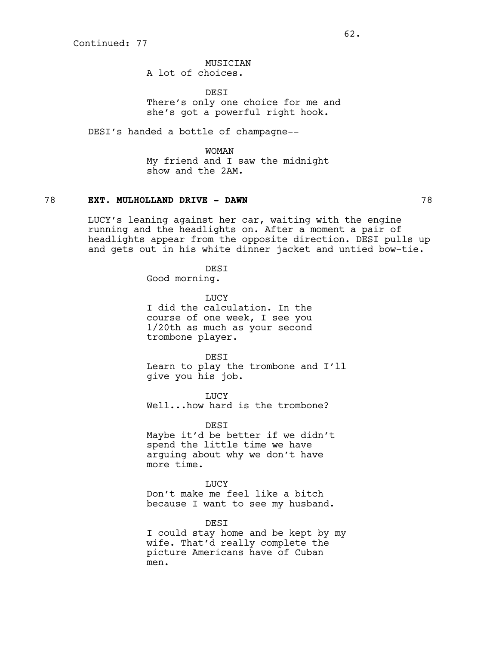MUSICIAN A lot of choices.

**DEST** 

There's only one choice for me and she's got a powerful right hook.

DESI's handed a bottle of champagne--

WOMAN My friend and I saw the midnight show and the 2AM.

### 78 **EXT. MULHOLLAND DRIVE - DAWN** 78

LUCY's leaning against her car, waiting with the engine running and the headlights on. After a moment a pair of headlights appear from the opposite direction. DESI pulls up and gets out in his white dinner jacket and untied bow-tie.

> DESI Good morning.

**TJUCY** I did the calculation. In the course of one week, I see you 1/20th as much as your second trombone player.

DESI Learn to play the trombone and I'll give you his job.

LUCY Well...how hard is the trombone?

DESI Maybe it'd be better if we didn't spend the little time we have arguing about why we don't have more time.

LUCY Don't make me feel like a bitch because I want to see my husband.

DESI

I could stay home and be kept by my wife. That'd really complete the picture Americans have of Cuban men.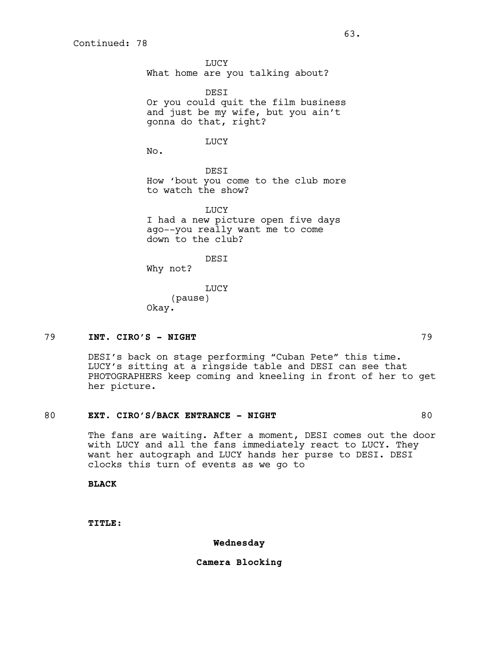LUCY What home are you talking about?

DESI Or you could quit the film business and just be my wife, but you ain't gonna do that, right?

#### LUCY

No.

DESI How 'bout you come to the club more to watch the show?

**TJUCY** I had a new picture open five days ago--you really want me to come down to the club?

DESI

Why not?

LUCY (pause) Okay.

### 79 **INT. CIRO'S - NIGHT** 79

DESI's back on stage performing "Cuban Pete" this time. LUCY's sitting at a ringside table and DESI can see that PHOTOGRAPHERS keep coming and kneeling in front of her to get her picture.

#### 80 **EXT. CIRO'S/BACK ENTRANCE - NIGHT** 80

The fans are waiting. After a moment, DESI comes out the door with LUCY and all the fans immediately react to LUCY. They want her autograph and LUCY hands her purse to DESI. DESI clocks this turn of events as we go to

**BLACK**

**TITLE:**

### **Wednesday**

### **Camera Blocking**

 $63.$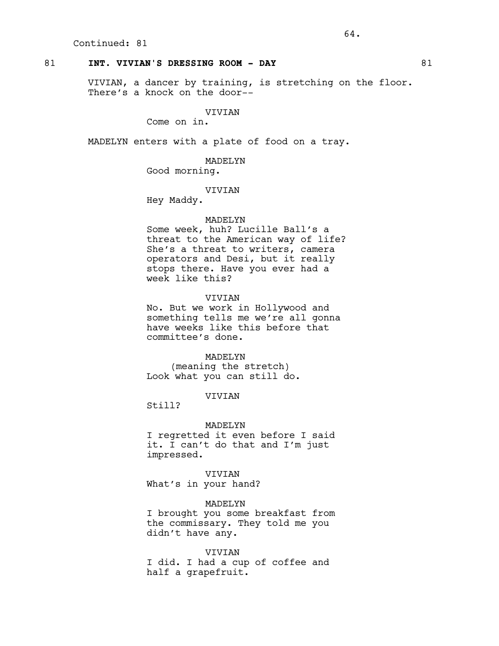## 81 **INT. VIVIAN'S DRESSING ROOM - DAY** 81

VIVIAN, a dancer by training, is stretching on the floor. There's a knock on the door--

## VIVIAN

Come on in.

MADELYN enters with a plate of food on a tray.

MADELYN Good morning.

VIVIAN

Hey Maddy.

#### MADELYN

Some week, huh? Lucille Ball's a threat to the American way of life? She's a threat to writers, camera operators and Desi, but it really stops there. Have you ever had a week like this?

### VIVIAN

No. But we work in Hollywood and something tells me we're all gonna have weeks like this before that committee's done.

## MADELYN

(meaning the stretch) Look what you can still do.

## VIVIAN

Still?

#### MADELYN

I regretted it even before I said it. I can't do that and I'm just impressed.

VIVIAN What's in your hand?

#### MADELYN

I brought you some breakfast from the commissary. They told me you didn't have any.

#### VIVIAN

I did. I had a cup of coffee and half a grapefruit.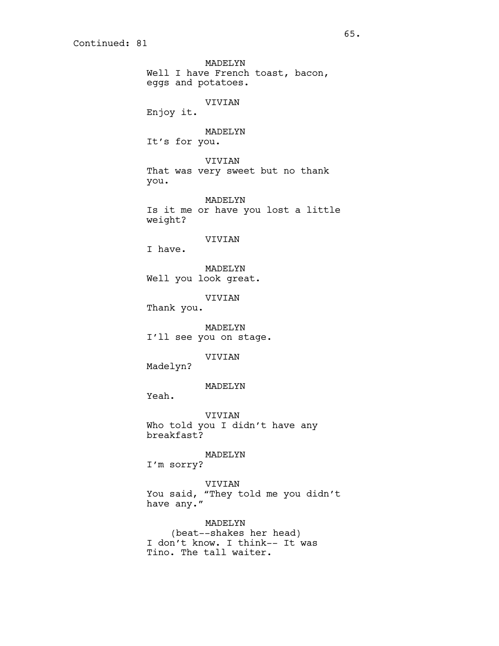MADELYN Well I have French toast, bacon, eggs and potatoes. VIVIAN Enjoy it. MADELYN It's for you. VIVIAN That was very sweet but no thank you. MADELYN Is it me or have you lost a little weight? VIVIAN I have. MADELYN Well you look great. VIVIAN Thank you. MADELYN I'll see you on stage. VIVIAN Madelyn? MADELYN Yeah. VIVIAN Who told you I didn't have any breakfast? MADELYN I'm sorry? VIVIAN You said, "They told me you didn't have any."

MADELYN (beat--shakes her head) I don't know. I think-- It was Tino. The tall waiter.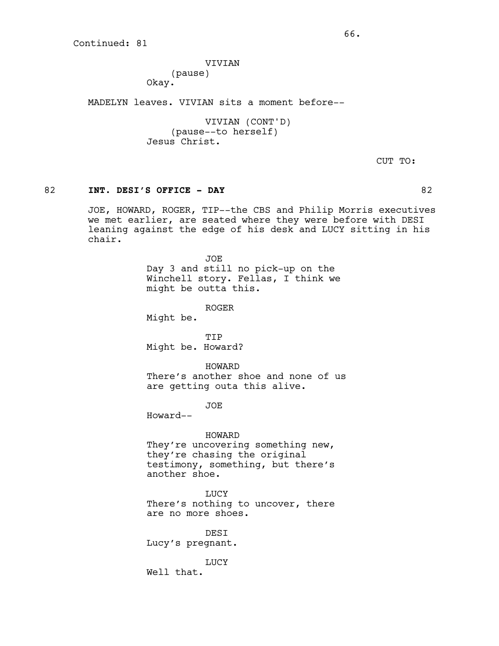VIVIAN (pause) Okay.

MADELYN leaves. VIVIAN sits a moment before--

VIVIAN (CONT'D) (pause--to herself) Jesus Christ.

CUT TO:

## 82 **INT. DESI'S OFFICE - DAY** 82

JOE, HOWARD, ROGER, TIP--the CBS and Philip Morris executives we met earlier, are seated where they were before with DESI leaning against the edge of his desk and LUCY sitting in his chair.

> JOE Day 3 and still no pick-up on the Winchell story. Fellas, I think we might be outta this.

> > ROGER

Might be.

TIP Might be. Howard?

HOWARD There's another shoe and none of us are getting outa this alive.

JOE

Howard--

#### HOWARD

They're uncovering something new, they're chasing the original testimony, something, but there's another shoe.

**LUCY** 

There's nothing to uncover, there are no more shoes.

DESI Lucy's pregnant.

LUCY Well that.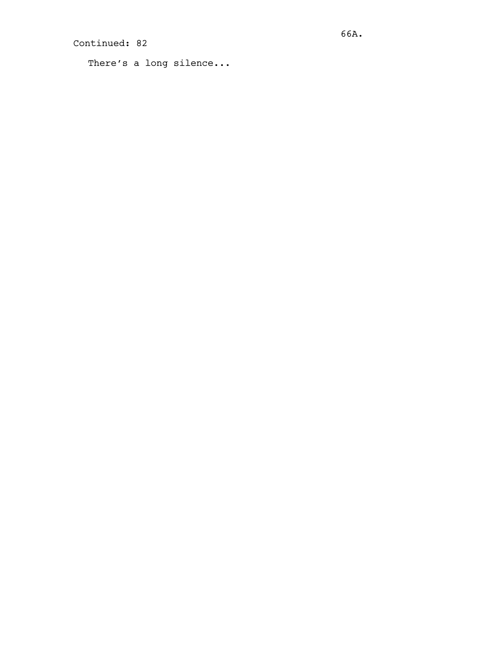```
There's a long silence...
```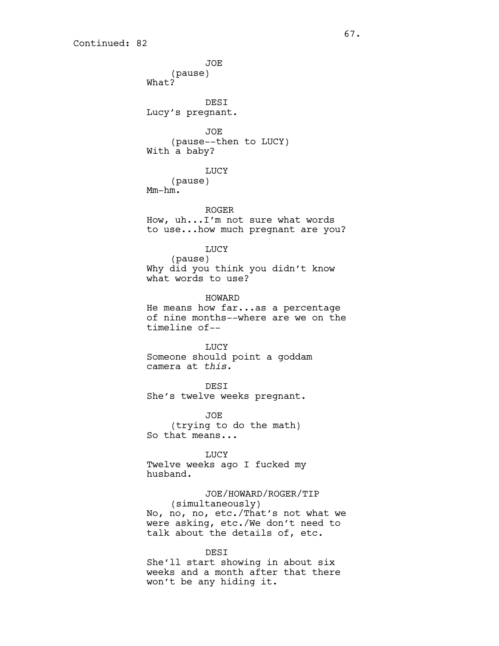JOE (pause) What? DESI Lucy's pregnant. JOE (pause--then to LUCY) With a baby? LUCY (pause) Mm-hm. ROGER How, uh...I'm not sure what words to use...how much pregnant are you? LUCY (pause) Why did you think you didn't know what words to use? HOWARD He means how far...as a percentage of nine months--where are we on the timeline of-- LUCY Someone should point a goddam camera at *this*. DESI She's twelve weeks pregnant. JOE (trying to do the math) So that means... **LUCY** Twelve weeks ago I fucked my husband. JOE/HOWARD/ROGER/TIP (simultaneously) No, no, no, etc./That's not what we were asking, etc./We don't need to talk about the details of, etc. DESI

She'll start showing in about six weeks and a month after that there won't be any hiding it.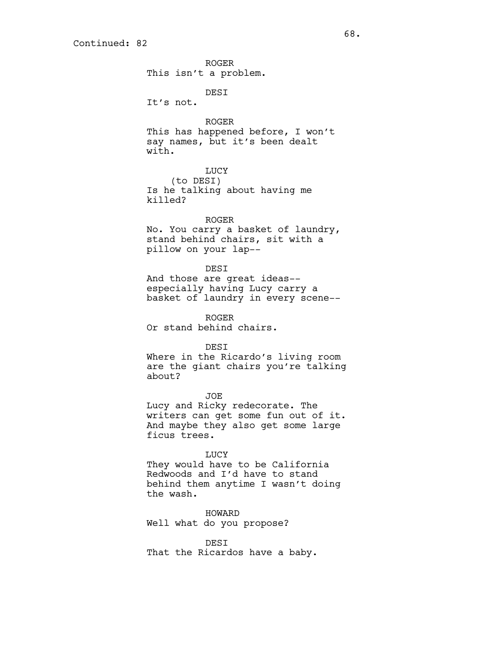ROGER This isn't a problem.

DESI

It's not.

ROGER

This has happened before, I won't say names, but it's been dealt with.

LUCY

(to DESI) Is he talking about having me killed?

## ROGER

No. You carry a basket of laundry, stand behind chairs, sit with a pillow on your lap--

## DESI

And those are great ideas- especially having Lucy carry a basket of laundry in every scene--

ROGER Or stand behind chairs.

DESI

Where in the Ricardo's living room are the giant chairs you're talking about?

JOE Lucy and Ricky redecorate. The writers can get some fun out of it. And maybe they also get some large ficus trees.

LUCY

They would have to be California Redwoods and I'd have to stand behind them anytime I wasn't doing the wash.

HOWARD Well what do you propose?

DESI That the Ricardos have a baby.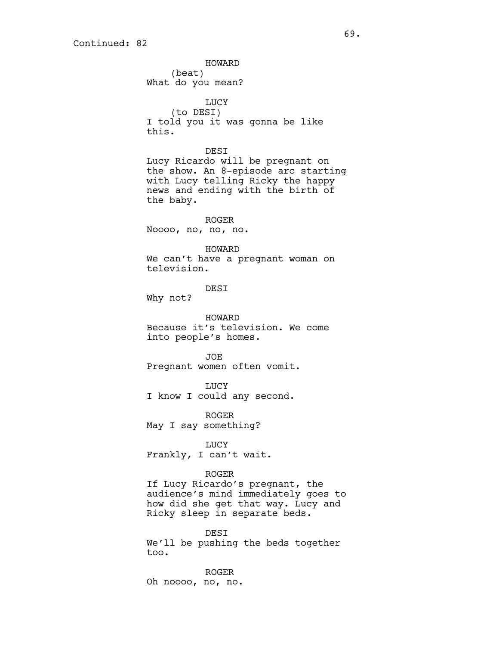HOWARD (beat) What do you mean? LUCY (to DESI) I told you it was gonna be like this. DESI Lucy Ricardo will be pregnant on the show. An 8-episode arc starting with Lucy telling Ricky the happy news and ending with the birth of the baby. ROGER Noooo, no, no, no. HOWARD We can't have a pregnant woman on television. DESI Why not? HOWARD Because it's television. We come into people's homes. JOE Pregnant women often vomit. LUCY I know I could any second. ROGER May I say something? LUCY Frankly, I can't wait. ROGER If Lucy Ricardo's pregnant, the audience's mind immediately goes to how did she get that way. Lucy and Ricky sleep in separate beds. DESI We'll be pushing the beds together too.

ROGER Oh noooo, no, no.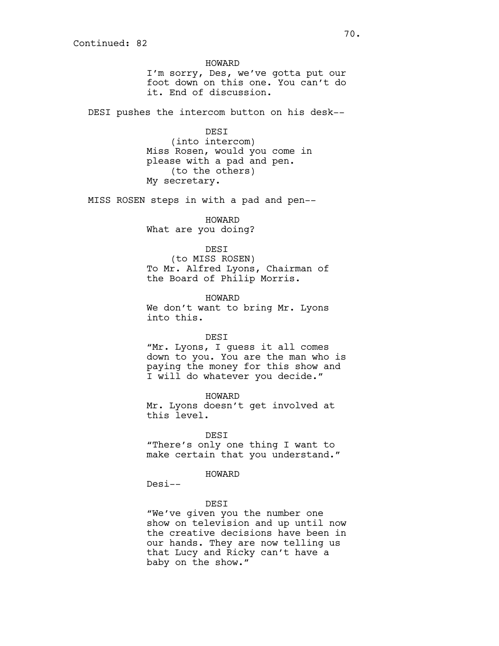HOWARD I'm sorry, Des, we've gotta put our foot down on this one. You can't do it. End of discussion.

DESI pushes the intercom button on his desk--

DESI (into intercom)

Miss Rosen, would you come in please with a pad and pen. (to the others) My secretary.

MISS ROSEN steps in with a pad and pen--

HOWARD What are you doing?

## DESI

(to MISS ROSEN) To Mr. Alfred Lyons, Chairman of the Board of Philip Morris.

HOWARD

We don't want to bring Mr. Lyons into this.

DESI

"Mr. Lyons, I guess it all comes down to you. You are the man who is paying the money for this show and I will do whatever you decide."

HOWARD Mr. Lyons doesn't get involved at this level.

DESI

"There's only one thing I want to make certain that you understand."

## HOWARD

Desi--

DESI

"We've given you the number one show on television and up until now the creative decisions have been in our hands. They are now telling us that Lucy and Ricky can't have a baby on the show."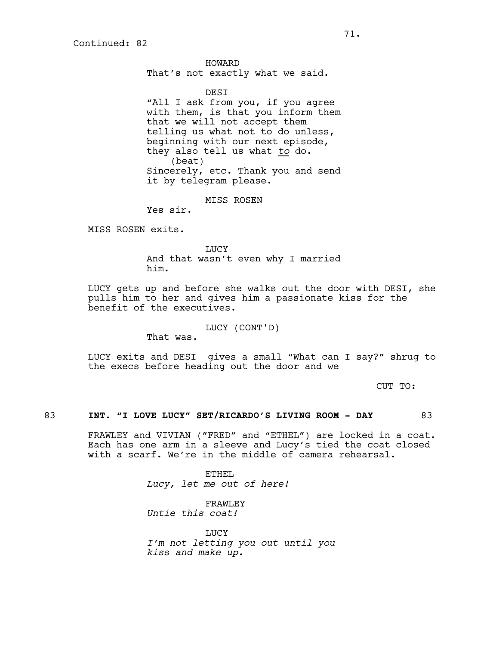HOWARD That's not exactly what we said.

DESI

"All I ask from you, if you agree with them, is that you inform them that we will not accept them telling us what not to do unless, beginning with our next episode, they also tell us what *to* do. (beat) Sincerely, etc. Thank you and send it by telegram please.

MISS ROSEN

Yes sir.

MISS ROSEN exits.

LUCY And that wasn't even why I married him.

LUCY gets up and before she walks out the door with DESI, she pulls him to her and gives him a passionate kiss for the benefit of the executives.

LUCY (CONT'D)

That was.

LUCY exits and DESI gives a small "What can I say?" shrug to the execs before heading out the door and we

CUT TO:

## 83 **INT. "I LOVE LUCY" SET/RICARDO'S LIVING ROOM - DAY** 83

FRAWLEY and VIVIAN ("FRED" and "ETHEL") are locked in a coat. Each has one arm in a sleeve and Lucy's tied the coat closed with a scarf. We're in the middle of camera rehearsal.

> ETHEL *Lucy, let me out of here!*

FRAWLEY *Untie this coat!*

LUCY *I'm not letting you out until you kiss and make up.*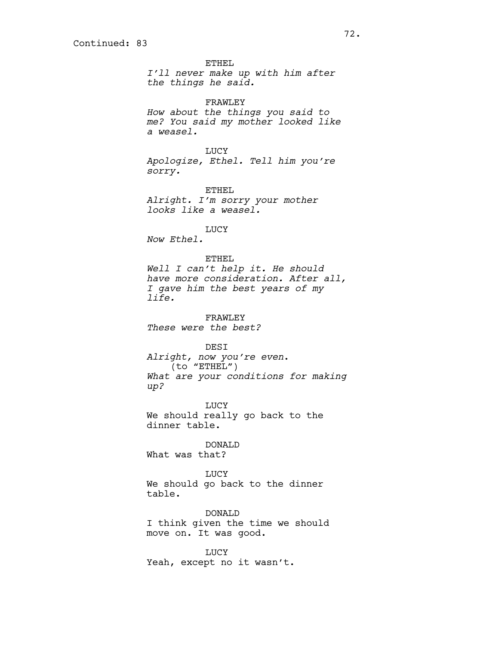ETHEL *I'll never make up with him after the things he said.* FRAWLEY *How about the things you said to me? You said my mother looked like a weasel.* LUCY *Apologize, Ethel. Tell him you're sorry.* ETHEL *Alright. I'm sorry your mother looks like a weasel.* LUCY *Now Ethel.* ETHEL *Well I can't help it. He should have more consideration. After all, I gave him the best years of my life.* FRAWLEY *These were the best?* DESI *Alright, now you're even*. (to "ETHEL") *What are your conditions for making up?* LUCY We should really go back to the dinner table. DONALD What was that? LUCY We should go back to the dinner table. DONALD I think given the time we should move on. It was good.

LUCY Yeah, except no it wasn't.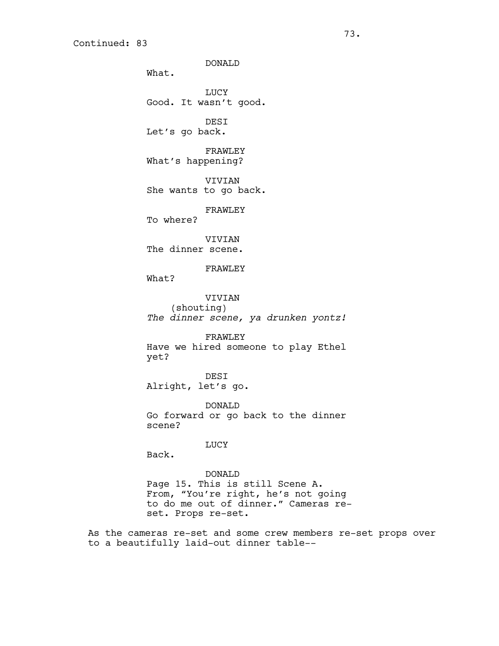DONALD What. LUCY Good. It wasn't good. DESI Let's go back. FRAWLEY What's happening? VIVIAN She wants to go back. FRAWLEY To where? VIVIAN The dinner scene. FRAWLEY What? VIVIAN (shouting) *The dinner scene, ya drunken yontz!* FRAWLEY Have we hired someone to play Ethel yet? DESI Alright, let's go. DONALD Go forward or go back to the dinner scene? LUCY Back. DONALD Page 15. This is still Scene A. From, "You're right, he's not going to do me out of dinner." Cameras re-

set. Props re-set.

As the cameras re-set and some crew members re-set props over to a beautifully laid-out dinner table--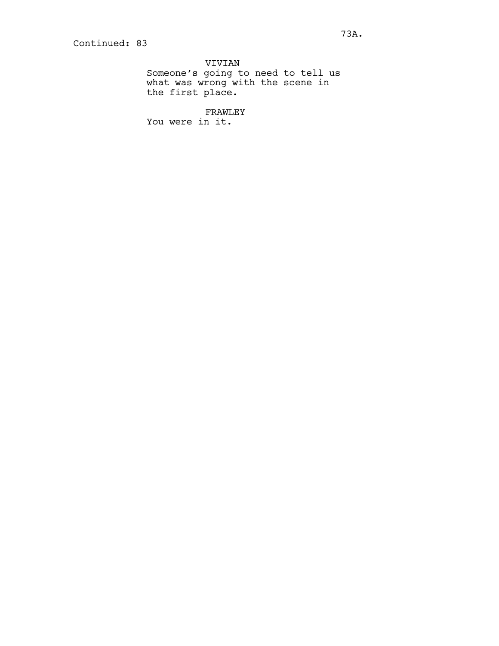VIVIAN Someone's going to need to tell us what was wrong with the scene in the first place.

FRAWLEY You were in it.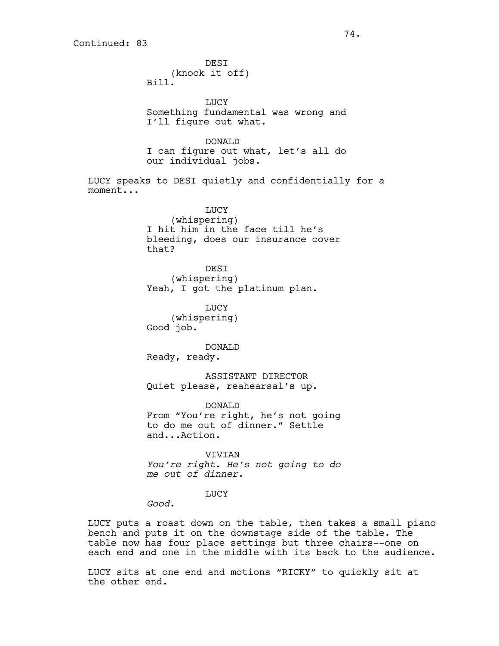**DEST** (knock it off) Bill. LUCY Something fundamental was wrong and I'll figure out what. DONALD I can figure out what, let's all do our individual jobs. LUCY speaks to DESI quietly and confidentially for a moment... LUCY (whispering) I hit him in the face till he's bleeding, does our insurance cover that? DESI (whispering) Yeah, I got the platinum plan. LUCY (whispering) Good job. DONALD Ready, ready. ASSISTANT DIRECTOR Quiet please, reahearsal's up. DONALD From "You're right, he's not going to do me out of dinner." Settle and...Action. VIVIAN *You're right. He's not going to do me out of dinner.* **LUCY** *Good.*

LUCY puts a roast down on the table, then takes a small piano bench and puts it on the downstage side of the table. The table now has four place settings but three chairs--one on each end and one in the middle with its back to the audience.

LUCY sits at one end and motions "RICKY" to quickly sit at the other end.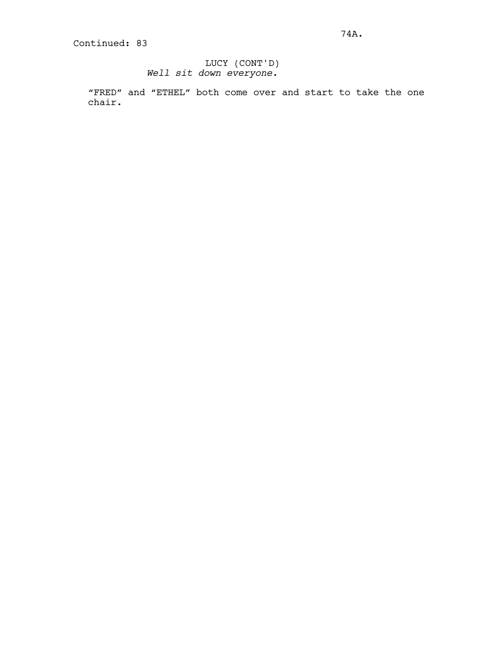# LUCY (CONT'D) *Well sit down everyone.*

"FRED" and "ETHEL" both come over and start to take the one chair.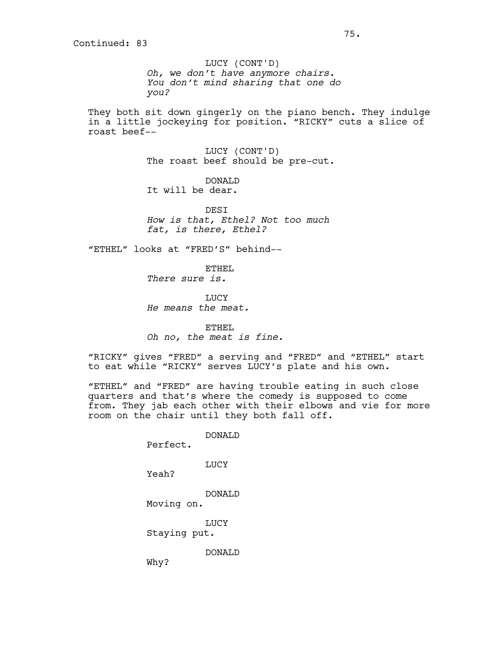LUCY (CONT'D) *Oh, we don't have anymore chairs. You don't mind sharing that one do you?*

They both sit down gingerly on the piano bench. They indulge in a little jockeying for position. "RICKY" cuts a slice of roast beef--

> LUCY (CONT'D) The roast beef should be pre-cut.

DONALD It will be dear.

**DEST** *How is that, Ethel? Not too much fat, is there, Ethel?*

"ETHEL" looks at "FRED'S" behind--

ETHEL *There sure is.*

**TJUCY** *He means the meat.*

ETHEL *Oh no, the meat is fine.*

"RICKY" gives "FRED" a serving and "FRED" and "ETHEL" start to eat while "RICKY" serves LUCY's plate and his own.

"ETHEL" and "FRED" are having trouble eating in such close quarters and that's where the comedy is supposed to come from. They jab each other with their elbows and vie for more room on the chair until they both fall off.

DONALD

Perfect.

LUCY

Yeah?

Why?

DONALD Moving on.

LUCY

Staying put.

DONALD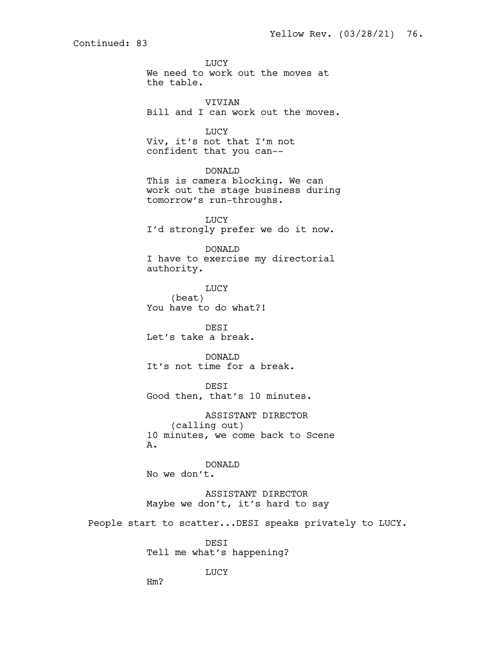**LUCY** We need to work out the moves at the table.

VIVIAN Bill and I can work out the moves.

LUCY Viv, it's not that I'm not confident that you can--

DONALD This is camera blocking. We can work out the stage business during tomorrow's run-throughs.

LUCY I'd strongly prefer we do it now.

DONALD I have to exercise my directorial authority.

LUCY (beat) You have to do what?!

DESI Let's take a break.

DONALD It's not time for a break.

DESI Good then, that's 10 minutes.

ASSISTANT DIRECTOR (calling out) 10 minutes, we come back to Scene A.

DONALD No we don't.

ASSISTANT DIRECTOR Maybe we don't, it's hard to say

People start to scatter...DESI speaks privately to LUCY.

DESI Tell me what's happening?

LUCY

Hm?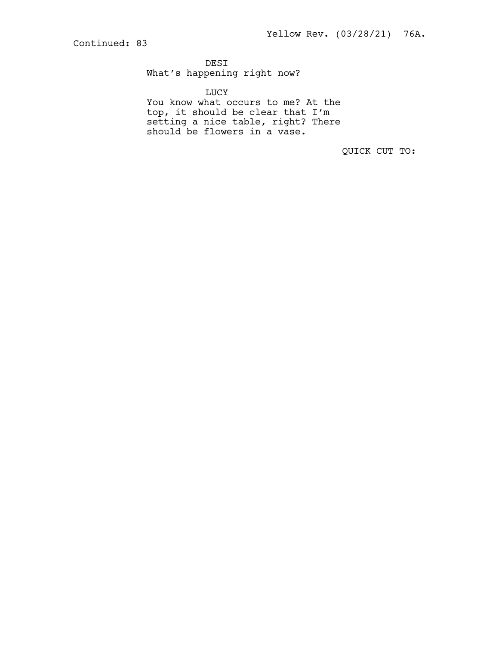DESI

What's happening right now?

LUCY

You know what occurs to me? At the top, it should be clear that I'm setting a nice table, right? There should be flowers in a vase.

QUICK CUT TO: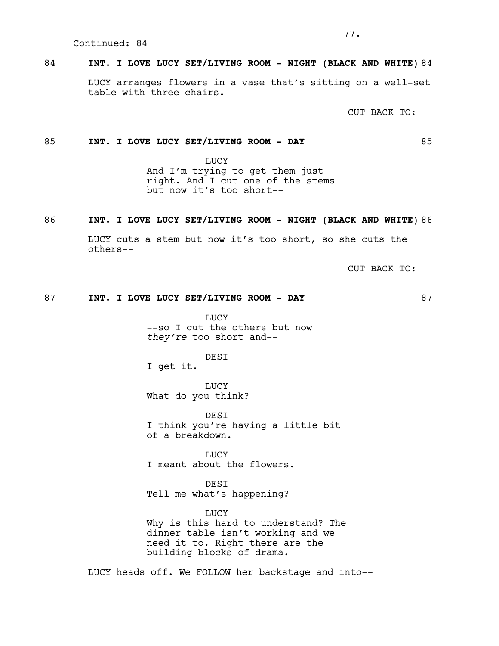## 84 **INT. I LOVE LUCY SET/LIVING ROOM - NIGHT (BLACK AND WHITE)** 84

LUCY arranges flowers in a vase that's sitting on a well-set table with three chairs.

CUT BACK TO:

## 85 **INT. I LOVE LUCY SET/LIVING ROOM - DAY** 85

**LUCY** And I'm trying to get them just right. And I cut one of the stems but now it's too short--

## 86 **INT. I LOVE LUCY SET/LIVING ROOM - NIGHT (BLACK AND WHITE)** 86

LUCY cuts a stem but now it's too short, so she cuts the others--

CUT BACK TO:

# 87 **INT. I LOVE LUCY SET/LIVING ROOM - DAY** 87

LUCY --so I cut the others but now *they're* too short and--

DESI

I get it.

LUCY What do you think?

DESI I think you're having a little bit of a breakdown.

**LUCY** I meant about the flowers.

DESI Tell me what's happening?

**LUCY** Why is this hard to understand? The dinner table isn't working and we need it to. Right there are the building blocks of drama.

LUCY heads off. We FOLLOW her backstage and into--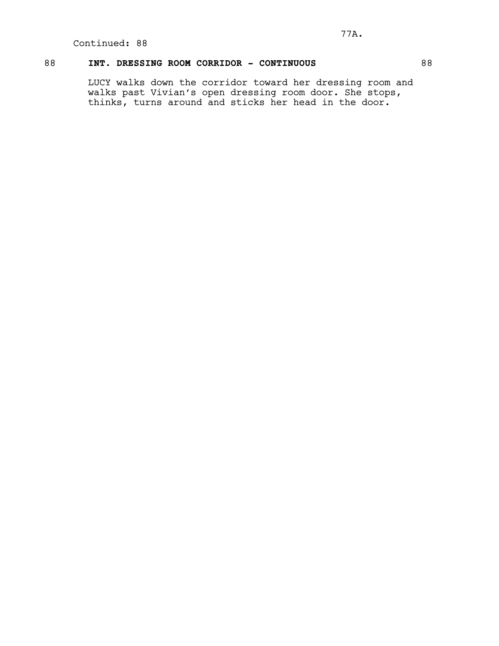# 88 **INT. DRESSING ROOM CORRIDOR - CONTINUOUS** 88

LUCY walks down the corridor toward her dressing room and walks past Vivian's open dressing room door. She stops, thinks, turns around and sticks her head in the door.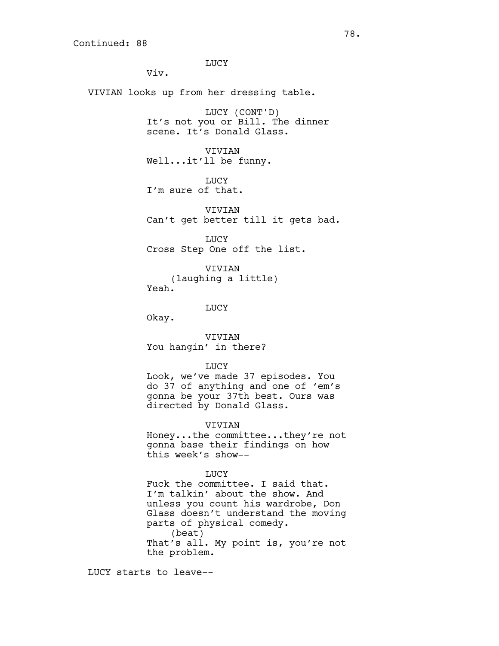LUCY Viv. VIVIAN looks up from her dressing table. LUCY (CONT'D) It's not you or Bill. The dinner scene. It's Donald Glass. VIVIAN Well...it'll be funny. LUCY I'm sure of that. VIVIAN Can't get better till it gets bad. LUCY Cross Step One off the list. VIVIAN (laughing a little) Yeah. LUCY Okay. VIVIAN You hangin' in there? LUCY Look, we've made 37 episodes. You do 37 of anything and one of 'em's gonna be your 37th best. Ours was directed by Donald Glass. VIVIAN Honey...the committee...they're not gonna base their findings on how this week's show-- **TJUCY** Fuck the committee. I said that. I'm talkin' about the show. And

unless you count his wardrobe, Don Glass doesn't understand the moving parts of physical comedy. (beat) That's all. My point is, you're not the problem.

LUCY starts to leave--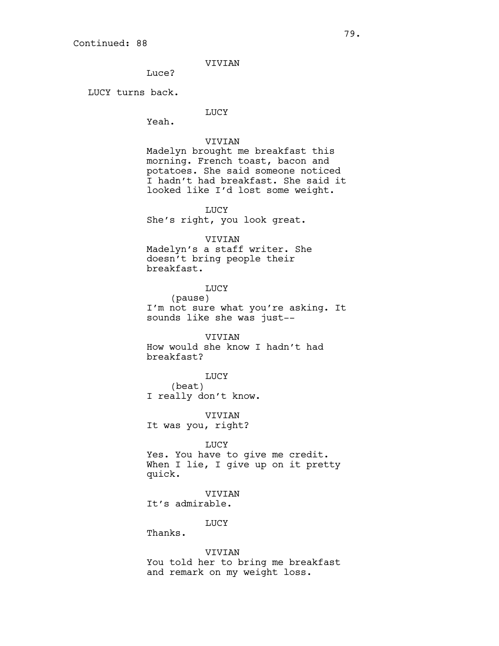VIVIAN

Luce?

LUCY turns back.

## LUCY

Yeah.

## VIVIAN

Madelyn brought me breakfast this morning. French toast, bacon and potatoes. She said someone noticed I hadn't had breakfast. She said it looked like I'd lost some weight.

## LUCY

She's right, you look great.

## VIVIAN

Madelyn's a staff writer. She doesn't bring people their breakfast.

# LUCY (pause) I'm not sure what you're asking. It sounds like she was just--

VIVIAN How would she know I hadn't had breakfast?

LUCY (beat) I really don't know.

VIVIAN It was you, right?

## LUCY

Yes. You have to give me credit. When I lie, I give up on it pretty quick.

VIVIAN It's admirable.

## LUCY

Thanks.

## VIVIAN

You told her to bring me breakfast and remark on my weight loss.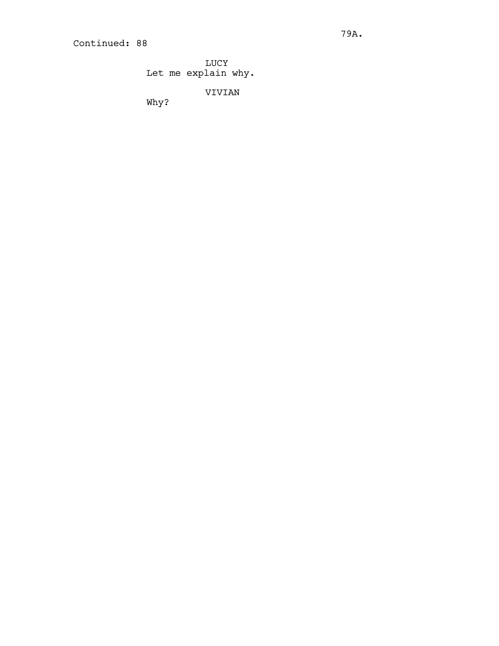LUCY Let me explain why.

VIVIAN

Why?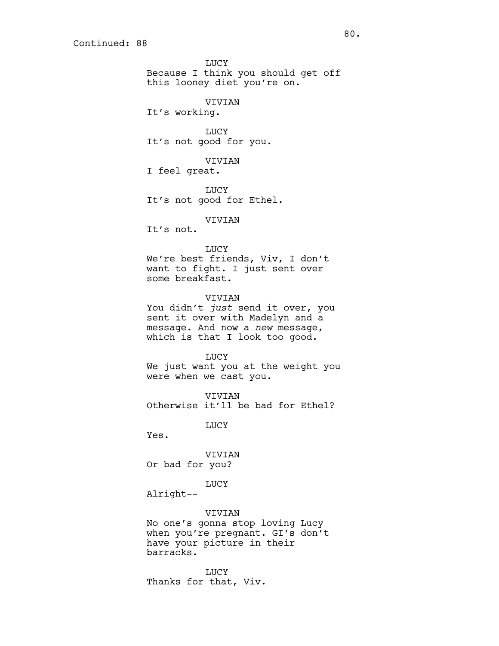LUCY Because I think you should get off this looney diet you're on. VIVIAN It's working. LUCY It's not good for you. VIVIAN I feel great. **LUCY** It's not good for Ethel. VIVIAN It's not. LUCY We're best friends, Viv, I don't want to fight. I just sent over some breakfast. VIVIAN You didn't *just* send it over, you sent it over with Madelyn and a message. And now a *new* message, which is that I look too good. LUCY We just want you at the weight you were when we cast you. VIVIAN Otherwise it'll be bad for Ethel? LUCY Yes. VIVIAN Or bad for you? LUCY Alright--

VIVIAN No one's gonna stop loving Lucy when you're pregnant. GI's don't have your picture in their barracks.

LUCY Thanks for that, Viv.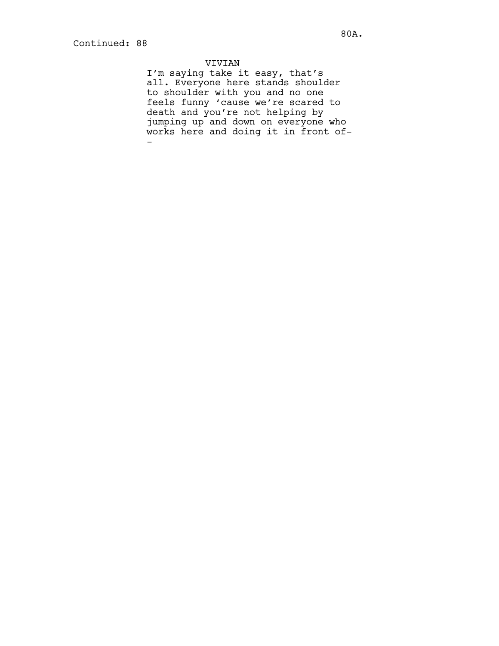# VIVIAN

I'm saying take it easy, that's all. Everyone here stands shoulder to shoulder with you and no one feels funny 'cause we're scared to death and you're not helping by jumping up and down on everyone who works here and doing it in front of- -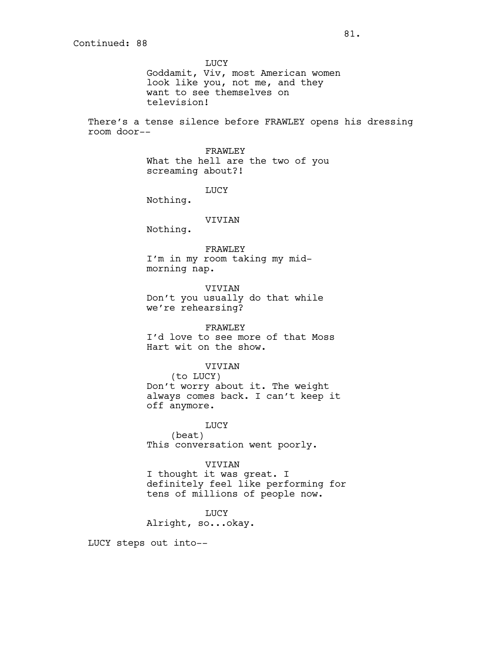LUCY Goddamit, Viv, most American women look like you, not me, and they want to see themselves on television!

There's a tense silence before FRAWLEY opens his dressing room door--

> FRAWLEY What the hell are the two of you screaming about?!

> > LUCY

Nothing.

## VIVIAN

Nothing.

#### FRAWLEY

I'm in my room taking my midmorning nap.

VIVIAN Don't you usually do that while we're rehearsing?

# FRAWLEY

I'd love to see more of that Moss Hart wit on the show.

## VIVIAN

(to LUCY) Don't worry about it. The weight always comes back. I can't keep it off anymore.

LUCY (beat) This conversation went poorly.

#### VIVIAN

I thought it was great. I definitely feel like performing for tens of millions of people now.

LUCY Alright, so...okay.

LUCY steps out into--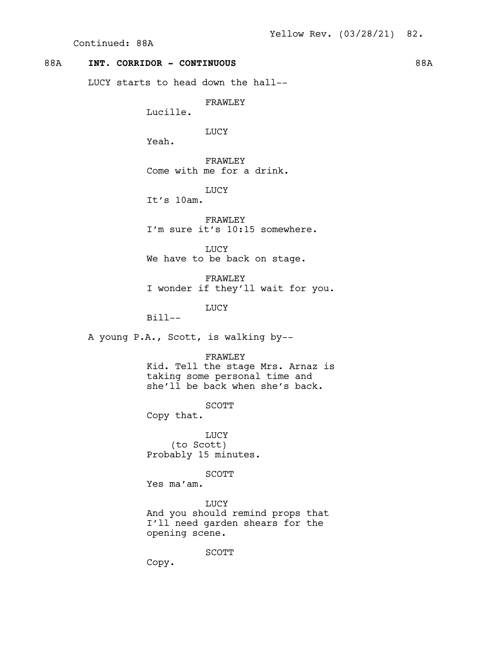Continued: 88A

# 88A **INT. CORRIDOR - CONTINUOUS** 88A

LUCY starts to head down the hall--

FRAWLEY

Lucille.

LUCY

Yeah.

FRAWLEY Come with me for a drink.

LUCY

It's 10am.

FRAWLEY I'm sure it's 10:15 somewhere.

LUCY We have to be back on stage.

FRAWLEY I wonder if they'll wait for you.

LUCY

Bill--

A young P.A., Scott, is walking by--

FRAWLEY

Kid. Tell the stage Mrs. Arnaz is taking some personal time and she'll be back when she's back.

SCOTT

Copy that.

LUCY (to Scott) Probably 15 minutes.

SCOTT

Yes ma'am.

LUCY And you should remind props that I'll need garden shears for the opening scene.

SCOTT

Copy.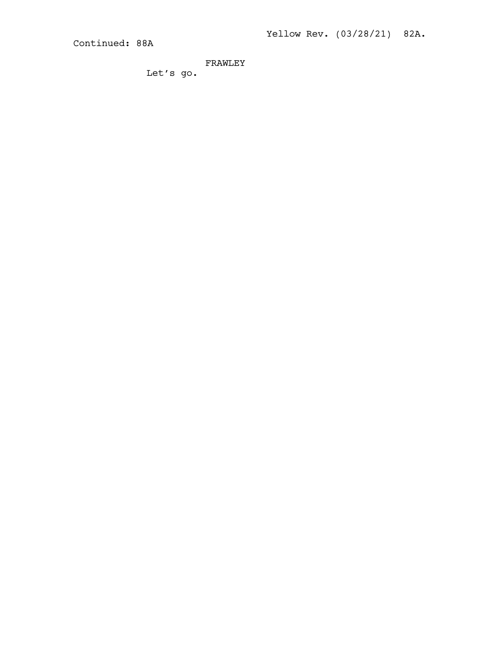Yellow Rev. (03/28/21) 82A.

Continued: 88A

FRAWLEY

Let's go.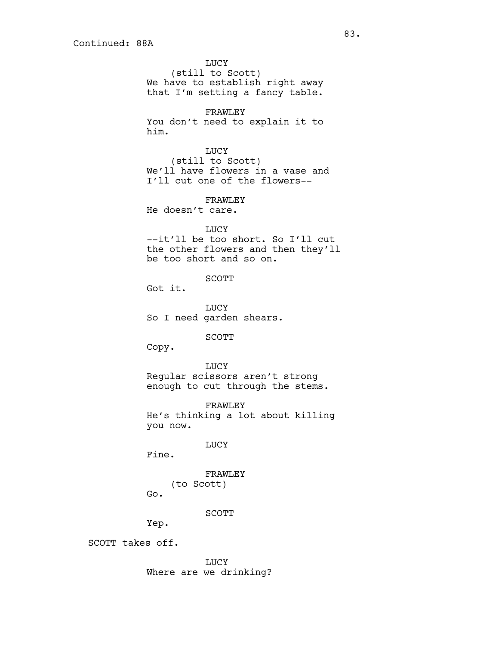**LUCY** (still to Scott) We have to establish right away that I'm setting a fancy table. FRAWLEY You don't need to explain it to him. LUCY (still to Scott) We'll have flowers in a vase and I'll cut one of the flowers-- FRAWLEY He doesn't care. LUCY --it'll be too short. So I'll cut the other flowers and then they'll be too short and so on. SCOTT Got it. LUCY So I need garden shears. SCOTT Copy. LUCY Regular scissors aren't strong enough to cut through the stems. FRAWLEY He's thinking a lot about killing you now. LUCY Fine. FRAWLEY (to Scott) Go. SCOTT Yep. SCOTT takes off. LUCY

Where are we drinking?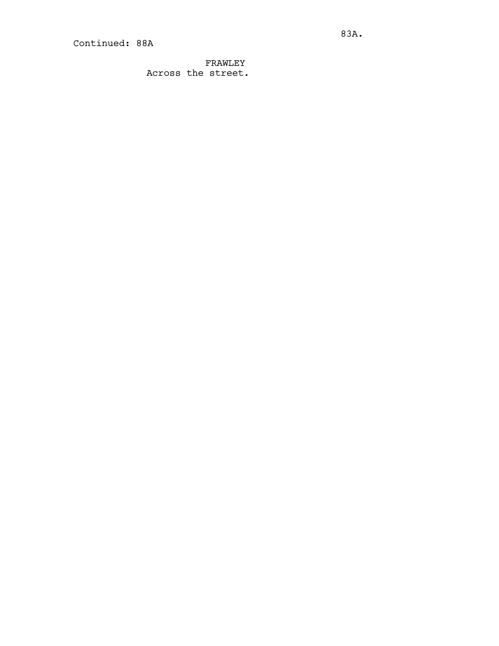FRAWLEY Across the street.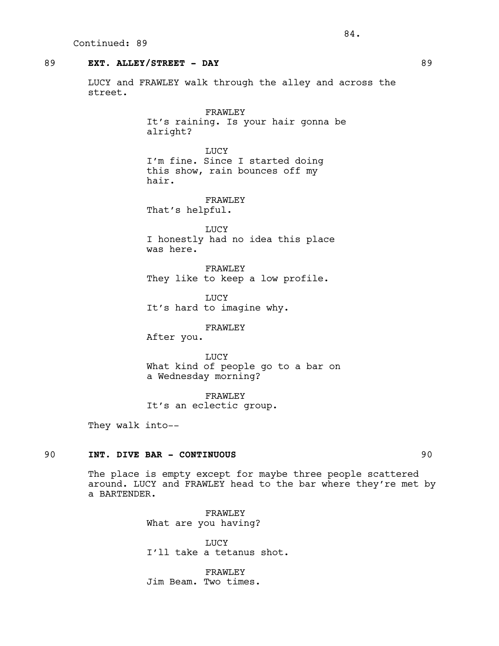## 89 **EXT. ALLEY/STREET - DAY** 89

LUCY and FRAWLEY walk through the alley and across the street.

> FRAWLEY It's raining. Is your hair gonna be alright?

**TJUCY** I'm fine. Since I started doing this show, rain bounces off my hair.

FRAWLEY That's helpful.

**LUCY** I honestly had no idea this place was here.

FRAWLEY They like to keep a low profile.

**LUCY** It's hard to imagine why.

FRAWLEY

After you.

LUCY What kind of people go to a bar on a Wednesday morning?

FRAWLEY It's an eclectic group.

They walk into--

# 90 **INT. DIVE BAR - CONTINUOUS** 90

The place is empty except for maybe three people scattered around. LUCY and FRAWLEY head to the bar where they're met by a BARTENDER.

> FRAWLEY What are you having?

LUCY I'll take a tetanus shot.

FRAWLEY Jim Beam. Two times.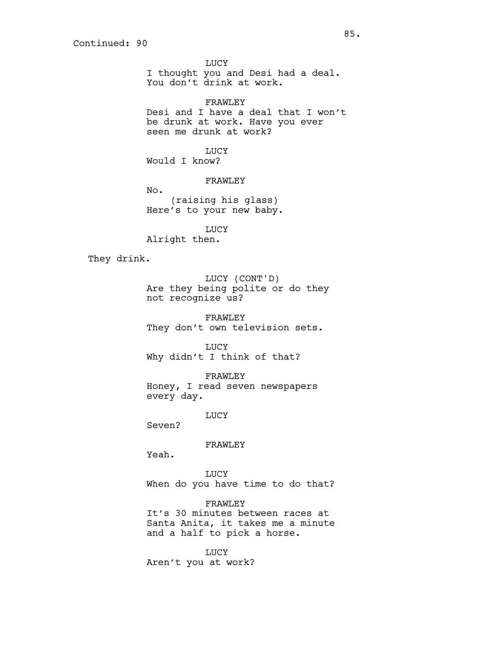LUCY I thought you and Desi had a deal. You don't drink at work.

FRAWLEY Desi and I have a deal that I won't be drunk at work. Have you ever seen me drunk at work?

**TJUCY** Would I know?

FRAWLEY

No. (raising his glass) Here's to your new baby.

LUCY Alright then.

They drink.

LUCY (CONT'D) Are they being polite or do they not recognize us?

FRAWLEY They don't own television sets.

LUCY Why didn't I think of that?

FRAWLEY Honey, I read seven newspapers every day.

LUCY

Seven?

FRAWLEY

Yeah.

LUCY When do you have time to do that?

FRAWLEY It's 30 minutes between races at Santa Anita, it takes me a minute and a half to pick a horse.

LUCY Aren't you at work?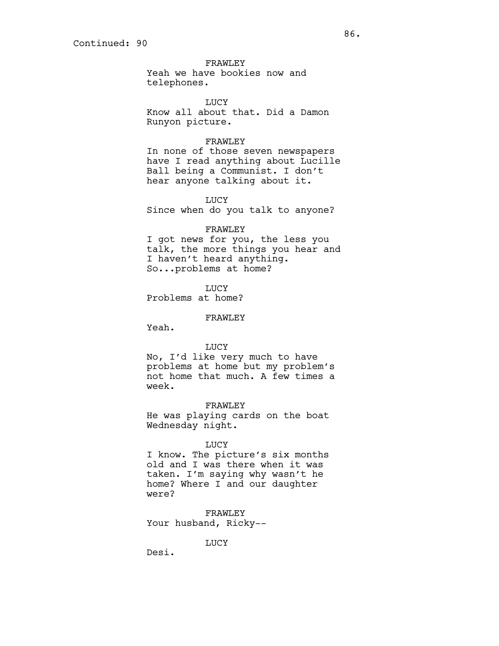FRAWLEY Yeah we have bookies now and telephones.

LUCY Know all about that. Did a Damon Runyon picture.

## FRAWLEY

In none of those seven newspapers have I read anything about Lucille Ball being a Communist. I don't hear anyone talking about it.

LUCY

Since when do you talk to anyone?

#### FRAWLEY

I got news for you, the less you talk, the more things you hear and I haven't heard anything. So...problems at home?

LUCY Problems at home?

#### FRAWLEY

Yeah.

#### LUCY

No, I'd like very much to have problems at home but my problem's not home that much. A few times a week.

FRAWLEY He was playing cards on the boat Wednesday night.

## LUCY

I know. The picture's six months old and I was there when it was taken. I'm saying why wasn't he home? Where I and our daughter were?

FRAWLEY Your husband, Ricky--

LUCY

Desi.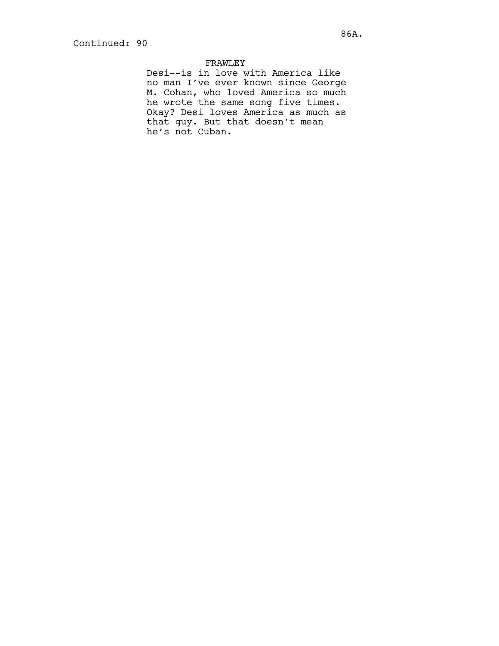# FRAWLEY

Desi--is in love with America like no man I've ever known since George M. Cohan, who loved America so much he wrote the same song five times. Okay? Desi loves America as much as that guy. But that doesn't mean he's not Cuban.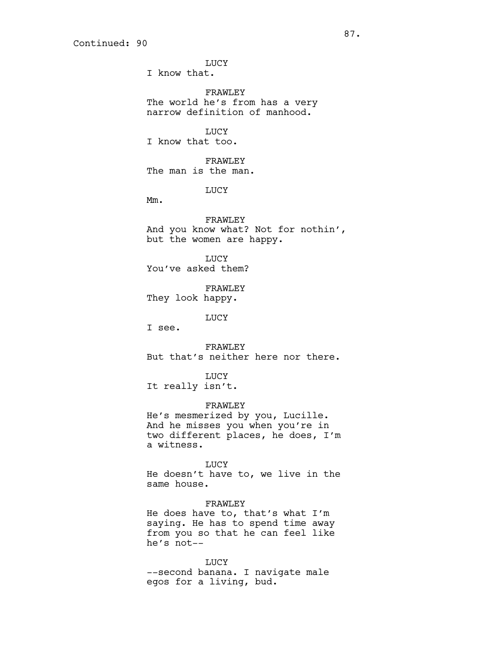**LUCY** I know that.

FRAWLEY The world he's from has a very narrow definition of manhood.

LUCY

I know that too.

FRAWLEY The man is the man.

LUCY

Mm.

FRAWLEY And you know what? Not for nothin', but the women are happy.

**TJUCY** You've asked them?

FRAWLEY They look happy.

LUCY

I see.

FRAWLEY But that's neither here nor there.

LUCY It really isn't.

FRAWLEY

He's mesmerized by you, Lucille. And he misses you when you're in two different places, he does, I'm a witness.

LUCY

He doesn't have to, we live in the same house.

FRAWLEY He does have to, that's what I'm saying. He has to spend time away from you so that he can feel like he's not--

LUCY --second banana. I navigate male egos for a living, bud.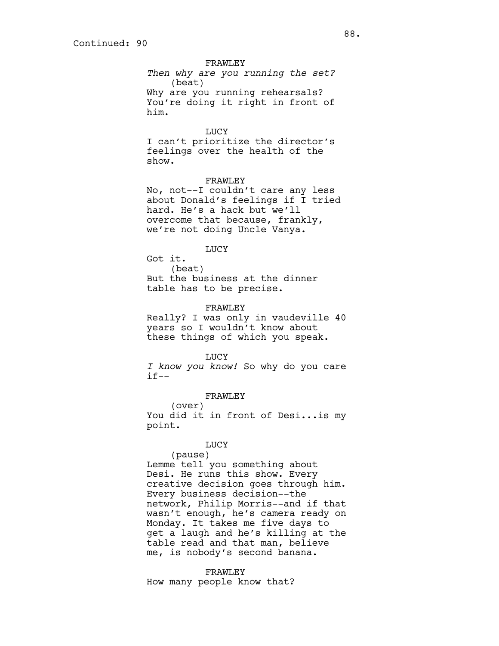FRAWLEY *Then why are you running the set?* (beat) Why are you running rehearsals? You're doing it right in front of him.

LUCY

I can't prioritize the director's feelings over the health of the show.

FRAWLEY

No, not--I couldn't care any less about Donald's feelings if I tried hard. He's a hack but we'll overcome that because, frankly, we're not doing Uncle Vanya.

LUCY

Got it. (beat) But the business at the dinner table has to be precise.

FRAWLEY

Really? I was only in vaudeville 40 years so I wouldn't know about these things of which you speak.

LUCY

*I know you know!* So why do you care  $if--$ 

FRAWLEY

(over) You did it in front of Desi...is my point.

## LUCY

(pause) Lemme tell you something about Desi. He runs this show. Every creative decision goes through him. Every business decision--the network, Philip Morris--and if that wasn't enough, he's camera ready on Monday. It takes me five days to get a laugh and he's killing at the table read and that man, believe me, is nobody's second banana.

FRAWLEY

How many people know that?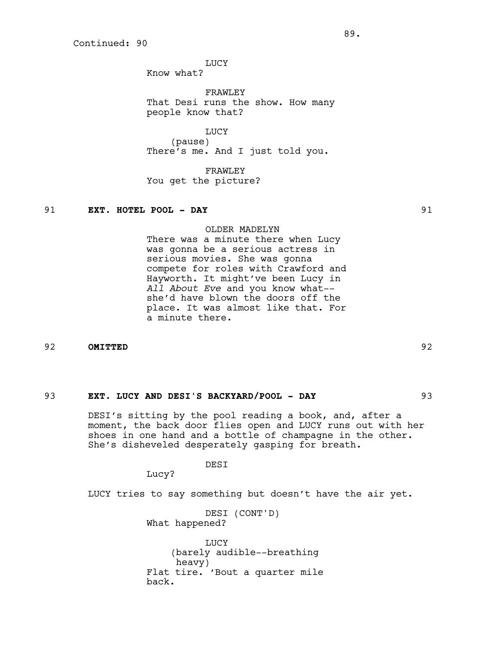LUCY

Know what?

FRAWLEY That Desi runs the show. How many people know that?

LUCY (pause) There's me. And I just told you.

FRAWLEY You get the picture?

## 91 **EXT. HOTEL POOL - DAY** 91

OLDER MADELYN

There was a minute there when Lucy was gonna be a serious actress in serious movies. She was gonna compete for roles with Crawford and Hayworth. It might've been Lucy in *All About Eve* and you know what- she'd have blown the doors off the place. It was almost like that. For a minute there.

92 **OMITTED** 92

## 93 **EXT. LUCY AND DESI'S BACKYARD/POOL - DAY** 93

DESI's sitting by the pool reading a book, and, after a moment, the back door flies open and LUCY runs out with her shoes in one hand and a bottle of champagne in the other. She's disheveled desperately gasping for breath.

DESI

Lucy?

LUCY tries to say something but doesn't have the air yet.

DESI (CONT'D) What happened?

LUCY (barely audible--breathing heavy) Flat tire. 'Bout a quarter mile back.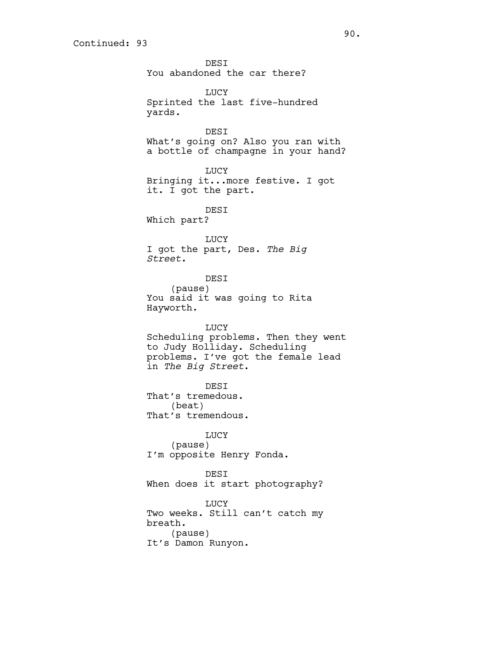**DEST** You abandoned the car there? LUCY Sprinted the last five-hundred yards. DESI What's going on? Also you ran with a bottle of champagne in your hand? LUCY Bringing it...more festive. I got it. I got the part. DESI Which part? LUCY I got the part, Des. *The Big Street.* DESI (pause) You said it was going to Rita Hayworth. LUCY Scheduling problems. Then they went to Judy Holliday. Scheduling problems. I've got the female lead in *The Big Street*. DESI That's tremedous. (beat) That's tremendous. LUCY (pause) I'm opposite Henry Fonda. DESI When does it start photography? LUCY Two weeks. Still can't catch my breath. (pause)

It's Damon Runyon.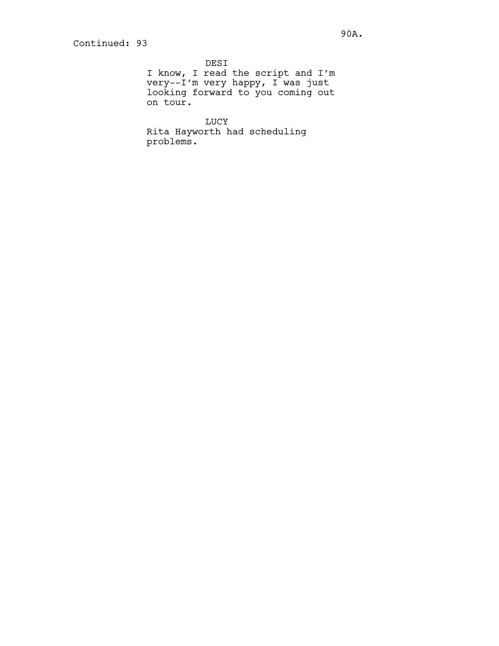DESI I know, I read the script and I'm very--I'm very happy, I was just looking forward to you coming out on tour.

LUCY Rita Hayworth had scheduling problems.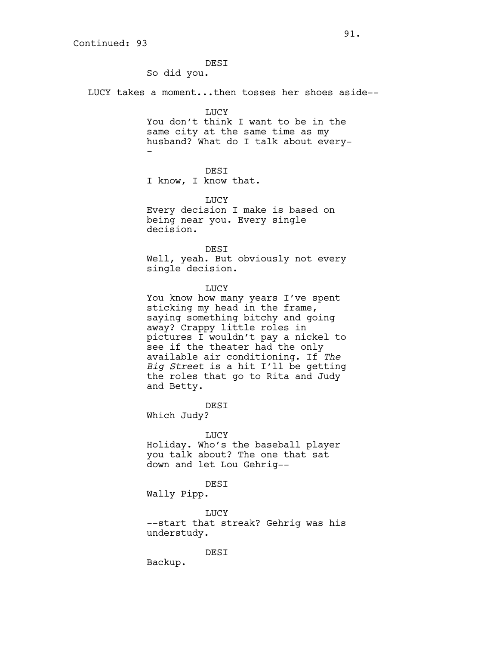DESI So did you. LUCY takes a moment...then tosses her shoes aside--

LUCY

You don't think I want to be in the same city at the same time as my husband? What do I talk about every- -

DESI

I know, I know that.

LUCY Every decision I make is based on being near you. Every single decision.

DESI Well, yeah. But obviously not every single decision.

LUCY

You know how many years I've spent sticking my head in the frame, saying something bitchy and going away? Crappy little roles in pictures I wouldn't pay a nickel to see if the theater had the only available air conditioning. If *The Big Street* is a hit I'll be getting the roles that go to Rita and Judy and Betty.

DESI Which Judy?

LUCY

Holiday. Who's the baseball player you talk about? The one that sat down and let Lou Gehrig--

#### DESI

Wally Pipp.

LUCY --start that streak? Gehrig was his understudy.

DESI

Backup.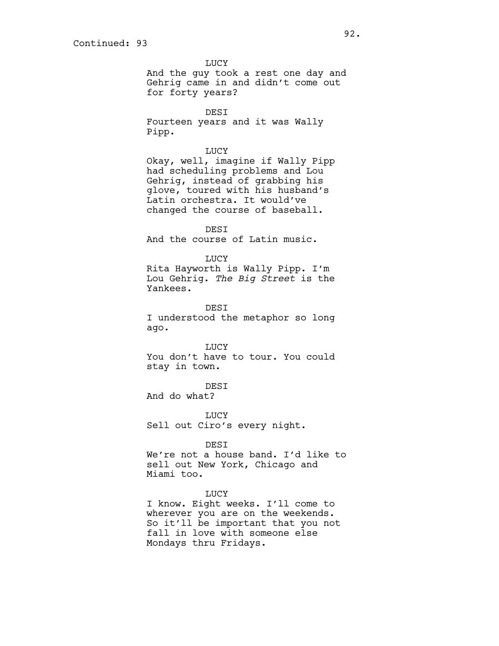LUCY And the guy took a rest one day and Gehrig came in and didn't come out for forty years? DESI Fourteen years and it was Wally Pipp. LUCY Okay, well, imagine if Wally Pipp had scheduling problems and Lou Gehrig, instead of grabbing his glove, toured with his husband's Latin orchestra. It would've changed the course of baseball. DESI And the course of Latin music. LUCY Rita Hayworth is Wally Pipp. I'm Lou Gehrig. *The Big Street* is the Yankees. DESI I understood the metaphor so long ago. LUCY You don't have to tour. You could stay in town. DESI And do what? LUCY Sell out Ciro's every night. DESI We're not a house band. I'd like to sell out New York, Chicago and Miami too. LUCY I know. Eight weeks. I'll come to wherever you are on the weekends. So it'll be important that you not fall in love with someone else Mondays thru Fridays.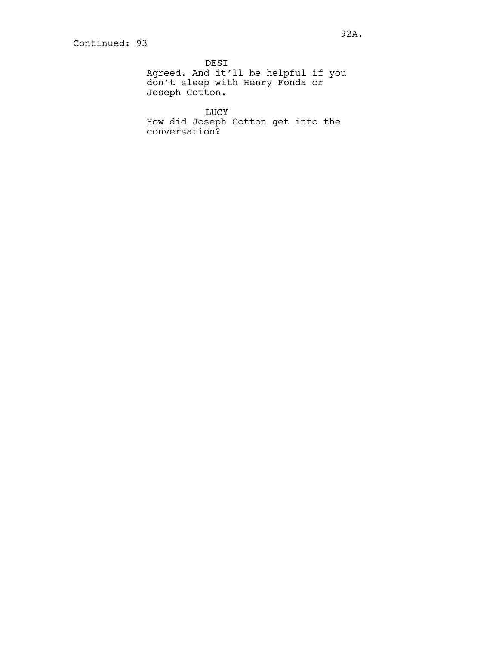DESI Agreed. And it'll be helpful if you don't sleep with Henry Fonda or Joseph Cotton.

LUCY How did Joseph Cotton get into the conversation?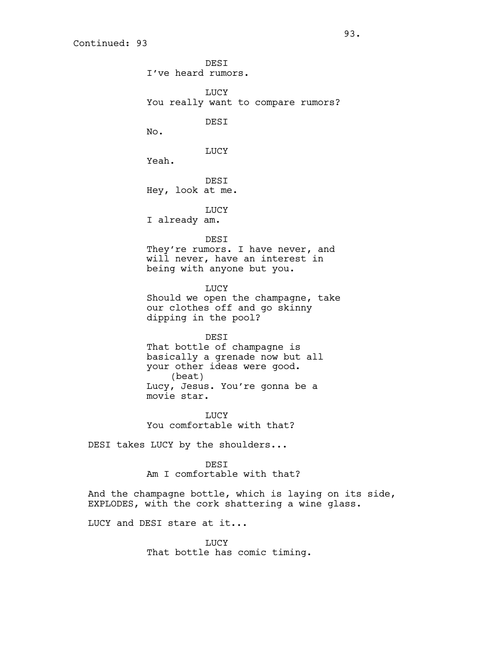**DEST** I've heard rumors. LUCY You really want to compare rumors? DESI No. LUCY Yeah. DESI Hey, look at me. LUCY I already am. DESI They're rumors. I have never, and will never, have an interest in being with anyone but you. LUCY Should we open the champagne, take our clothes off and go skinny dipping in the pool? DESI That bottle of champagne is basically a grenade now but all your other ideas were good. (beat) Lucy, Jesus. You're gonna be a movie star. LUCY You comfortable with that?

DESI takes LUCY by the shoulders...

DESI Am I comfortable with that?

And the champagne bottle, which is laying on its side, EXPLODES, with the cork shattering a wine glass.

LUCY and DESI stare at it...

LUCY That bottle has comic timing.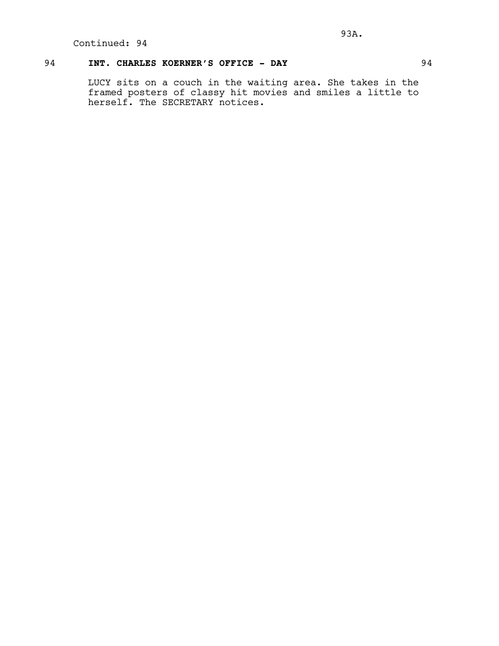## 94 **INT. CHARLES KOERNER'S OFFICE - DAY** 94

LUCY sits on a couch in the waiting area. She takes in the framed posters of classy hit movies and smiles a little to herself. The SECRETARY notices.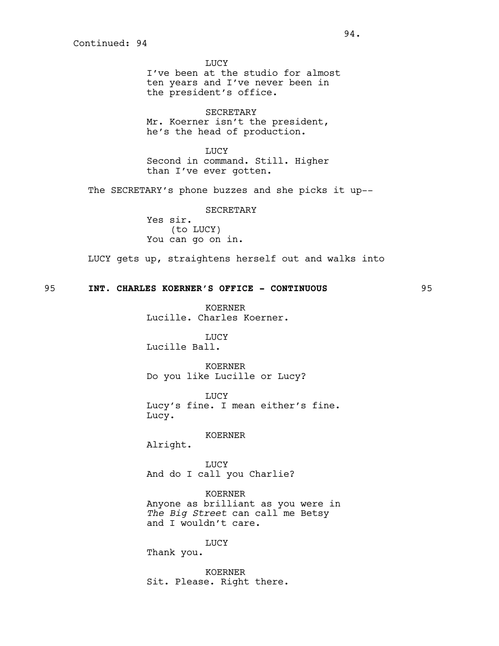LUCY I've been at the studio for almost ten years and I've never been in the president's office.

SECRETARY Mr. Koerner isn't the president, he's the head of production.

LUCY Second in command. Still. Higher than I've ever gotten.

The SECRETARY's phone buzzes and she picks it up--

SECRETARY

Yes sir. (to LUCY) You can go on in.

LUCY gets up, straightens herself out and walks into

## 95 **INT. CHARLES KOERNER'S OFFICE - CONTINUOUS** 95

KOERNER Lucille. Charles Koerner.

LUCY Lucille Ball.

KOERNER Do you like Lucille or Lucy?

LUCY Lucy's fine. I mean either's fine. Lucy.

## KOERNER

Alright.

LUCY And do I call you Charlie?

KOERNER Anyone as brilliant as you were in *The Big Street* can call me Betsy and I wouldn't care.

LUCY

Thank you.

KOERNER Sit. Please. Right there.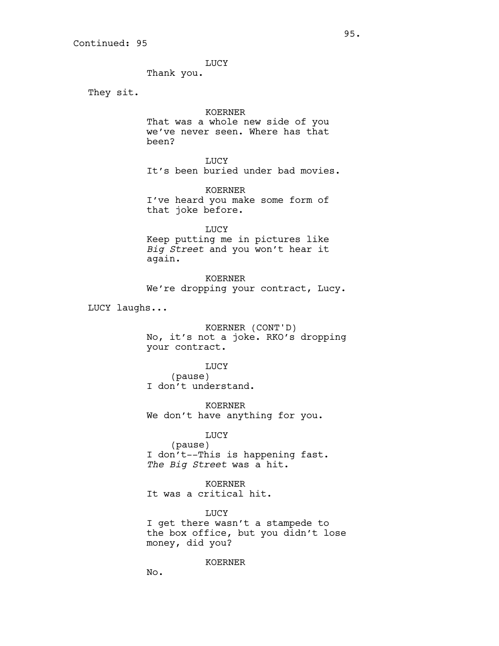LUCY

Thank you.

They sit.

## KOERNER

That was a whole new side of you we've never seen. Where has that been?

LUCY It's been buried under bad movies.

KOERNER I've heard you make some form of that joke before.

LUCY Keep putting me in pictures like *Big Street* and you won't hear it again.

KOERNER We're dropping your contract, Lucy.

LUCY laughs...

KOERNER (CONT'D) No, it's not a joke. RKO's dropping your contract.

LUCY

(pause) I don't understand.

KOERNER We don't have anything for you.

LUCY

(pause) I don't--This is happening fast. *The Big Street* was a hit.

KOERNER It was a critical hit.

LUCY I get there wasn't a stampede to the box office, but you didn't lose money, did you?

KOERNER

No.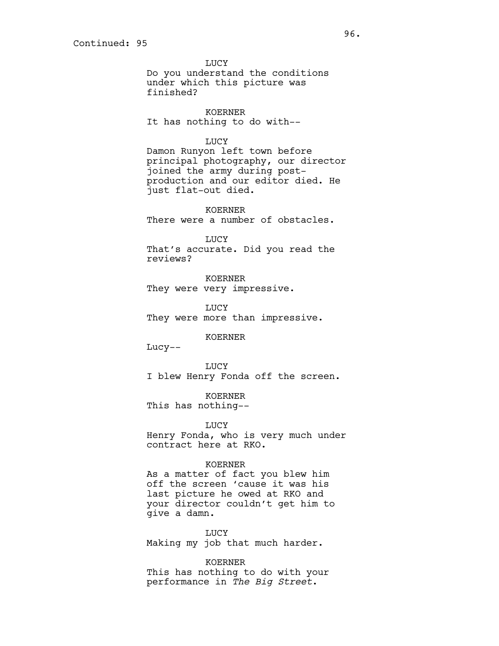LUCY Do you understand the conditions under which this picture was finished?

KOERNER It has nothing to do with--

## LUCY

Damon Runyon left town before principal photography, our director joined the army during postproduction and our editor died. He just flat-out died.

KOERNER There were a number of obstacles.

#### LUCY

That's accurate. Did you read the reviews?

KOERNER They were very impressive.

LUCY They were more than impressive.

KOERNER

Lucy--

LUCY I blew Henry Fonda off the screen.

KOERNER This has nothing--

LUCY

Henry Fonda, who is very much under contract here at RKO.

## KOERNER

As a matter of fact you blew him off the screen 'cause it was his last picture he owed at RKO and your director couldn't get him to give a damn.

LUCY Making my job that much harder.

KOERNER This has nothing to do with your performance in *The Big Street*.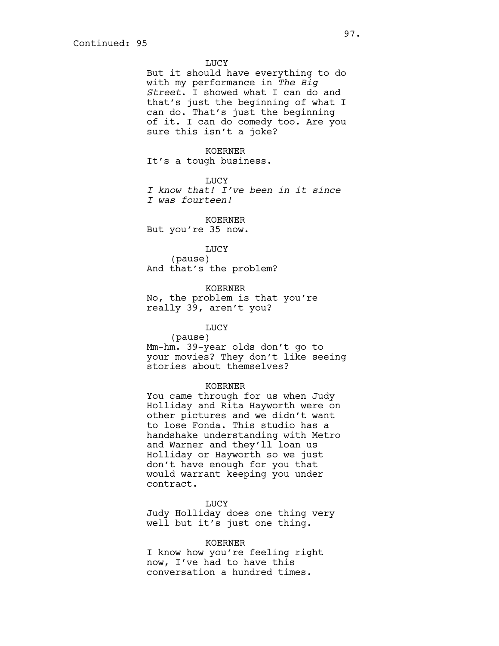LUCY

But it should have everything to do with my performance in *The Big Street*. I showed what I can do and that's just the beginning of what I can do. That's just the beginning of it. I can do comedy too. Are you sure this isn't a joke?

#### KOERNER

It's a tough business.

#### LUCY

*I know that! I've been in it since I was fourteen!*

#### KOERNER

But you're 35 now.

#### LUCY

(pause) And that's the problem?

#### KOERNER

No, the problem is that you're really 39, aren't you?

## LUCY

(pause) Mm-hm. 39-year olds don't go to your movies? They don't like seeing stories about themselves?

## KOERNER

You came through for us when Judy Holliday and Rita Hayworth were on other pictures and we didn't want to lose Fonda. This studio has a handshake understanding with Metro and Warner and they'll loan us Holliday or Hayworth so we just don't have enough for you that would warrant keeping you under contract.

LUCY

Judy Holliday does one thing very well but it's just one thing.

#### KOERNER

I know how you're feeling right now, I've had to have this conversation a hundred times.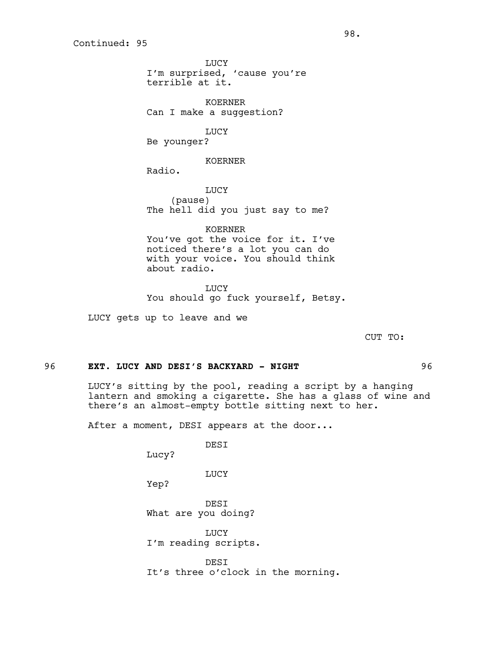**LUCY** I'm surprised, 'cause you're terrible at it.

KOERNER Can I make a suggestion?

LUCY Be younger?

KOERNER

Radio.

LUCY (pause) The hell did you just say to me?

KOERNER You've got the voice for it. I've noticed there's a lot you can do with your voice. You should think about radio.

LUCY You should go fuck yourself, Betsy.

LUCY gets up to leave and we

CUT TO:

## 96 **EXT. LUCY AND DESI'S BACKYARD - NIGHT** 96

LUCY's sitting by the pool, reading a script by a hanging lantern and smoking a cigarette. She has a glass of wine and there's an almost-empty bottle sitting next to her.

After a moment, DESI appears at the door...

DESI

Lucy?

LUCY

Yep?

DESI What are you doing?

**LUCY** I'm reading scripts.

DESI It's three o'clock in the morning.

external contracts of  $98.$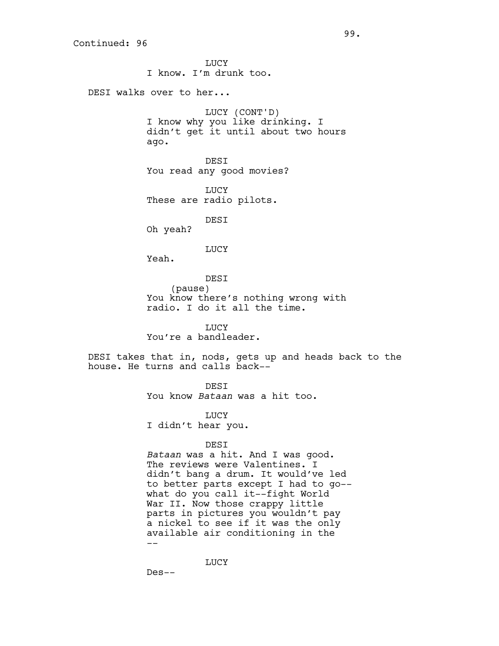**LUCY** I know. I'm drunk too. DESI walks over to her... LUCY (CONT'D) I know why you like drinking. I didn't get it until about two hours ago. DESI You read any good movies? **LUCY** These are radio pilots. DESI Oh yeah? LUCY Yeah. DESI (pause) You know there's nothing wrong with radio. I do it all the time. LUCY You're a bandleader. DESI takes that in, nods, gets up and heads back to the house. He turns and calls back-- **DEST** You know *Bataan* was a hit too. LUCY I didn't hear you. DESI *Bataan* was a hit. And I was good. The reviews were Valentines. I didn't bang a drum. It would've led to better parts except I had to go- what do you call it--fight World War II. Now those crappy little parts in pictures you wouldn't pay

LUCY

a nickel to see if it was the only available air conditioning in the

Des--

--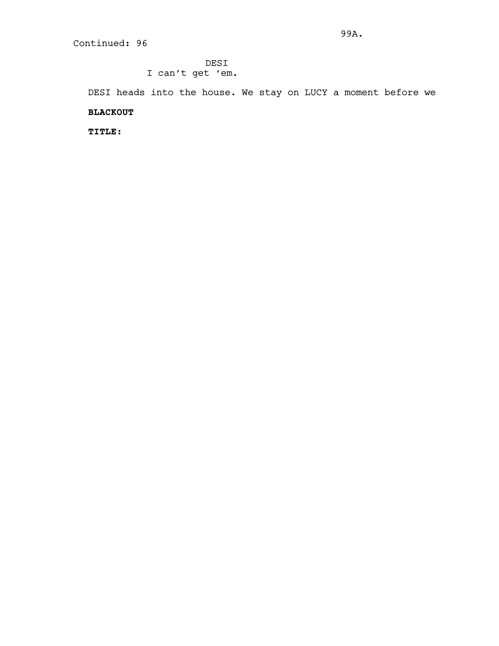DESI I can't get 'em.

DESI heads into the house. We stay on LUCY a moment before we

## **BLACKOUT**

**TITLE:**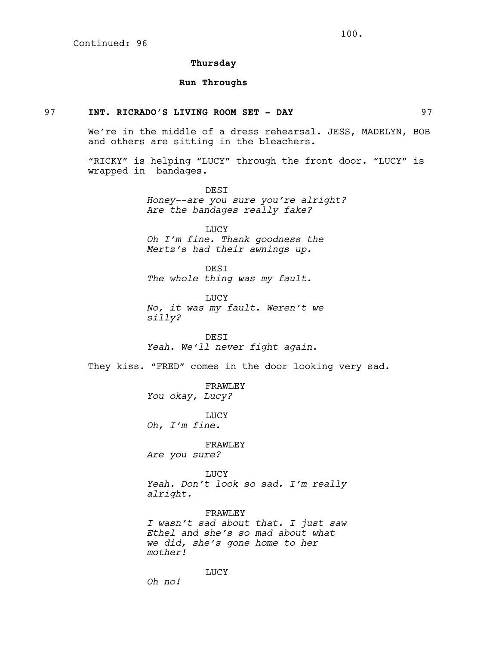## **Thursday**

## **Run Throughs**

## 97 **INT. RICRADO'S LIVING ROOM SET - DAY** 97

We're in the middle of a dress rehearsal. JESS, MADELYN, BOB and others are sitting in the bleachers.

"RICKY" is helping "LUCY" through the front door. "LUCY" is wrapped in bandages.

> DESI *Honey--are you sure you're alright? Are the bandages really fake?*

LUCY *Oh I'm fine. Thank goodness the Mertz's had their awnings up.*

DESI *The whole thing was my fault.*

**TJUCY** *No, it was my fault. Weren't we silly?*

DESI *Yeah. We'll never fight again.*

They kiss. "FRED" comes in the door looking very sad.

FRAWLEY *You okay, Lucy?*

LUCY *Oh, I'm fine.*

FRAWLEY *Are you sure?*

LUCY *Yeah. Don't look so sad. I'm really alright.*

FRAWLEY *I wasn't sad about that. I just saw Ethel and she's so mad about what we did, she's gone home to her mother!*

LUCY

*Oh no!*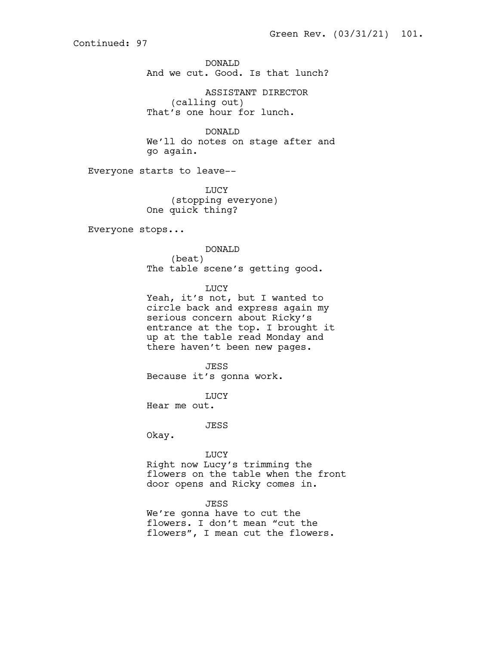DONALD And we cut. Good. Is that lunch?

ASSISTANT DIRECTOR (calling out) That's one hour for lunch.

DONALD We'll do notes on stage after and go again.

Everyone starts to leave--

LUCY (stopping everyone) One quick thing?

Everyone stops...

DONALD (beat) The table scene's getting good.

LUCY

Yeah, it's not, but I wanted to circle back and express again my serious concern about Ricky's entrance at the top. I brought it up at the table read Monday and there haven't been new pages.

JESS Because it's gonna work.

LUCY Hear me out.

JESS

Okay.

LUCY Right now Lucy's trimming the flowers on the table when the front door opens and Ricky comes in.

JESS

We're gonna have to cut the flowers. I don't mean "cut the flowers", I mean cut the flowers.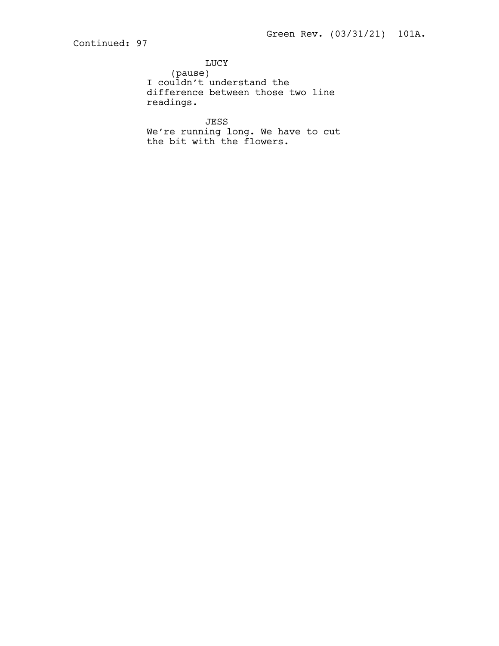LUCY (pause) I couldn't understand the difference between those two line readings.

JESS We're running long. We have to cut the bit with the flowers.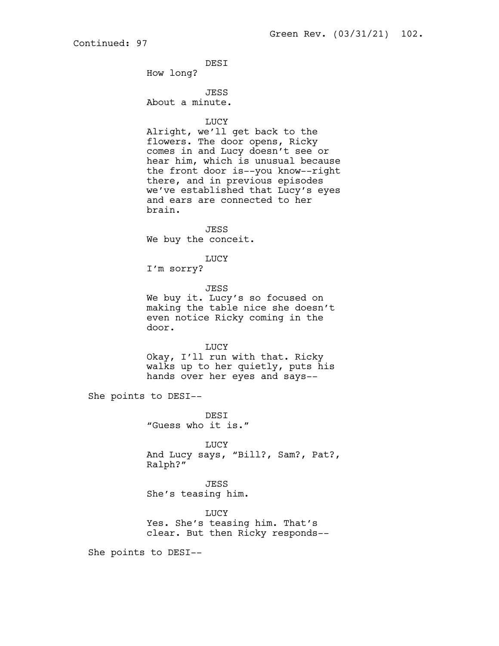DESI

How long?

JESS

About a minute.

LUCY

Alright, we'll get back to the flowers. The door opens, Ricky comes in and Lucy doesn't see or hear him, which is unusual because the front door is--you know--right there, and in previous episodes we've established that Lucy's eyes and ears are connected to her brain.

JESS We buy the conceit.

LUCY

I'm sorry?

JESS We buy it. Lucy's so focused on making the table nice she doesn't even notice Ricky coming in the door.

LUCY Okay, I'll run with that. Ricky walks up to her quietly, puts his hands over her eyes and says--

She points to DESI--

DESI "Guess who it is."

LUCY And Lucy says, "Bill?, Sam?, Pat?, Ralph?"

JESS She's teasing him.

**TJUCY** Yes. She's teasing him. That's clear. But then Ricky responds--

She points to DESI--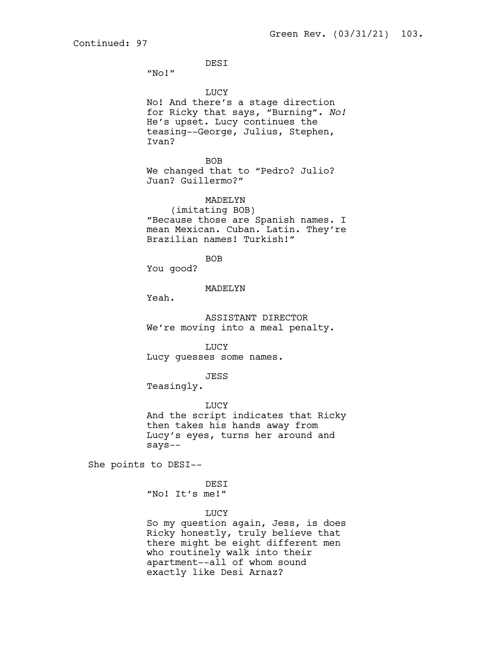DESI

"No!"

LUCY

No! And there's a stage direction for Ricky that says, "Burning". *No!* He's upset. Lucy continues the teasing--George, Julius, Stephen, Ivan?

BOB We changed that to "Pedro? Julio? Juan? Guillermo?"

MADELYN

(imitating BOB) "Because those are Spanish names. I mean Mexican. Cuban. Latin. They're Brazilian names! Turkish!"

BOB

You good?

MADELYN

Yeah.

ASSISTANT DIRECTOR We're moving into a meal penalty.

LUCY

Lucy guesses some names.

JESS

Teasingly.

LUCY And the script indicates that Ricky then takes his hands away from Lucy's eyes, turns her around and says--

She points to DESI--

DESI "No! It's me!"

LUCY

So my question again, Jess, is does Ricky honestly, truly believe that there might be eight different men who routinely walk into their apartment--all of whom sound exactly like Desi Arnaz?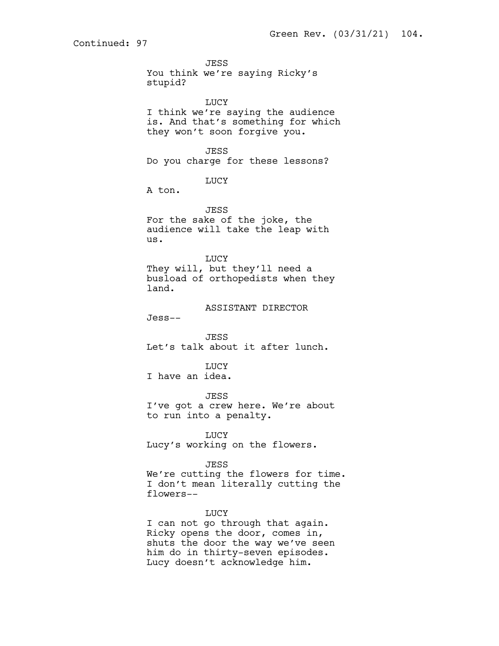**JESS** You think we're saying Ricky's stupid? LUCY I think we're saying the audience is. And that's something for which

they won't soon forgive you.

JESS Do you charge for these lessons?

LUCY

A ton.

JESS For the sake of the joke, the audience will take the leap with us.

LUCY They will, but they'll need a busload of orthopedists when they land.

ASSISTANT DIRECTOR

Jess--

JESS Let's talk about it after lunch.

**LUCY** 

I have an idea.

JESS

I've got a crew here. We're about to run into a penalty.

LUCY Lucy's working on the flowers.

JESS

We're cutting the flowers for time. I don't mean literally cutting the flowers--

LUCY

I can not go through that again. Ricky opens the door, comes in, shuts the door the way we've seen him do in thirty-seven episodes. Lucy doesn't acknowledge him.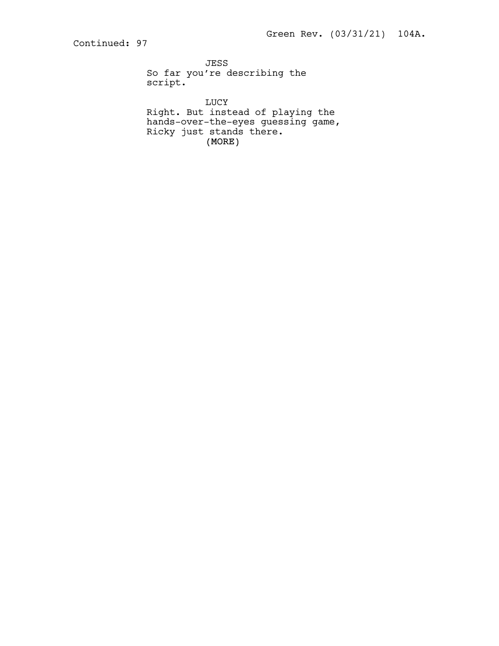JESS So far you're describing the script.

(MORE) LUCY Right. But instead of playing the hands-over-the-eyes guessing game, Ricky just stands there.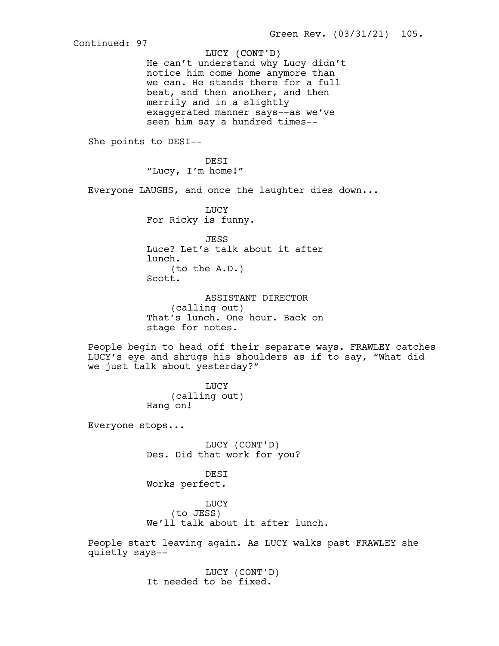LUCY (CONT'D) Continued: 97 He can't understand why Lucy didn't notice him come home anymore than we can. He stands there for a full beat, and then another, and then merrily and in a slightly exaggerated manner says--as we've seen him say a hundred times-- She points to DESI-- DESI "Lucy, I'm home!" Everyone LAUGHS, and once the laughter dies down... LUCY For Ricky is funny. JESS Luce? Let's talk about it after lunch. (to the A.D.) Scott. ASSISTANT DIRECTOR (calling out) That's lunch. One hour. Back on stage for notes. People begin to head off their separate ways. FRAWLEY catches LUCY's eye and shrugs his shoulders as if to say, "What did we just talk about yesterday?" LUCY (calling out) Hang on! Everyone stops... LUCY (CONT'D) Des. Did that work for you? DESI Works perfect. LUCY (to JESS) We'll talk about it after lunch. People start leaving again. As LUCY walks past FRAWLEY she quietly says-- LUCY (CONT'D) It needed to be fixed.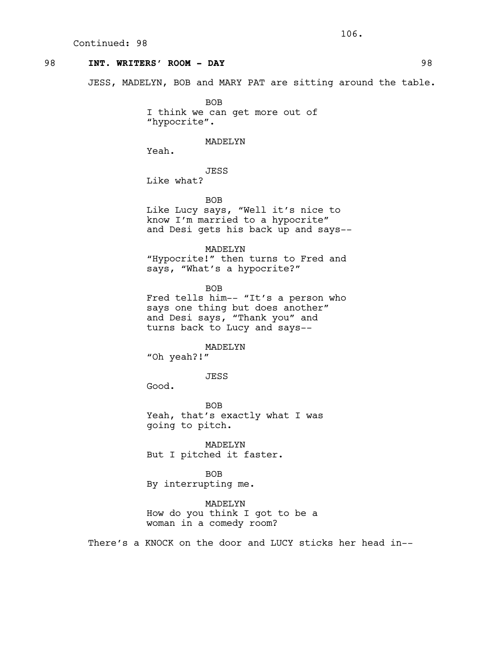## 98 **INT. WRITERS' ROOM - DAY** 98

JESS, MADELYN, BOB and MARY PAT are sitting around the table.

BOB I think we can get more out of "hypocrite".

#### MADELYN

Yeah.

JESS

Like what?

BOB

Like Lucy says, "Well it's nice to know I'm married to a hypocrite" and Desi gets his back up and says--

MADELYN "Hypocrite!" then turns to Fred and says, "What's a hypocrite?"

BOB Fred tells him-- "It's a person who says one thing but does another" and Desi says, "Thank you" and turns back to Lucy and says--

MADELYN

"Oh yeah?!"

JESS

Good.

BOB Yeah, that's exactly what I was going to pitch.

MADELYN But I pitched it faster.

BOB By interrupting me.

MADELYN How do you think I got to be a woman in a comedy room?

There's a KNOCK on the door and LUCY sticks her head in--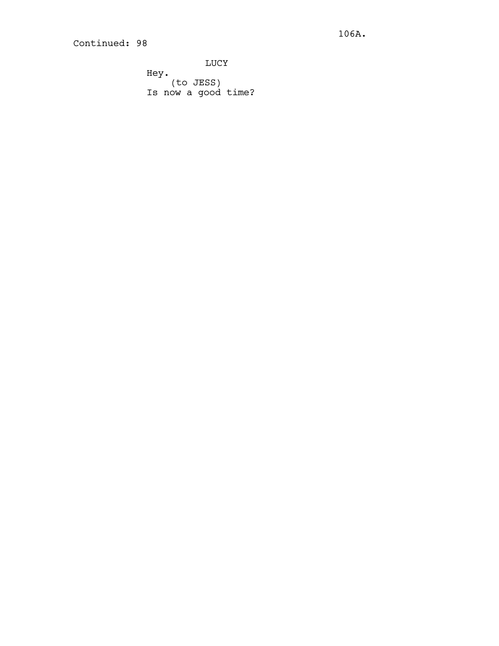**LUCY** Hey. (to JESS) Is now a good time?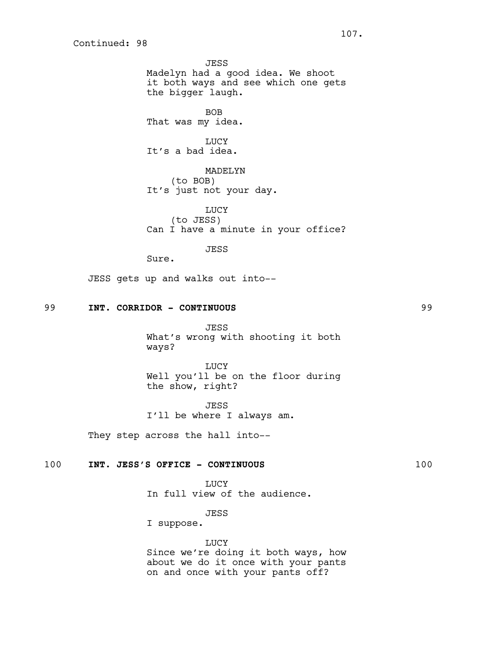JESS Madelyn had a good idea. We shoot it both ways and see which one gets the bigger laugh.

BOB That was my idea.

**LUCY** It's a bad idea.

MADELYN (to BOB) It's just not your day.

LUCY (to JESS) Can I have a minute in your office?

JESS

Sure.

JESS gets up and walks out into--

## 99 **INT. CORRIDOR - CONTINUOUS** 99

JESS What's wrong with shooting it both ways?

LUCY Well you'll be on the floor during the show, right?

JESS I'll be where I always am.

They step across the hall into--

## 100 **INT. JESS'S OFFICE - CONTINUOUS** 100

LUCY In full view of the audience.

## JESS

I suppose.

# LUCY

Since we're doing it both ways, how about we do it once with your pants on and once with your pants off?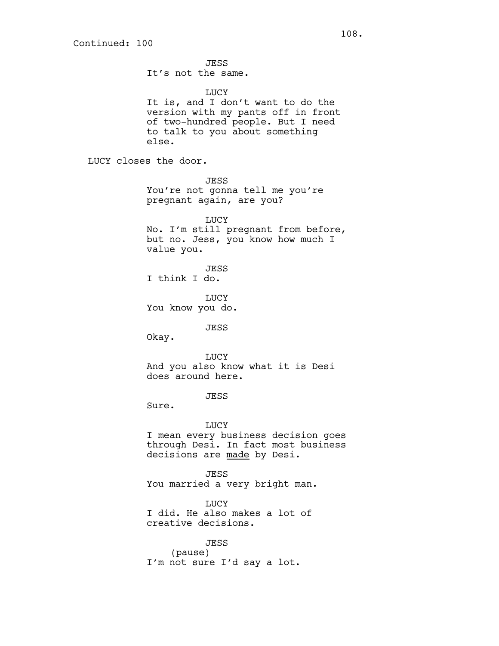JESS It's not the same. LUCY It is, and I don't want to do the version with my pants off in front of two-hundred people. But I need to talk to you about something else. LUCY closes the door. JESS You're not gonna tell me you're pregnant again, are you? **LUCY** No. I'm still pregnant from before, but no. Jess, you know how much I value you. JESS I think I do. **TJUCY** You know you do. JESS Okay. LUCY And you also know what it is Desi does around here. JESS Sure. LUCY I mean every business decision goes through Desi. In fact most business decisions are made by Desi. JESS You married a very bright man. LUCY I did. He also makes a lot of creative decisions. JESS

(pause) I'm not sure I'd say a lot.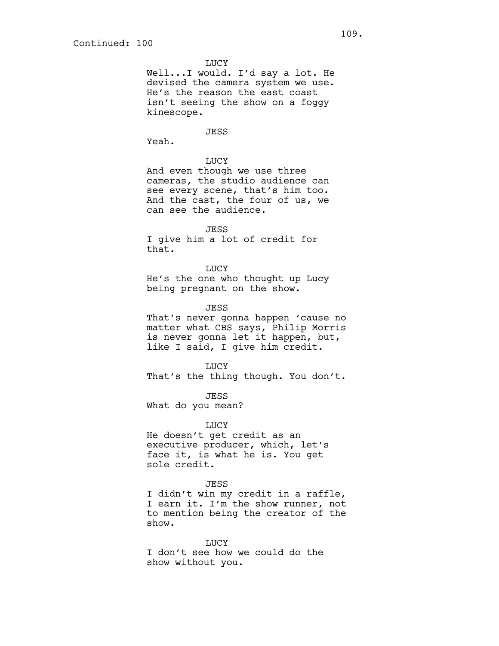LUCY

Well...I would. I'd say a lot. He devised the camera system we use. He's the reason the east coast isn't seeing the show on a foggy kinescope.

JESS

Yeah.

## LUCY

And even though we use three cameras, the studio audience can see every scene, that's him too. And the cast, the four of us, we can see the audience.

JESS

I give him a lot of credit for that.

LUCY He's the one who thought up Lucy being pregnant on the show.

JESS

That's never gonna happen 'cause no matter what CBS says, Philip Morris is never gonna let it happen, but, like I said, I give him credit.

LUCY That's the thing though. You don't.

JESS

What do you mean?

LUCY

He doesn't get credit as an executive producer, which, let's face it, is what he is. You get sole credit.

#### JESS

I didn't win my credit in a raffle, I earn it. I'm the show runner, not to mention being the creator of the show.

LUCY I don't see how we could do the show without you.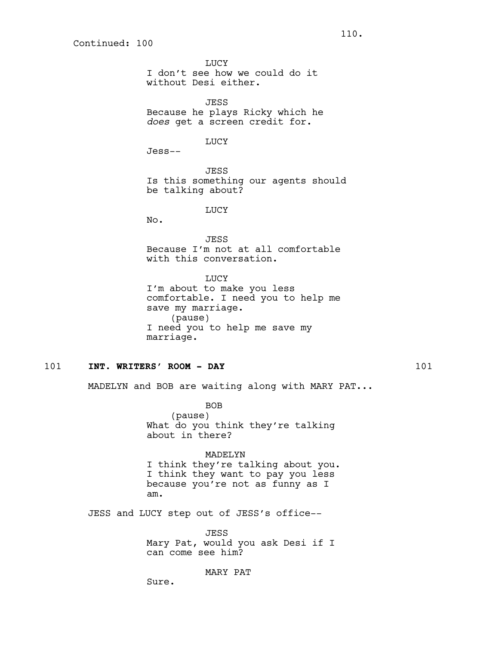**LUCY** I don't see how we could do it without Desi either.

JESS Because he plays Ricky which he *does* get a screen credit for.

LUCY

Jess--

JESS Is this something our agents should be talking about?

LUCY

No.

JESS Because I'm not at all comfortable with this conversation.

LUCY I'm about to make you less comfortable. I need you to help me save my marriage. (pause) I need you to help me save my marriage.

## 101 **INT. WRITERS' ROOM - DAY** 101

MADELYN and BOB are waiting along with MARY PAT...

BOB (pause) What do you think they're talking about in there?

MADELYN I think they're talking about you. I think they want to pay you less because you're not as funny as I am.

JESS and LUCY step out of JESS's office--

JESS Mary Pat, would you ask Desi if I can come see him?

MARY PAT

Sure.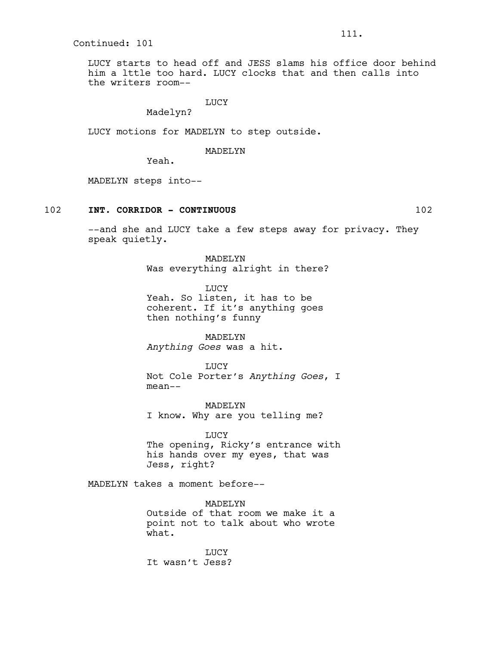LUCY starts to head off and JESS slams his office door behind him a lttle too hard. LUCY clocks that and then calls into the writers room--

## LUCY

Madelyn?

LUCY motions for MADELYN to step outside.

## MADELYN

Yeah.

MADELYN steps into--

## 102 **INT. CORRIDOR - CONTINUOUS** 102

--and she and LUCY take a few steps away for privacy. They speak quietly.

> MADELYN Was everything alright in there?

LUCY Yeah. So listen, it has to be coherent. If it's anything goes then nothing's funny

MADELYN *Anything Goes* was a hit.

LUCY Not Cole Porter's *Anything Goes*, I mean--

MADELYN I know. Why are you telling me?

LUCY The opening, Ricky's entrance with his hands over my eyes, that was Jess, right?

MADELYN takes a moment before--

MADELYN Outside of that room we make it a point not to talk about who wrote what.

LUCY It wasn't Jess?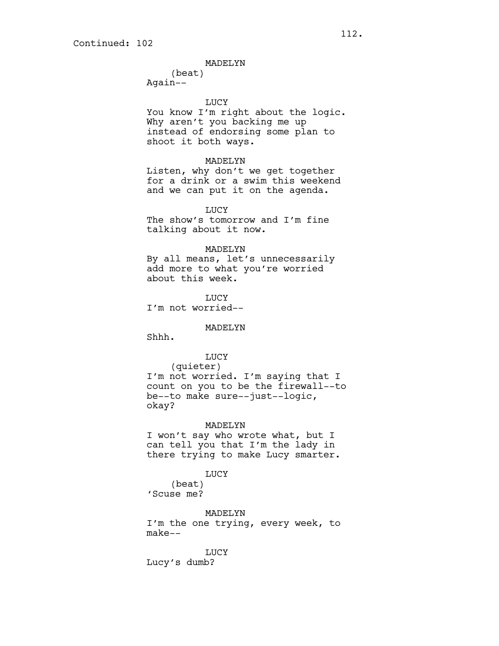## MADELYN

(beat) Again--

LUCY

You know I'm right about the logic. Why aren't you backing me up instead of endorsing some plan to shoot it both ways.

## MADELYN

Listen, why don't we get together for a drink or a swim this weekend and we can put it on the agenda.

LUCY

The show's tomorrow and I'm fine talking about it now.

### MADELYN

By all means, let's unnecessarily add more to what you're worried about this week.

**TJUCY** I'm not worried--

#### MADELYN

Shhh.

## LUCY

(quieter) I'm not worried. I'm saying that I count on you to be the firewall--to be--to make sure--just--logic, okay?

## MADELYN

I won't say who wrote what, but I can tell you that I'm the lady in there trying to make Lucy smarter.

#### LUCY

(beat) 'Scuse me?

MADELYN I'm the one trying, every week, to make--

LUCY Lucy's dumb?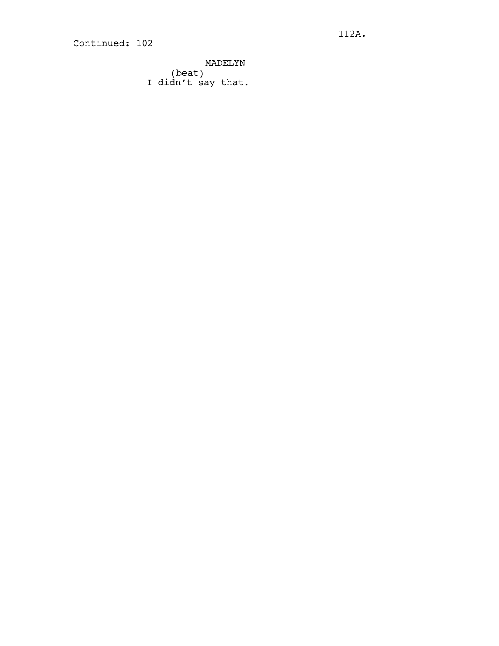MADELYN (beat) I didn't say that.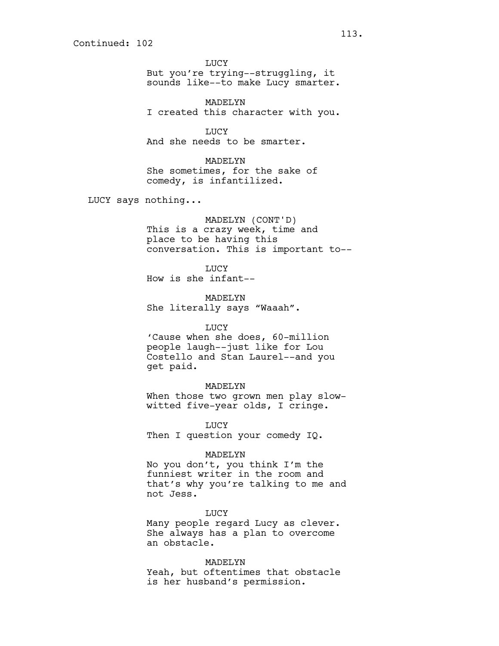LUCY But you're trying--struggling, it sounds like--to make Lucy smarter.

MADELYN I created this character with you.

LUCY

And she needs to be smarter.

MADELYN She sometimes, for the sake of comedy, is infantilized.

LUCY says nothing...

MADELYN (CONT'D) This is a crazy week, time and place to be having this conversation. This is important to--

LUCY How is she infant--

MADELYN She literally says "Waaah".

## LUCY

'Cause when she does, 60-million people laugh--just like for Lou Costello and Stan Laurel--and you get paid.

## MADELYN

When those two grown men play slowwitted five-year olds, I cringe.

LUCY Then I question your comedy IQ.

#### MADELYN

No you don't, you think I'm the funniest writer in the room and that's why you're talking to me and not Jess.

LUCY

Many people regard Lucy as clever. She always has a plan to overcome an obstacle.

#### MADELYN

Yeah, but oftentimes that obstacle is her husband's permission.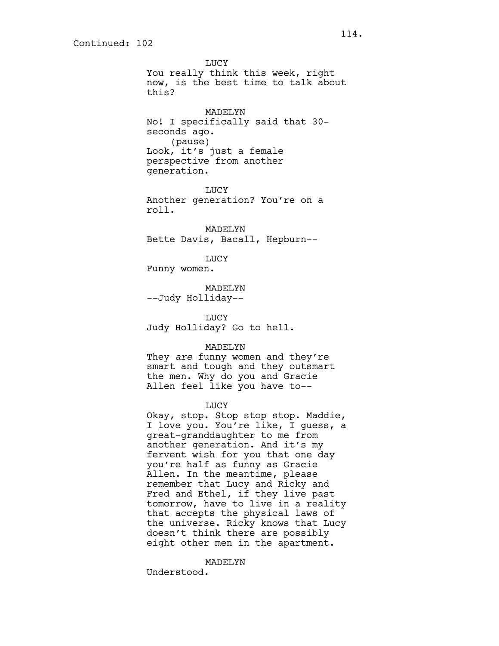LUCY You really think this week, right now, is the best time to talk about this? MADELYN No! I specifically said that 30 seconds ago. (pause) Look, it's just a female perspective from another generation. **TJUCY** Another generation? You're on a roll. MADELYN Bette Davis, Bacall, Hepburn-- LUCY Funny women. MADELYN --Judy Holliday-- LUCY Judy Holliday? Go to hell. MADELYN They *are* funny women and they're smart and tough and they outsmart the men. Why do you and Gracie Allen feel like you have to-- LUCY Okay, stop. Stop stop stop. Maddie, I love you. You're like, I guess, a great-granddaughter to me from another generation. And it's my fervent wish for you that one day you're half as funny as Gracie Allen. In the meantime, please

remember that Lucy and Ricky and Fred and Ethel, if they live past tomorrow, have to live in a reality that accepts the physical laws of the universe. Ricky knows that Lucy doesn't think there are possibly eight other men in the apartment.

MADELYN

Understood.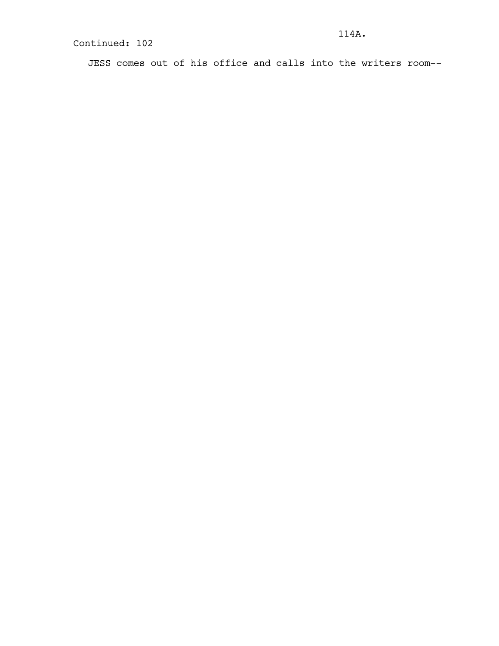JESS comes out of his office and calls into the writers room--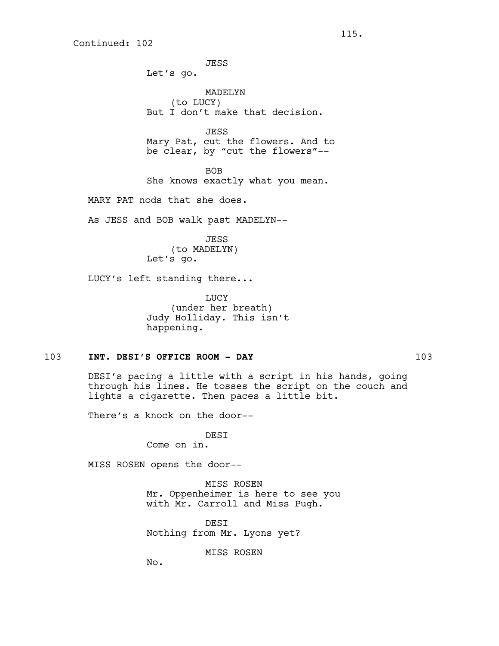JESS Let's go. MADELYN (to LUCY) But I don't make that decision. JESS Mary Pat, cut the flowers. And to be clear, by "cut the flowers"-- BOB

She knows exactly what you mean.

MARY PAT nods that she does.

As JESS and BOB walk past MADELYN--

JESS (to MADELYN) Let's go.

LUCY's left standing there...

**TJUCY** (under her breath) Judy Holliday. This isn't happening.

## 103 **INT. DESI'S OFFICE ROOM - DAY** 103

DESI's pacing a little with a script in his hands, going through his lines. He tosses the script on the couch and lights a cigarette. Then paces a little bit.

There's a knock on the door--

DESI

Come on in.

MISS ROSEN opens the door--

MISS ROSEN Mr. Oppenheimer is here to see you with Mr. Carroll and Miss Pugh.

DESI Nothing from Mr. Lyons yet?

MISS ROSEN

No.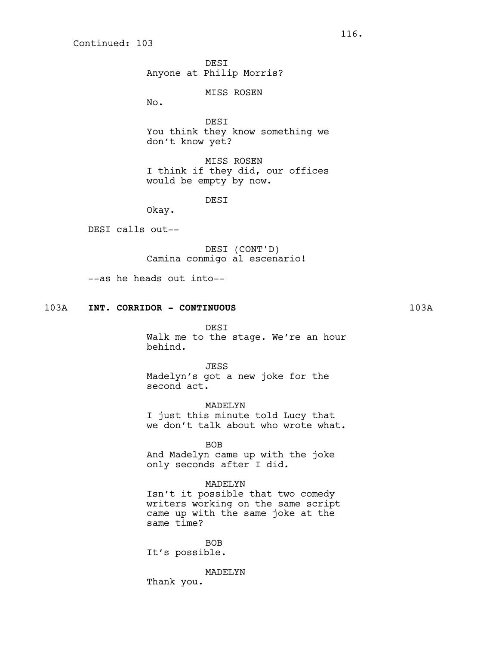**DEST** Anyone at Philip Morris?

MISS ROSEN

No.

DESI You think they know something we don't know yet?

MISS ROSEN I think if they did, our offices would be empty by now.

DESI

Okay.

DESI calls out--

DESI (CONT'D) Camina conmigo al escenario!

--as he heads out into--

## 103A **INT. CORRIDOR - CONTINUOUS** 103A

DESI Walk me to the stage. We're an hour behind.

JESS Madelyn's got a new joke for the second act.

MADELYN I just this minute told Lucy that we don't talk about who wrote what.

BOB And Madelyn came up with the joke only seconds after I did.

# MADELYN

Isn't it possible that two comedy writers working on the same script came up with the same joke at the same time?

BOB It's possible.

MADELYN Thank you.

116.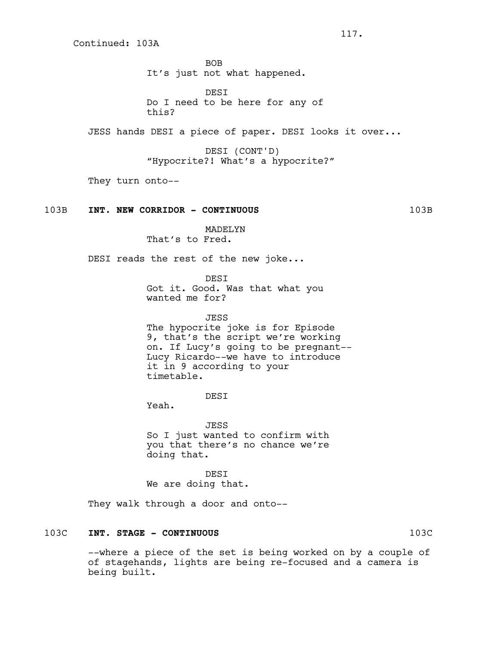Continued: 103A

BOB It's just not what happened.

DESI Do I need to be here for any of this?

JESS hands DESI a piece of paper. DESI looks it over...

DESI (CONT'D) "Hypocrite?! What's a hypocrite?"

They turn onto--

### 103B **INT. NEW CORRIDOR - CONTINUOUS** 103B

MADELYN That's to Fred.

DESI reads the rest of the new joke...

DESI

Got it. Good. Was that what you wanted me for?

JESS The hypocrite joke is for Episode 9, that's the script we're working on. If Lucy's going to be pregnant-- Lucy Ricardo--we have to introduce it in 9 according to your timetable.

DESI

Yeah.

JESS So I just wanted to confirm with you that there's no chance we're doing that.

DESI We are doing that.

They walk through a door and onto--

# 103C **INT. STAGE - CONTINUOUS** 103C

--where a piece of the set is being worked on by a couple of of stagehands, lights are being re-focused and a camera is being built.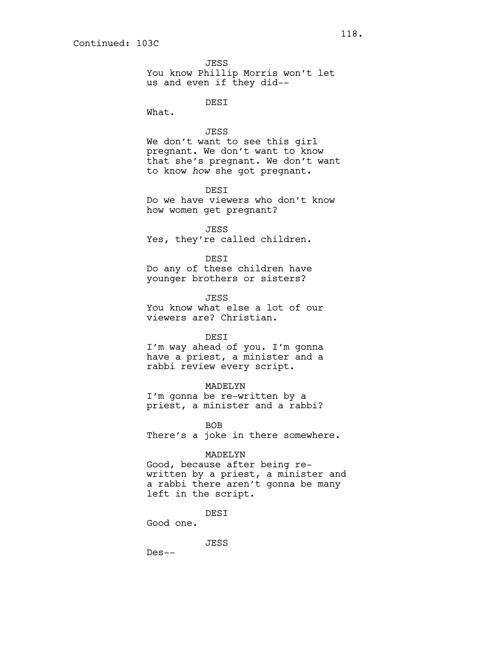JESS You know Phillip Morris won't let us and even if they did--

DESI

What.

#### JESS

We don't want to see this girl pregnant. We don't want to know that she's pregnant. We don't want to know *how* she got pregnant.

**DEST** Do we have viewers who don't know how women get pregnant?

JESS Yes, they're called children.

DESI Do any of these children have younger brothers or sisters?

**JESS** You know what else a lot of our viewers are? Christian.

#### DESI

I'm way ahead of you. I'm gonna have a priest, a minister and a rabbi review every script.

## MADELYN

I'm gonna be re-written by a priest, a minister and a rabbi?

BOB

There's a joke in there somewhere.

#### MADELYN

Good, because after being rewritten by a priest, a minister and a rabbi there aren't gonna be many left in the script.

**DEST** 

Good one.

JESS

Des--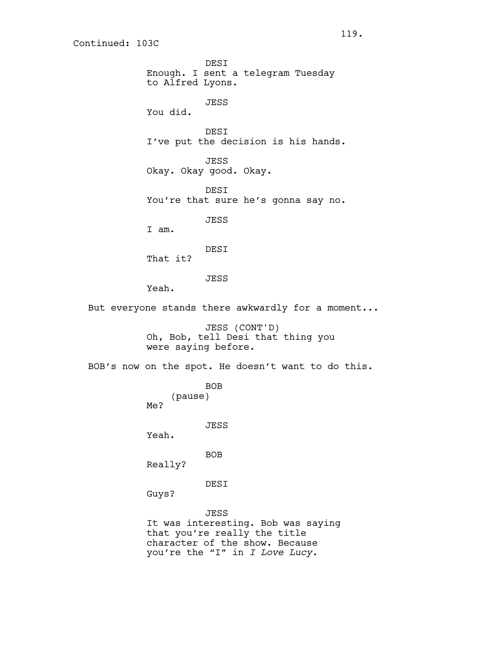Continued: 103C

DESI Enough. I sent a telegram Tuesday to Alfred Lyons. JESS You did. DESI I've put the decision is his hands. JESS Okay. Okay good. Okay. DESI You're that sure he's gonna say no. JESS I am. DESI That it? JESS Yeah. But everyone stands there awkwardly for a moment... JESS (CONT'D) Oh, Bob, tell Desi that thing you were saying before. BOB's now on the spot. He doesn't want to do this. BOB (pause) Me? JESS Yeah. BOB Really? DESI Guys? JESS It was interesting. Bob was saying that you're really the title character of the show. Because you're the "I" in *I Love Lucy.*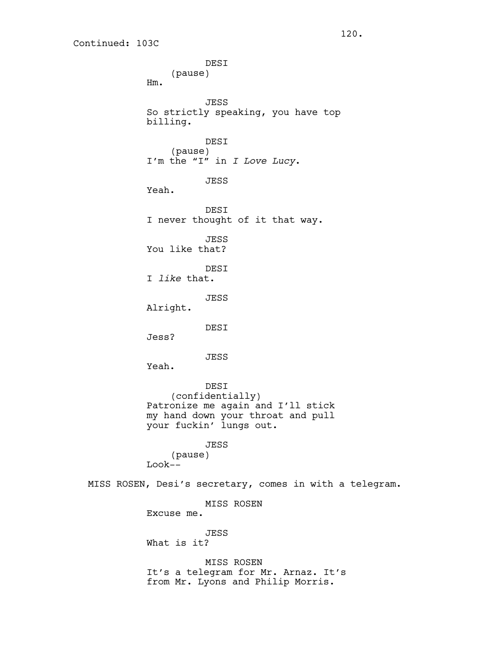DESI (pause) Hm. JESS So strictly speaking, you have top billing. DESI (pause) I'm the "I" in *I Love Lucy*. JESS Yeah. DESI I never thought of it that way. JESS You like that? DESI I *like* that. JESS Alright. DESI Jess? JESS Yeah. DESI (confidentially) Patronize me again and I'll stick my hand down your throat and pull your fuckin' lungs out. JESS (pause) Look-- MISS ROSEN, Desi's secretary, comes in with a telegram. MISS ROSEN Excuse me. JESS What is it? MISS ROSEN It's a telegram for Mr. Arnaz. It's from Mr. Lyons and Philip Morris.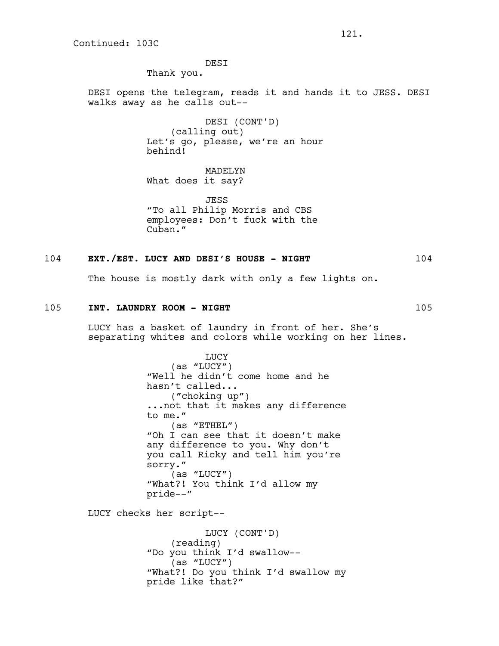Continued: 103C

DESI

Thank you.

DESI opens the telegram, reads it and hands it to JESS. DESI walks away as he calls out--

> DESI (CONT'D) (calling out) Let's go, please, we're an hour behind!

MADELYN What does it say?

JESS "To all Philip Morris and CBS employees: Don't fuck with the Cuban."

### 104 **EXT./EST. LUCY AND DESI'S HOUSE - NIGHT** 104

The house is mostly dark with only a few lights on.

# 105 **INT. LAUNDRY ROOM - NIGHT** 105

LUCY has a basket of laundry in front of her. She's separating whites and colors while working on her lines.

> LUCY (as "LUCY") "Well he didn't come home and he hasn't called... ("choking up") ...not that it makes any difference to me." (as "ETHEL") "Oh I can see that it doesn't make any difference to you. Why don't you call Ricky and tell him you're sorry." (as "LUCY") "What?! You think I'd allow my pride--"

LUCY checks her script--

LUCY (CONT'D) (reading) "Do you think I'd swallow-- (as "LUCY") "What?! Do you think I'd swallow my pride like that?"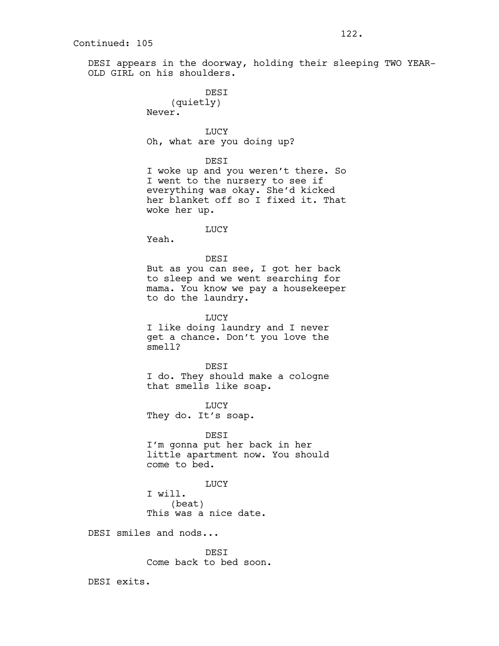DESI appears in the doorway, holding their sleeping TWO YEAR-OLD GIRL on his shoulders.

> **DEST** (quietly) Never.

LUCY Oh, what are you doing up?

DESI

I woke up and you weren't there. So I went to the nursery to see if everything was okay. She'd kicked her blanket off so I fixed it. That woke her up.

LUCY

Yeah.

DESI But as you can see, I got her back to sleep and we went searching for mama. You know we pay a housekeeper to do the laundry.

LUCY I like doing laundry and I never get a chance. Don't you love the smell?

**DEST** I do. They should make a cologne that smells like soap.

**TJUCY** They do. It's soap.

DESI I'm gonna put her back in her little apartment now. You should come to bed.

LUCY I will. (beat) This was a nice date.

DESI smiles and nods...

DESI Come back to bed soon.

DESI exits.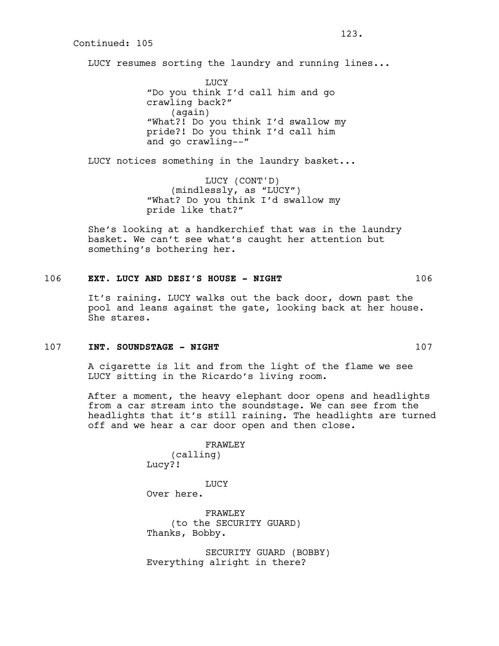LUCY resumes sorting the laundry and running lines...

LUCY "Do you think I'd call him and go crawling back?" (again) "What?! Do you think I'd swallow my pride?! Do you think I'd call him and go crawling--"

LUCY notices something in the laundry basket...

LUCY (CONT'D) (mindlessly, as "LUCY") "What? Do you think I'd swallow my pride like that?"

She's looking at a handkerchief that was in the laundry basket. We can't see what's caught her attention but something's bothering her.

# 106 **EXT. LUCY AND DESI'S HOUSE - NIGHT** 106

It's raining. LUCY walks out the back door, down past the pool and leans against the gate, looking back at her house. She stares.

#### 107 **INT. SOUNDSTAGE - NIGHT** 107

A cigarette is lit and from the light of the flame we see LUCY sitting in the Ricardo's living room.

After a moment, the heavy elephant door opens and headlights from a car stream into the soundstage. We can see from the headlights that it's still raining. The headlights are turned off and we hear a car door open and then close.

> FRAWLEY (calling) Lucy?!

LUCY Over here.

FRAWLEY (to the SECURITY GUARD) Thanks, Bobby.

SECURITY GUARD (BOBBY) Everything alright in there?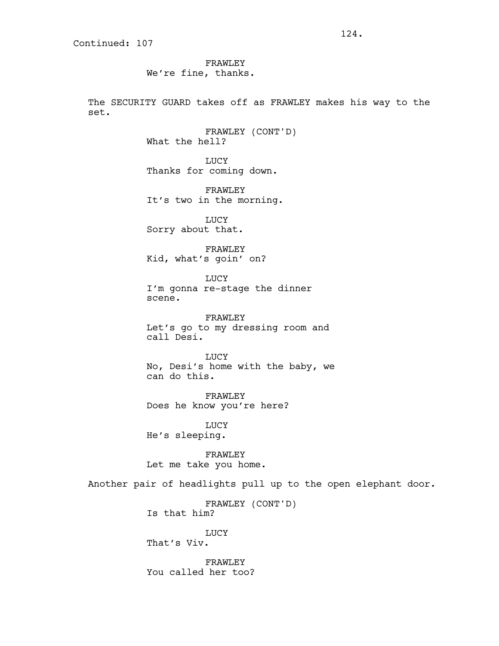FRAWLEY We're fine, thanks.

The SECURITY GUARD takes off as FRAWLEY makes his way to the set.

> FRAWLEY (CONT'D) What the hell?

LUCY Thanks for coming down.

FRAWLEY It's two in the morning.

LUCY Sorry about that.

FRAWLEY Kid, what's goin' on?

LUCY I'm gonna re-stage the dinner scene.

FRAWLEY Let's go to my dressing room and call Desi.

LUCY No, Desi's home with the baby, we can do this.

FRAWLEY Does he know you're here?

LUCY He's sleeping.

FRAWLEY Let me take you home.

Another pair of headlights pull up to the open elephant door.

FRAWLEY (CONT'D) Is that him?

LUCY That's Viv.

FRAWLEY You called her too?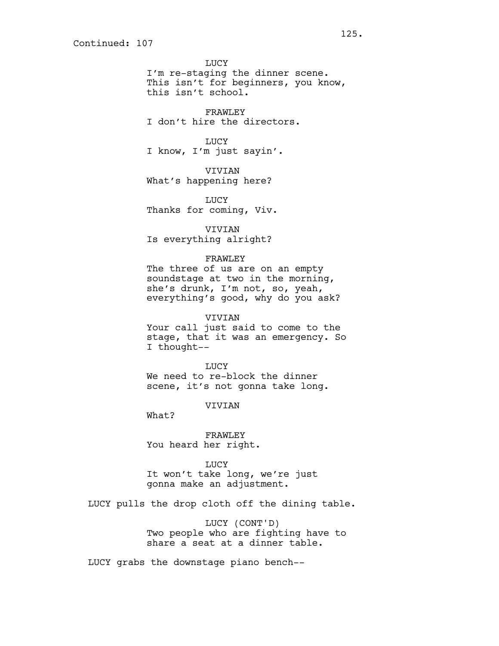LUCY I'm re-staging the dinner scene. This isn't for beginners, you know, this isn't school.

FRAWLEY I don't hire the directors.

# LUCY

I know, I'm just sayin'.

VIVIAN

What's happening here?

LUCY Thanks for coming, Viv.

VIVIAN Is everything alright?

# FRAWLEY

The three of us are on an empty soundstage at two in the morning, she's drunk, I'm not, so, yeah, everything's good, why do you ask?

VIVIAN

Your call just said to come to the stage, that it was an emergency. So I thought--

LUCY We need to re-block the dinner scene, it's not gonna take long.

VIVIAN

What?

FRAWLEY You heard her right.

LUCY

It won't take long, we're just gonna make an adjustment.

LUCY pulls the drop cloth off the dining table.

LUCY (CONT'D) Two people who are fighting have to share a seat at a dinner table.

LUCY grabs the downstage piano bench--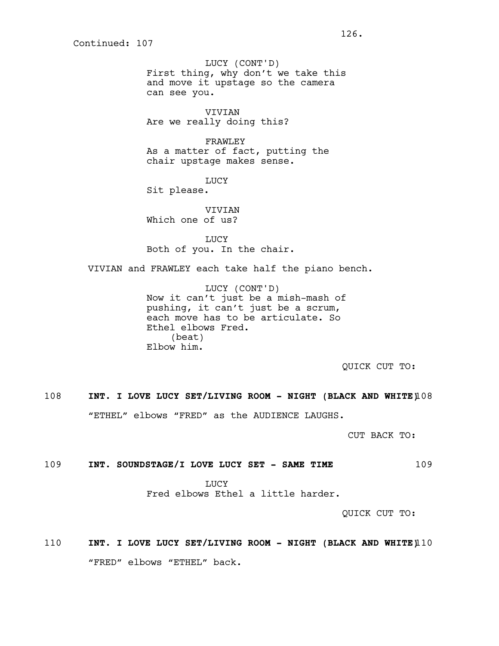LUCY (CONT'D) First thing, why don't we take this and move it upstage so the camera can see you.

VIVIAN Are we really doing this?

FRAWLEY As a matter of fact, putting the chair upstage makes sense.

LUCY

Sit please.

VIVIAN Which one of us?

LUCY Both of you. In the chair.

VIVIAN and FRAWLEY each take half the piano bench.

LUCY (CONT'D) Now it can't just be a mish-mash of pushing, it can't just be a scrum, each move has to be articulate. So Ethel elbows Fred. (beat) Elbow him.

QUICK CUT TO:

108 **INT. I LOVE LUCY SET/LIVING ROOM - NIGHT (BLACK AND WHITE)**108 "ETHEL" elbows "FRED" as the AUDIENCE LAUGHS.

CUT BACK TO:

# 109 **INT. SOUNDSTAGE/I LOVE LUCY SET - SAME TIME** 109

LUCY Fred elbows Ethel a little harder.

QUICK CUT TO:

110 **INT. I LOVE LUCY SET/LIVING ROOM - NIGHT (BLACK AND WHITE)**110 "FRED" elbows "ETHEL" back.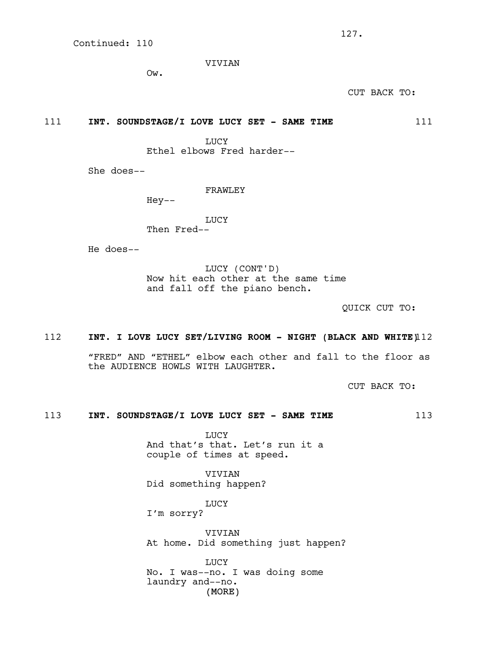VIVIAN

Ow.

CUT BACK TO:

111 **INT. SOUNDSTAGE/I LOVE LUCY SET - SAME TIME** 111

LUCY

Ethel elbows Fred harder--

She does--

FRAWLEY

Hey--

LUCY Then Fred--

He does--

LUCY (CONT'D) Now hit each other at the same time and fall off the piano bench.

QUICK CUT TO:

# 112 **INT. I LOVE LUCY SET/LIVING ROOM - NIGHT (BLACK AND WHITE)**112

"FRED" AND "ETHEL" elbow each other and fall to the floor as the AUDIENCE HOWLS WITH LAUGHTER.

CUT BACK TO:

# 113 **INT. SOUNDSTAGE/I LOVE LUCY SET - SAME TIME** 113

LUCY And that's that. Let's run it a couple of times at speed.

VIVIAN Did something happen?

LUCY

I'm sorry?

VIVIAN At home. Did something just happen?

(MORE) LUCY No. I was--no. I was doing some laundry and--no.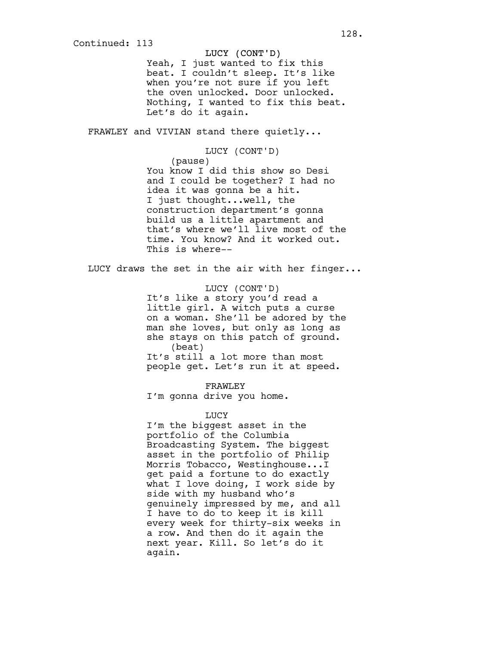## LUCY (CONT'D)

Yeah, I just wanted to fix this beat. I couldn't sleep. It's like when you're not sure if you left the oven unlocked. Door unlocked. Nothing, I wanted to fix this beat. Let's do it again.

FRAWLEY and VIVIAN stand there quietly...

### LUCY (CONT'D)

(pause) You know I did this show so Desi and I could be together? I had no idea it was gonna be a hit. I just thought...well, the construction department's gonna build us a little apartment and that's where we'll live most of the time. You know? And it worked out. This is where--

LUCY draws the set in the air with her finger...

LUCY (CONT'D) It's like a story you'd read a little girl. A witch puts a curse on a woman. She'll be adored by the man she loves, but only as long as she stays on this patch of ground. (beat) It's still a lot more than most people get. Let's run it at speed.

FRAWLEY

I'm gonna drive you home.

### LUCY

I'm the biggest asset in the portfolio of the Columbia Broadcasting System. The biggest asset in the portfolio of Philip Morris Tobacco, Westinghouse...I get paid a fortune to do exactly what I love doing, I work side by side with my husband who's genuinely impressed by me, and all I have to do to keep it is kill every week for thirty-six weeks in a row. And then do it again the next year. Kill. So let's do it again.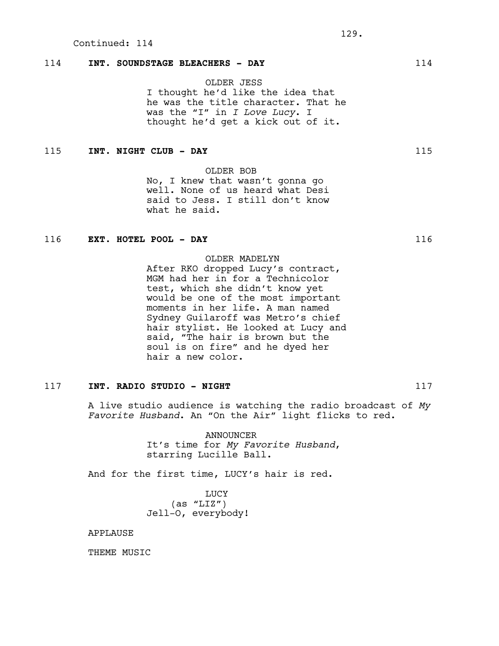# 114 **INT. SOUNDSTAGE BLEACHERS - DAY** 114

OLDER JESS I thought he'd like the idea that he was the title character. That he was the "I" in *I Love Lucy*. I thought he'd get a kick out of it.

# 115 **INT. NIGHT CLUB - DAY** 115

OLDER BOB

No, I knew that wasn't gonna go well. None of us heard what Desi said to Jess. I still don't know what he said.

# 116 **EXT. HOTEL POOL - DAY** 116

OLDER MADELYN

After RKO dropped Lucy's contract, MGM had her in for a Technicolor test, which she didn't know yet would be one of the most important moments in her life. A man named Sydney Guilaroff was Metro's chief hair stylist. He looked at Lucy and said, "The hair is brown but the soul is on fire" and he dyed her hair a new color.

# 117 **INT. RADIO STUDIO - NIGHT** 117

A live studio audience is watching the radio broadcast of *My Favorite Husband*. An "On the Air" light flicks to red.

> ANNOUNCER It's time for *My Favorite Husband*, starring Lucille Ball.

And for the first time, LUCY's hair is red.

LUCY  $(as 'LLZ'')$ Jell-O, everybody!

# APPLAUSE

THEME MUSIC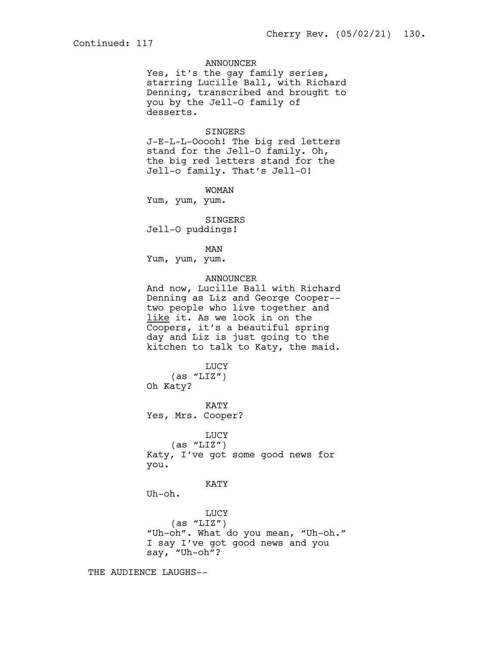# ANNOUNCER

Yes, it's the gay family series, starring Lucille Ball, with Richard Denning, transcribed and brought to you by the Jell-O family of desserts.

#### SINGERS

J-E-L-L-Ooooh! The big red letters stand for the Jell-O family. Oh, the big red letters stand for the Jell-o family. That's Jell-O!

WOMAN

Yum, yum, yum.

SINGERS Jell-O puddings!

MAN

Yum, yum, yum.

## ANNOUNCER

And now, Lucille Ball with Richard Denning as Liz and George Cooper- two people who live together and like it. As we look in on the Coopers, it's a beautiful spring day and Liz is just going to the kitchen to talk to Katy, the maid.

LUCY

 $(as 'LLZ'')$ Oh Katy?

KATY

Yes, Mrs. Cooper?

## LUCY

 $(as 'LLZ'')$ Katy, I've got some good news for you.

KATY

Uh-oh.

LUCY  $(as "LIZ")$ "Uh-oh". What do you mean, "Uh-oh." I say I've got good news and you say, "Uh-oh"?

THE AUDIENCE LAUGHS--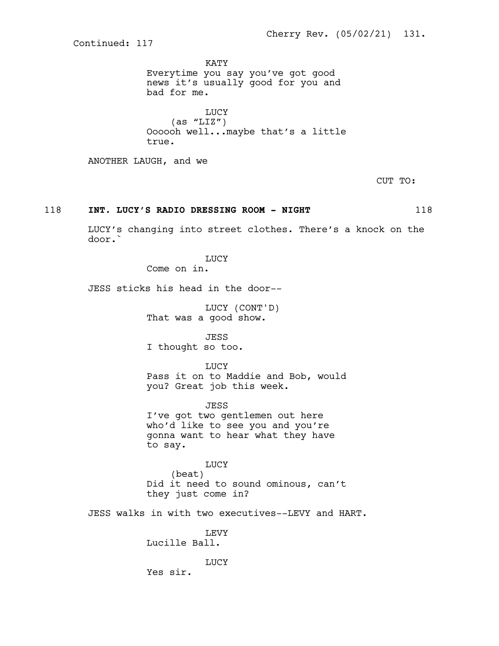KATY Everytime you say you've got good news it's usually good for you and bad for me.

LUCY  $(as 'LLZ'')$ Oooooh well...maybe that's a little true.

ANOTHER LAUGH, and we

CUT TO:

# 118 **INT. LUCY'S RADIO DRESSING ROOM - NIGHT** 118

LUCY's changing into street clothes. There's a knock on the door.`

LUCY

Come on in.

JESS sticks his head in the door--

LUCY (CONT'D) That was a good show.

JESS I thought so too.

LUCY Pass it on to Maddie and Bob, would you? Great job this week.

JESS I've got two gentlemen out here who'd like to see you and you're gonna want to hear what they have to say.

LUCY (beat) Did it need to sound ominous, can't they just come in?

JESS walks in with two executives--LEVY and HART.

LEVY Lucille Ball.

**LUCY** 

Yes sir.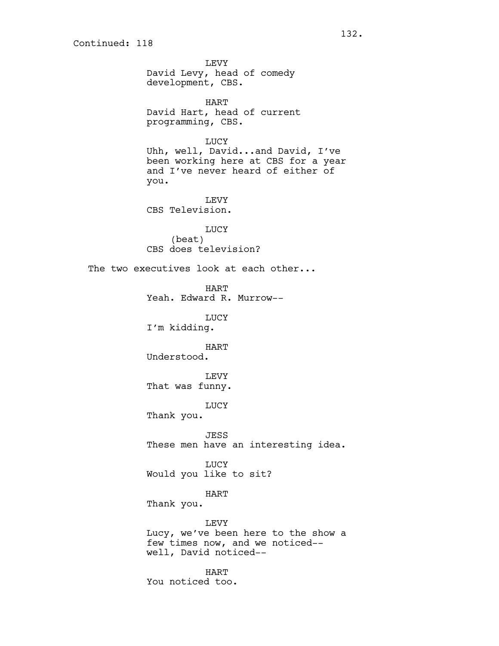LEVY David Levy, head of comedy development, CBS. HART David Hart, head of current programming, CBS. LUCY Uhh, well, David...and David, I've been working here at CBS for a year and I've never heard of either of you. LEVY CBS Television. LUCY (beat) CBS does television? The two executives look at each other... HART Yeah. Edward R. Murrow-- LUCY I'm kidding. HART Understood. LEVY That was funny. LUCY Thank you. JESS These men have an interesting idea. LUCY Would you like to sit? HART Thank you. LEVY Lucy, we've been here to the show a few times now, and we noticed- well, David noticed-- HART

You noticed too.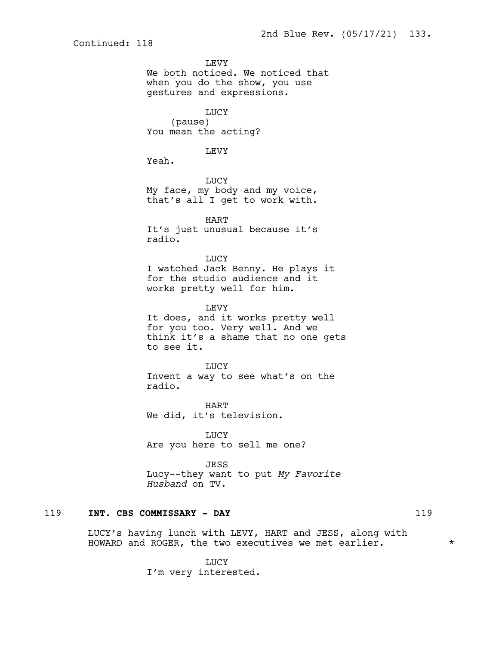**LEVY** We both noticed. We noticed that when you do the show, you use gestures and expressions. LUCY (pause) You mean the acting? LEVY Yeah. LUCY My face, my body and my voice, that's all I get to work with. HART It's just unusual because it's radio. LUCY I watched Jack Benny. He plays it for the studio audience and it works pretty well for him. LEVY It does, and it works pretty well for you too. Very well. And we think it's a shame that no one gets to see it. LUCY Invent a way to see what's on the radio. HART We did, it's television. LUCY Are you here to sell me one? JESS Lucy--they want to put *My Favorite Husband* on TV.

# 119 **INT. CBS COMMISSARY - DAY** 119

LUCY's having lunch with LEVY, HART and JESS, along with HOWARD and ROGER, the two executives we met earlier. \*

> LUCY I'm very interested.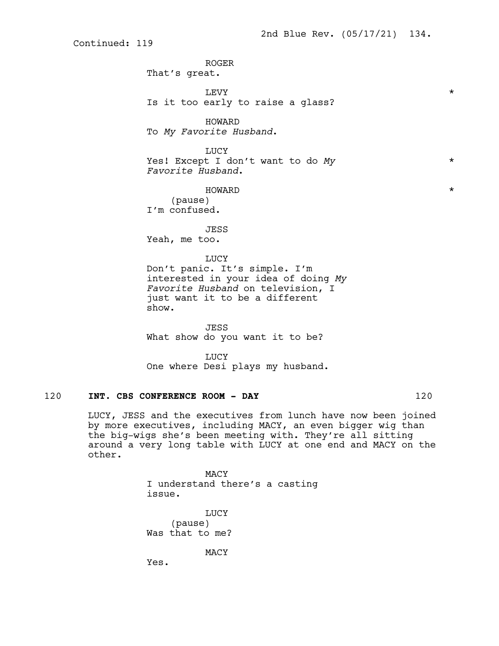ROGER That's great. LEVY  $\qquad$ Is it too early to raise a glass? HOWARD To *My Favorite Husband*. LUCY Yes! Except I don't want to do *My* \* *Favorite Husband*. HOWARD \* (pause) I'm confused. JESS Yeah, me too. LUCY Don't panic. It's simple. I'm interested in your idea of doing *My Favorite Husband* on television, I just want it to be a different show. JESS What show do you want it to be?

**LUCY** One where Desi plays my husband.

# 120 **INT. CBS CONFERENCE ROOM - DAY** 120

LUCY, JESS and the executives from lunch have now been joined by more executives, including MACY, an even bigger wig than the big-wigs she's been meeting with. They're all sitting around a very long table with LUCY at one end and MACY on the other.

> MACY I understand there's a casting issue.

LUCY (pause) Was that to me?

MACY

Yes.

Continued: 119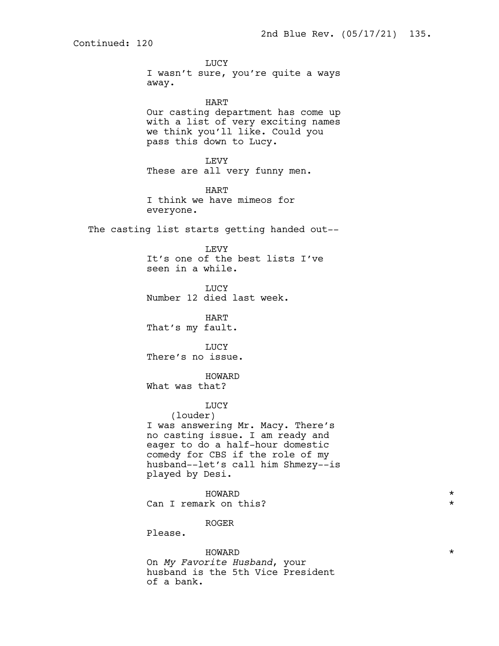LUCY I wasn't sure, you're quite a ways away. HART Our casting department has come up with a list of very exciting names we think you'll like. Could you pass this down to Lucy. LEVY These are all very funny men. HART I think we have mimeos for everyone. The casting list starts getting handed out-- LEVY It's one of the best lists I've seen in a while. LUCY Number 12 died last week. HART That's my fault. LUCY There's no issue. HOWARD What was that? **TJUCY** (louder) I was answering Mr. Macy. There's no casting issue. I am ready and eager to do a half-hour domestic comedy for CBS if the role of my husband--let's call him Shmezy--is played by Desi. HOWARD \* Can I remark on this? ROGER Please.  $\quad$  HOWARD  $\quad$   $\quad$ On *My Favorite Husband*, your husband is the 5th Vice President

of a bank.

Continued: 120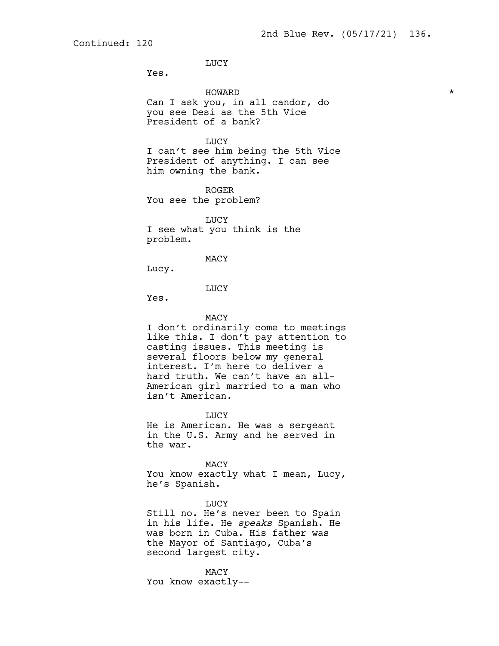LUCY

Yes.

HOWARD \* Can I ask you, in all candor, do you see Desi as the 5th Vice President of a bank? LUCY I can't see him being the 5th Vice President of anything. I can see him owning the bank. ROGER You see the problem? LUCY I see what you think is the problem. MACY Lucy.

### LUCY

Yes.

#### MACY

I don't ordinarily come to meetings like this. I don't pay attention to casting issues. This meeting is several floors below my general interest. I'm here to deliver a hard truth. We can't have an all-American girl married to a man who isn't American.

LUCY

He is American. He was a sergeant in the U.S. Army and he served in the war.

MACY You know exactly what I mean, Lucy, he's Spanish.

LUCY Still no. He's never been to Spain in his life. He *speaks* Spanish. He was born in Cuba. His father was the Mayor of Santiago, Cuba's second largest city.

MACY You know exactly--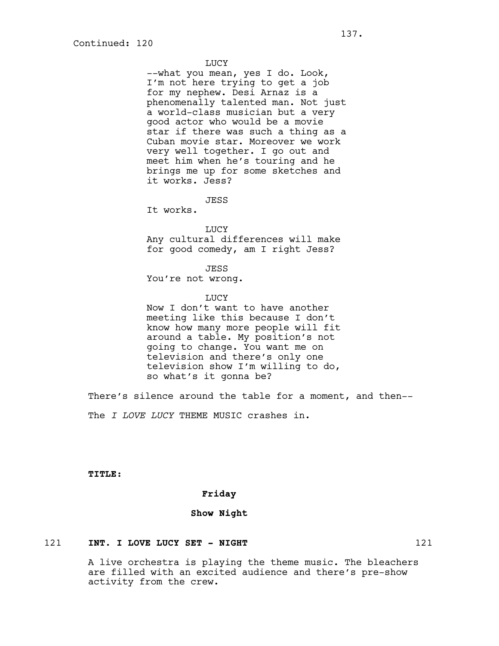## **TJUCY**

--what you mean, yes I do. Look, I'm not here trying to get a job for my nephew. Desi Arnaz is a phenomenally talented man. Not just a world-class musician but a very good actor who would be a movie star if there was such a thing as a Cuban movie star. Moreover we work very well together. I go out and meet him when he's touring and he brings me up for some sketches and it works. Jess?

JESS

It works.

LUCY Any cultural differences will make for good comedy, am I right Jess?

#### JESS

You're not wrong.

#### **TJUCY**

Now I don't want to have another meeting like this because I don't know how many more people will fit around a table. My position's not going to change. You want me on television and there's only one television show I'm willing to do, so what's it gonna be?

There's silence around the table for a moment, and then-- The *I LOVE LUCY* THEME MUSIC crashes in.

**TITLE:**

### **Friday**

## **Show Night**

## 121 **INT. I LOVE LUCY SET - NIGHT** 121

A live orchestra is playing the theme music. The bleachers are filled with an excited audience and there's pre-show activity from the crew.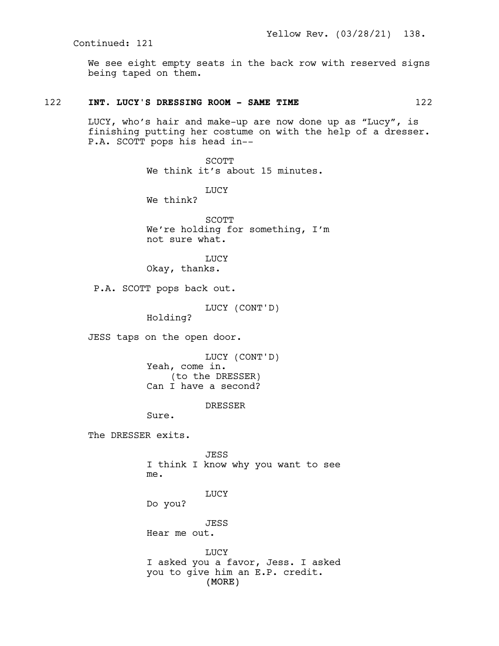We see eight empty seats in the back row with reserved signs being taped on them.

# 122 **INT. LUCY'S DRESSING ROOM - SAME TIME** 122

LUCY, who's hair and make-up are now done up as "Lucy", is finishing putting her costume on with the help of a dresser. P.A. SCOTT pops his head in--

> SCOTT We think it's about 15 minutes.

LUCY We think?

SCOTT We're holding for something, I'm not sure what.

**LUCY** Okay, thanks.

P.A. SCOTT pops back out.

LUCY (CONT'D)

Holding?

JESS taps on the open door.

LUCY (CONT'D) Yeah, come in. (to the DRESSER) Can I have a second?

DRESSER

Sure.

The DRESSER exits.

JESS I think I know why you want to see me.

LUCY

Do you?

JESS Hear me out.

(MORE) LUCY I asked you a favor, Jess. I asked you to give him an E.P. credit.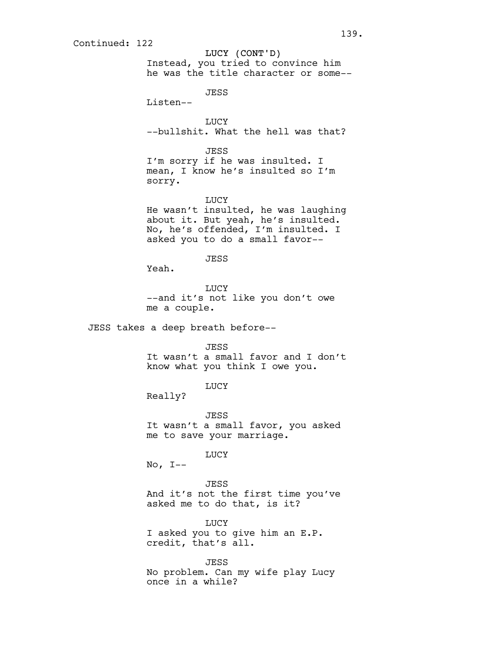LUCY (CONT'D) Instead, you tried to convince him he was the title character or some--

JESS

Listen--

LUCY --bullshit. What the hell was that?

**JESS** 

I'm sorry if he was insulted. I mean, I know he's insulted so I'm sorry.

LUCY He wasn't insulted, he was laughing about it. But yeah, he's insulted. No, he's offended, I'm insulted. I asked you to do a small favor--

**JESS** 

Yeah.

LUCY --and it's not like you don't owe me a couple.

JESS takes a deep breath before--

JESS

It wasn't a small favor and I don't know what you think I owe you.

LUCY

Really?

JESS It wasn't a small favor, you asked me to save your marriage.

LUCY

 $No, I--$ 

JESS And it's not the first time you've asked me to do that, is it?

LUCY I asked you to give him an E.P. credit, that's all.

JESS No problem. Can my wife play Lucy once in a while?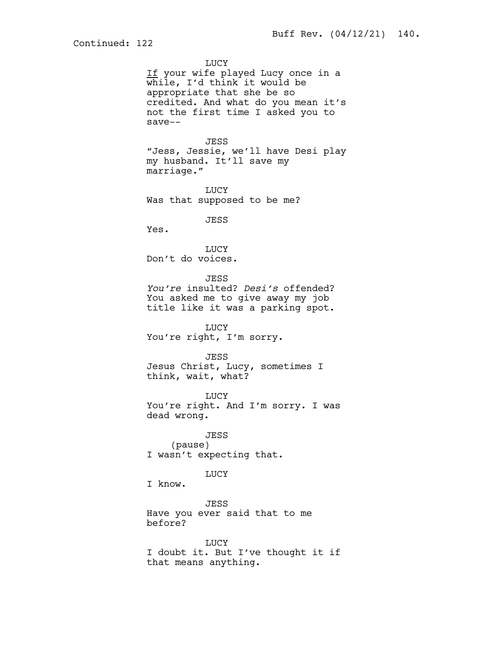**LUCY** If your wife played Lucy once in a while, I'd think it would be appropriate that she be so credited. And what do you mean it's not the first time I asked you to save-- JESS "Jess, Jessie, we'll have Desi play my husband. It'll save my marriage." **LUCY** Was that supposed to be me? JESS Yes. LUCY Don't do voices. JESS *You're* insulted? *Desi's* offended? You asked me to give away my job title like it was a parking spot. **LUCY** You're right, I'm sorry. JESS Jesus Christ, Lucy, sometimes I think, wait, what? LUCY You're right. And I'm sorry. I was dead wrong. JESS (pause) I wasn't expecting that. LUCY I know. JESS Have you ever said that to me before? LUCY I doubt it. But I've thought it if that means anything.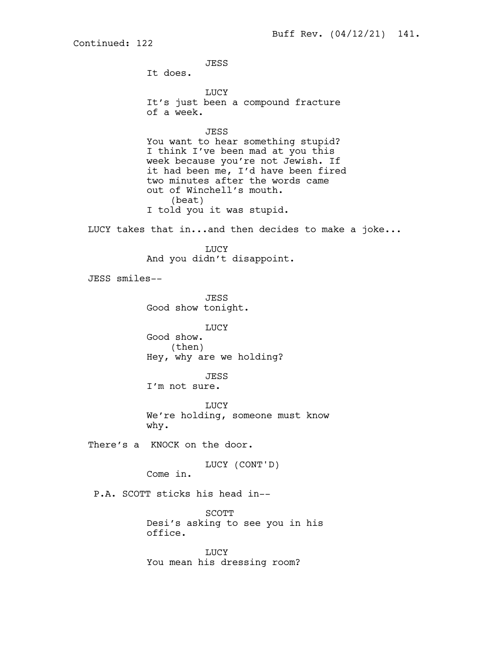JESS It does. LUCY It's just been a compound fracture of a week. JESS You want to hear something stupid? I think I've been mad at you this week because you're not Jewish. If it had been me, I'd have been fired two minutes after the words came out of Winchell's mouth. (beat) I told you it was stupid. LUCY takes that in...and then decides to make a joke... LUCY And you didn't disappoint. JESS smiles-- JESS Good show tonight. LUCY Good show. (then) Hey, why are we holding? JESS I'm not sure. **LUCY** We're holding, someone must know why. There's a KNOCK on the door. LUCY (CONT'D) Come in. P.A. SCOTT sticks his head in-- SCOTT Desi's asking to see you in his office. LUCY You mean his dressing room?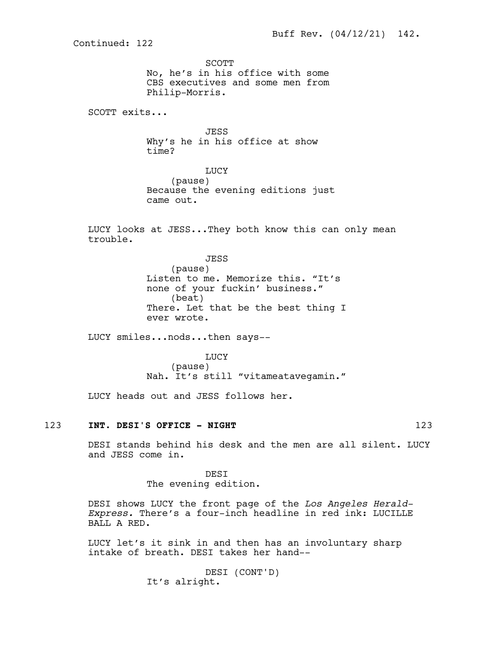SCOTT No, he's in his office with some CBS executives and some men from Philip-Morris.

SCOTT exits...

JESS Why's he in his office at show time?

LUCY (pause) Because the evening editions just came out.

LUCY looks at JESS...They both know this can only mean trouble.

> JESS (pause) Listen to me. Memorize this. "It's none of your fuckin' business." (beat) There. Let that be the best thing I ever wrote.

LUCY smiles...nods...then says--

LUCY (pause) Nah. It's still "vitameatavegamin."

LUCY heads out and JESS follows her.

### 123 INT. DESI'S OFFICE - NIGHT **123** 123

DESI stands behind his desk and the men are all silent. LUCY and JESS come in.

> **DEST** The evening edition.

DESI shows LUCY the front page of the *Los Angeles Herald-Express.* There's a four-inch headline in red ink: LUCILLE BALL A RED.

LUCY let's it sink in and then has an involuntary sharp intake of breath. DESI takes her hand--

> DESI (CONT'D) It's alright.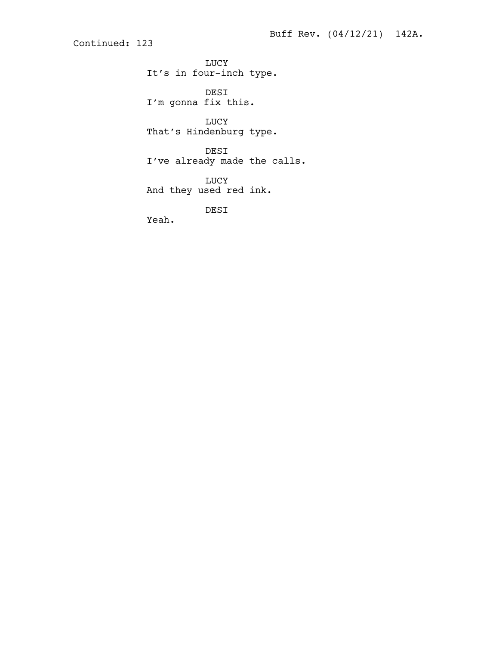LUCY It's in four-inch type.

DESI I'm gonna fix this.

LUCY That's Hindenburg type.

DESI I've already made the calls.

LUCY And they used red ink.

DESI

Yeah.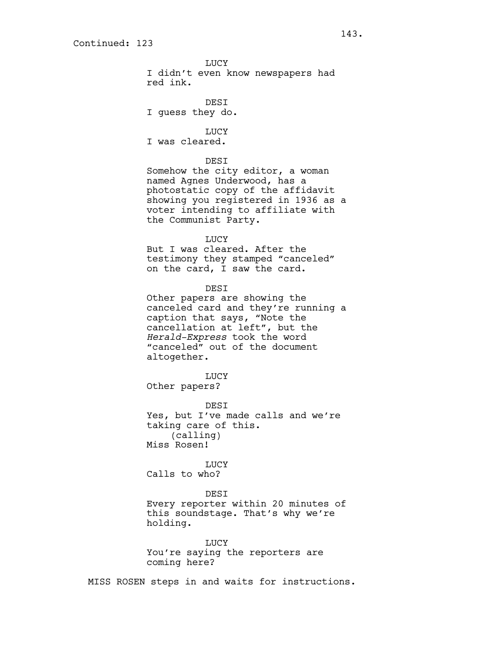LUCY I didn't even know newspapers had red ink.

DESI I guess they do.

LUCY I was cleared.

### DESI

Somehow the city editor, a woman named Agnes Underwood, has a photostatic copy of the affidavit showing you registered in 1936 as a voter intending to affiliate with the Communist Party.

LUCY

But I was cleared. After the testimony they stamped "canceled" on the card, I saw the card.

DESI

Other papers are showing the canceled card and they're running a caption that says, "Note the cancellation at left", but the *Herald-Express* took the word "canceled" out of the document altogether.

LUCY Other papers?

DESI Yes, but I've made calls and we're taking care of this. (calling) Miss Rosen!

LUCY Calls to who?

DESI Every reporter within 20 minutes of this soundstage. That's why we're holding.

LUCY You're saying the reporters are coming here?

MISS ROSEN steps in and waits for instructions.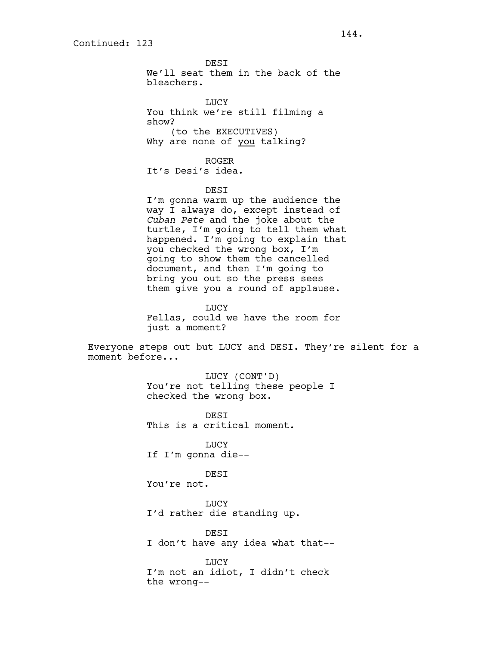**DEST** We'll seat them in the back of the bleachers.

LUCY You think we're still filming a show? (to the EXECUTIVES) Why are none of you talking?

ROGER It's Desi's idea.

DESI

I'm gonna warm up the audience the way I always do, except instead of *Cuban Pete* and the joke about the turtle, I'm going to tell them what happened. I'm going to explain that you checked the wrong box, I'm going to show them the cancelled document, and then I'm going to bring you out so the press sees them give you a round of applause.

LUCY Fellas, could we have the room for just a moment?

Everyone steps out but LUCY and DESI. They're silent for a moment before...

> LUCY (CONT'D) You're not telling these people I checked the wrong box.

DESI This is a critical moment.

LUCY If I'm gonna die--

# **DEST**

You're not.

**LUCY** I'd rather die standing up.

DESI I don't have any idea what that--

**LUCY** I'm not an idiot, I didn't check the wrong--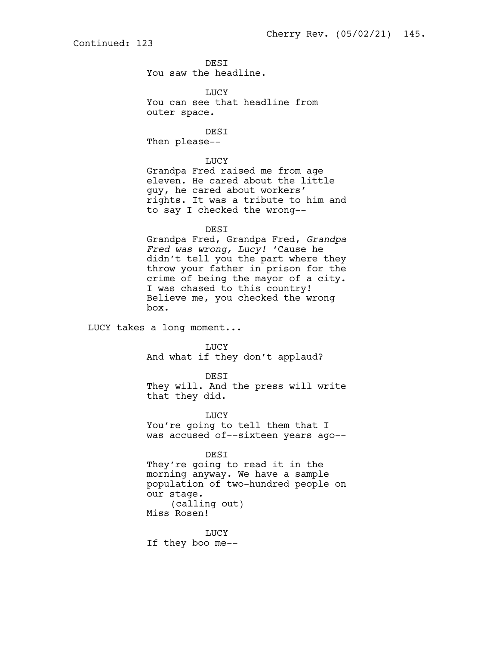**DEST** You saw the headline.

LUCY You can see that headline from outer space.

DESI Then please--

LUCY Grandpa Fred raised me from age eleven. He cared about the little guy, he cared about workers'

rights. It was a tribute to him and to say I checked the wrong--

#### DESI

Grandpa Fred, Grandpa Fred, *Grandpa Fred was wrong, Lucy!* 'Cause he didn't tell you the part where they throw your father in prison for the crime of being the mayor of a city. I was chased to this country! Believe me, you checked the wrong box.

LUCY takes a long moment...

LUCY

And what if they don't applaud?

DESI

They will. And the press will write that they did.

LUCY You're going to tell them that I was accused of--sixteen years ago--

DESI

They're going to read it in the morning anyway. We have a sample population of two-hundred people on our stage. (calling out)

Miss Rosen!

LUCY If they boo me--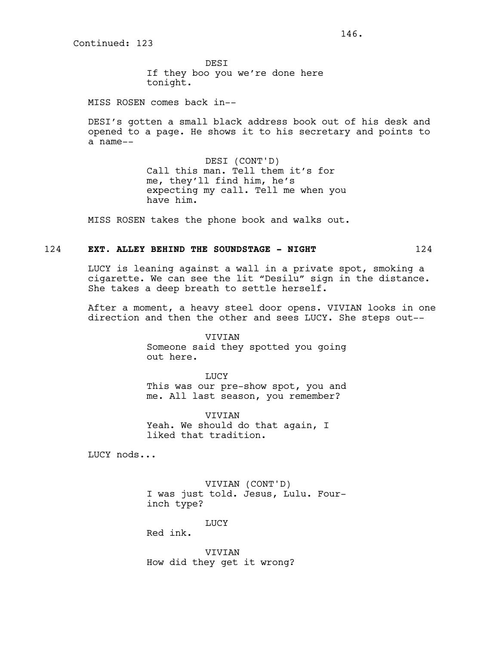**DEST** If they boo you we're done here tonight.

MISS ROSEN comes back in--

DESI's gotten a small black address book out of his desk and opened to a page. He shows it to his secretary and points to a name--

> DESI (CONT'D) Call this man. Tell them it's for me, they'll find him, he's expecting my call. Tell me when you have him.

MISS ROSEN takes the phone book and walks out.

# 124 **EXT. ALLEY BEHIND THE SOUNDSTAGE - NIGHT** 124

LUCY is leaning against a wall in a private spot, smoking a cigarette. We can see the lit "Desilu" sign in the distance. She takes a deep breath to settle herself.

After a moment, a heavy steel door opens. VIVIAN looks in one direction and then the other and sees LUCY. She steps out--

> VIVIAN Someone said they spotted you going out here.

> LUCY This was our pre-show spot, you and me. All last season, you remember?

VIVIAN Yeah. We should do that again, I liked that tradition.

LUCY nods...

VIVIAN (CONT'D) I was just told. Jesus, Lulu. Fourinch type?

LUCY

Red ink.

VIVIAN How did they get it wrong?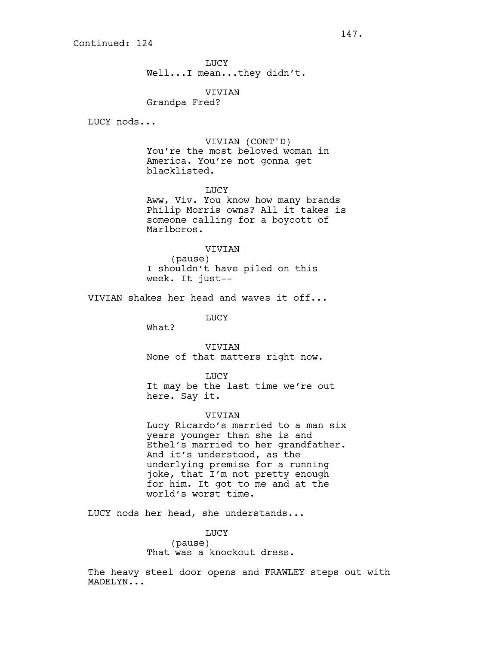LUCY Well...I mean...they didn't.

VIVIAN Grandpa Fred?

LUCY nods...

VIVIAN (CONT'D) You're the most beloved woman in America. You're not gonna get blacklisted.

LUCY

Aww, Viv. You know how many brands Philip Morris owns? All it takes is someone calling for a boycott of Marlboros.

VIVIAN

(pause) I shouldn't have piled on this week. It just--

VIVIAN shakes her head and waves it off...

LUCY

What?

**VIVIAN** None of that matters right now.

LUCY

It may be the last time we're out here. Say it.

#### VIVIAN

Lucy Ricardo's married to a man six years younger than she is and Ethel's married to her grandfather. And it's understood, as the underlying premise for a running joke, that I'm not pretty enough for him. It got to me and at the world's worst time.

LUCY nods her head, she understands...

LUCY (pause) That was a knockout dress.

The heavy steel door opens and FRAWLEY steps out with MADELYN...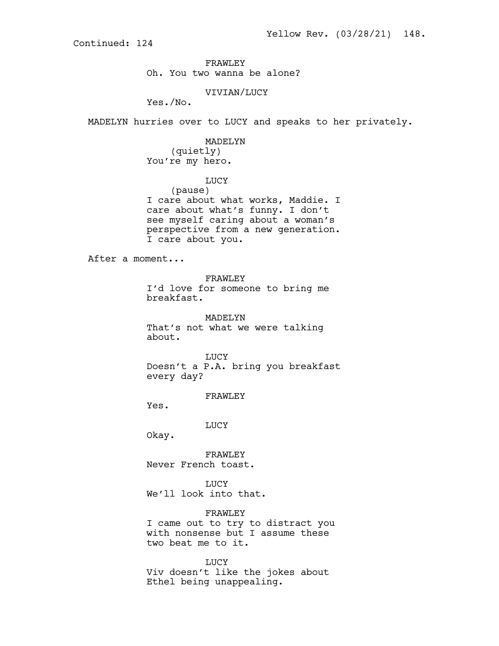FRAWLEY Oh. You two wanna be alone?

# VIVIAN/LUCY

Yes./No.

MADELYN hurries over to LUCY and speaks to her privately.

# MADELYN (quietly) You're my hero.

LUCY

(pause) I care about what works, Maddie. I care about what's funny. I don't see myself caring about a woman's perspective from a new generation. I care about you.

After a moment...

FRAWLEY

I'd love for someone to bring me breakfast.

MADELYN That's not what we were talking about.

LUCY Doesn't a P.A. bring you breakfast every day?

FRAWLEY

Yes.

LUCY

Okay.

FRAWLEY Never French toast.

LUCY We'll look into that.

FRAWLEY I came out to try to distract you with nonsense but I assume these two beat me to it.

LUCY Viv doesn't like the jokes about Ethel being unappealing.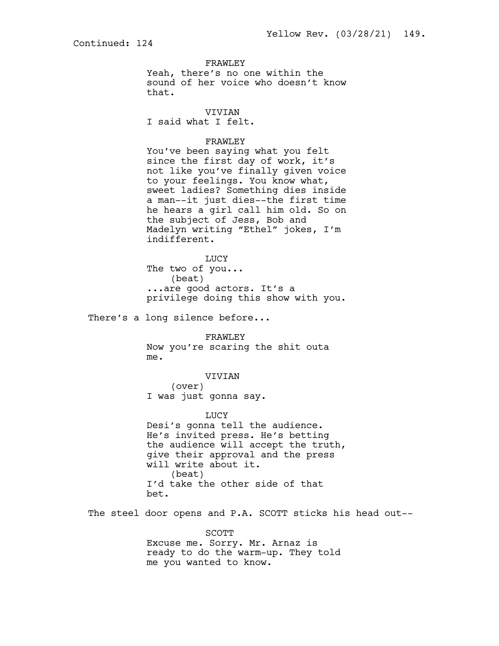FRAWLEY

Yeah, there's no one within the sound of her voice who doesn't know that.

VIVIAN

I said what I felt.

# FRAWLEY

You've been saying what you felt since the first day of work, it's not like you've finally given voice to your feelings. You know what, sweet ladies? Something dies inside a man--it just dies--the first time he hears a girl call him old. So on the subject of Jess, Bob and Madelyn writing "Ethel" jokes, I'm indifferent.

LUCY The two of you... (beat) ...are good actors. It's a privilege doing this show with you.

There's a long silence before...

FRAWLEY Now you're scaring the shit outa me.

VIVIAN (over) I was just gonna say.

LUCY

Desi's gonna tell the audience. He's invited press. He's betting the audience will accept the truth, give their approval and the press will write about it. (beat) I'd take the other side of that bet.

The steel door opens and P.A. SCOTT sticks his head out--

SCOTT Excuse me. Sorry. Mr. Arnaz is ready to do the warm-up. They told me you wanted to know.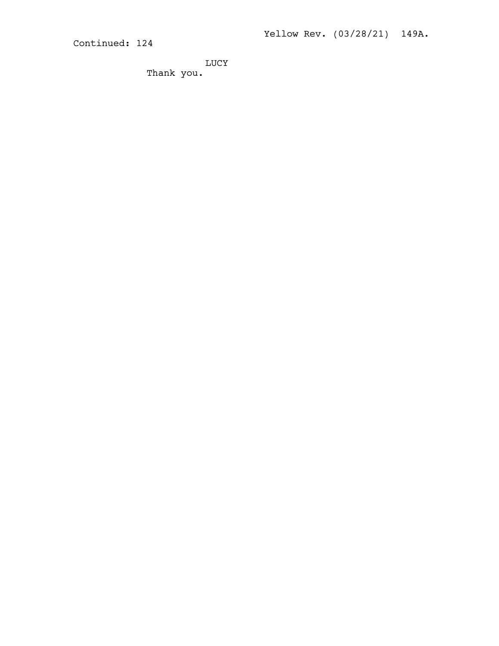LUCY Thank you.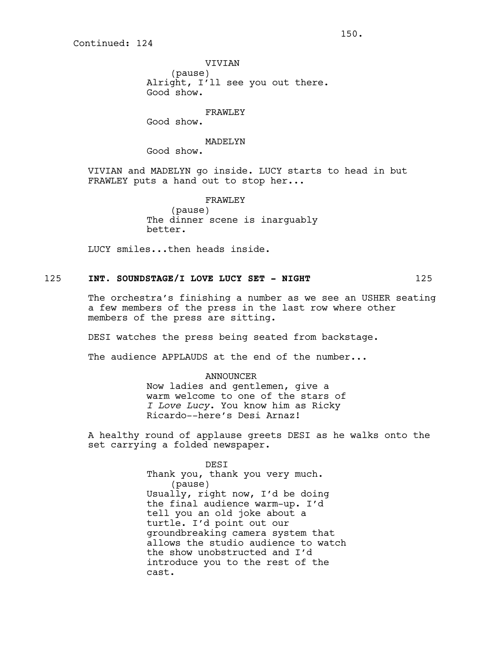VIVIAN

(pause) Alright, I'll see you out there. Good show.

FRAWLEY

Good show.

#### MADELYN

Good show.

VIVIAN and MADELYN go inside. LUCY starts to head in but FRAWLEY puts a hand out to stop her...

> FRAWLEY (pause) The dinner scene is inarguably better.

LUCY smiles...then heads inside.

## 125 **INT. SOUNDSTAGE/I LOVE LUCY SET - NIGHT** 125

The orchestra's finishing a number as we see an USHER seating a few members of the press in the last row where other members of the press are sitting.

DESI watches the press being seated from backstage.

The audience APPLAUDS at the end of the number...

## ANNOUNCER Now ladies and gentlemen, give a warm welcome to one of the stars of *I Love Lucy*. You know him as Ricky Ricardo--here's Desi Arnaz!

A healthy round of applause greets DESI as he walks onto the set carrying a folded newspaper.

> DESI Thank you, thank you very much. (pause) Usually, right now, I'd be doing the final audience warm-up. I'd tell you an old joke about a turtle. I'd point out our groundbreaking camera system that allows the studio audience to watch the show unobstructed and I'd introduce you to the rest of the cast.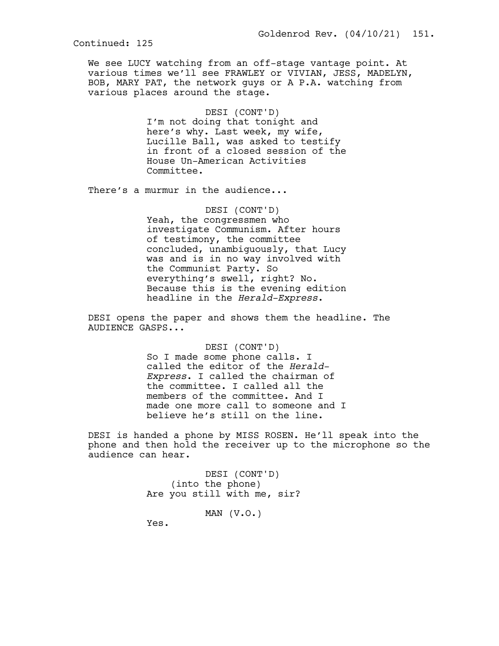We see LUCY watching from an off-stage vantage point. At various times we'll see FRAWLEY or VIVIAN, JESS, MADELYN, BOB, MARY PAT, the network guys or A P.A. watching from various places around the stage.

> DESI (CONT'D) I'm not doing that tonight and here's why. Last week, my wife, Lucille Ball, was asked to testify in front of a closed session of the House Un-American Activities Committee.

There's a murmur in the audience...

DESI (CONT'D) Yeah, the congressmen who investigate Communism. After hours of testimony, the committee concluded, unambiguously, that Lucy was and is in no way involved with the Communist Party. So everything's swell, right? No. Because this is the evening edition headline in the *Herald-Express*.

DESI opens the paper and shows them the headline. The AUDIENCE GASPS...

> DESI (CONT'D) So I made some phone calls. I called the editor of the *Herald-Express*. I called the chairman of the committee. I called all the members of the committee. And I made one more call to someone and I believe he's still on the line.

DESI is handed a phone by MISS ROSEN. He'll speak into the phone and then hold the receiver up to the microphone so the audience can hear.

> DESI (CONT'D) (into the phone) Are you still with me, sir?

> > MAN (V.O.)

Yes.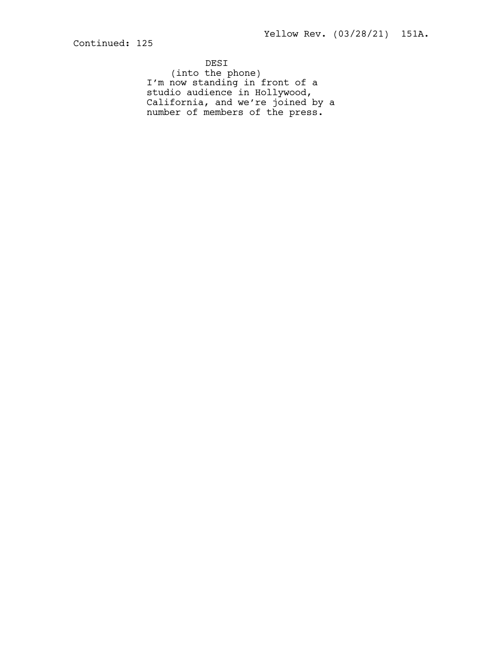DESI (into the phone) I'm now standing in front of a studio audience in Hollywood, California, and we're joined by a number of members of the press.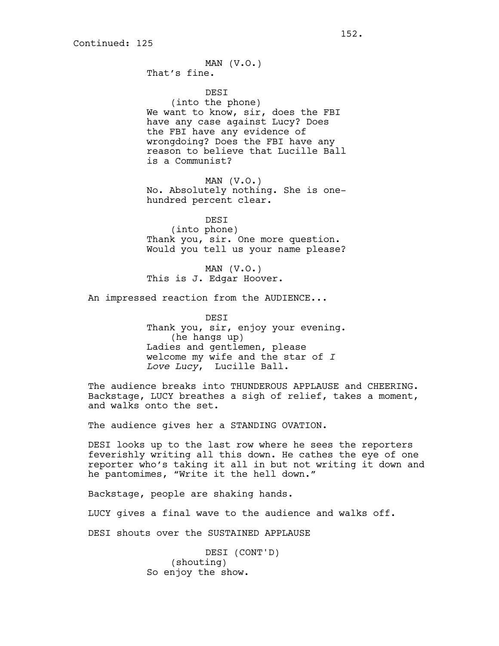MAN (V.O.)

That's fine.

**DEST** (into the phone) We want to know, sir, does the FBI have any case against Lucy? Does the FBI have any evidence of wrongdoing? Does the FBI have any reason to believe that Lucille Ball is a Communist?

MAN  $(V.O.)$ No. Absolutely nothing. She is onehundred percent clear.

DESI (into phone) Thank you, sir. One more question. Would you tell us your name please?

MAN  $(V.O.)$ This is J. Edgar Hoover.

An impressed reaction from the AUDIENCE...

DESI Thank you, sir, enjoy your evening. (he hangs up) Ladies and gentlemen, please welcome my wife and the star of *I Love Lucy*, Lucille Ball.

The audience breaks into THUNDEROUS APPLAUSE and CHEERING. Backstage, LUCY breathes a sigh of relief, takes a moment, and walks onto the set.

The audience gives her a STANDING OVATION.

DESI looks up to the last row where he sees the reporters feverishly writing all this down. He cathes the eye of one reporter who's taking it all in but not writing it down and he pantomimes, "Write it the hell down."

Backstage, people are shaking hands.

LUCY gives a final wave to the audience and walks off.

DESI shouts over the SUSTAINED APPLAUSE

DESI (CONT'D) (shouting) So enjoy the show.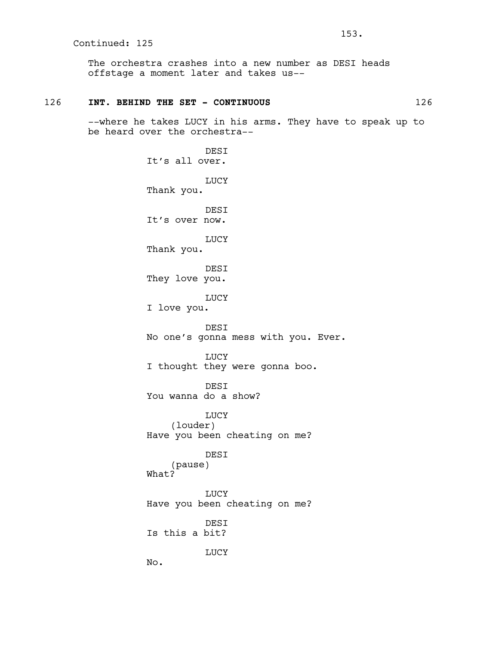The orchestra crashes into a new number as DESI heads offstage a moment later and takes us--

### 126 **INT. BEHIND THE SET - CONTINUOUS** 126

--where he takes LUCY in his arms. They have to speak up to be heard over the orchestra--

> **DEST** It's all over. LUCY Thank you. DESI It's over now. LUCY Thank you. DESI They love you. LUCY I love you. DESI No one's gonna mess with you. Ever. LUCY I thought they were gonna boo. DESI You wanna do a show? LUCY (louder) Have you been cheating on me? DESI (pause) What? LUCY Have you been cheating on me? DESI Is this a bit? LUCY No.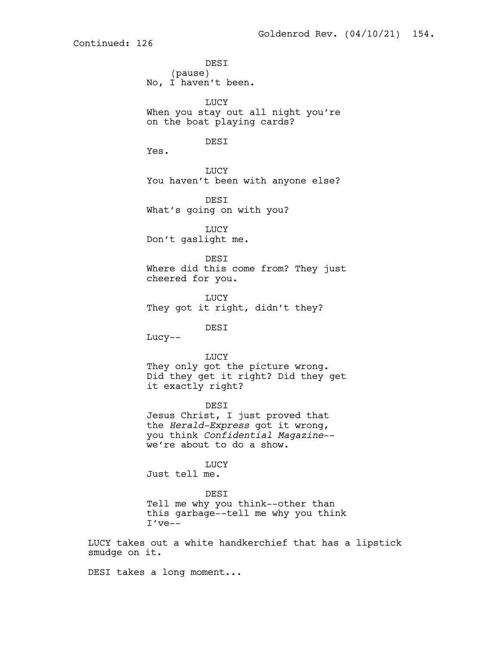DESI (pause) No, I haven't been. LUCY When you stay out all night you're on the boat playing cards? DESI Yes. LUCY You haven't been with anyone else? DESI What's going on with you? LUCY Don't gaslight me. **DEST** Where did this come from? They just cheered for you. **LUCY** They got it right, didn't they? DESI Lucy-- LUCY They only got the picture wrong. Did they get it right? Did they get it exactly right? DESI Jesus Christ, I just proved that the *Herald-Express* got it wrong, you think *Confidential Magazine*- we're about to do a show. LUCY Just tell me. DESI Tell me why you think--other than this garbage--tell me why you think I've--

LUCY takes out a white handkerchief that has a lipstick smudge on it.

DESI takes a long moment...

Continued: 126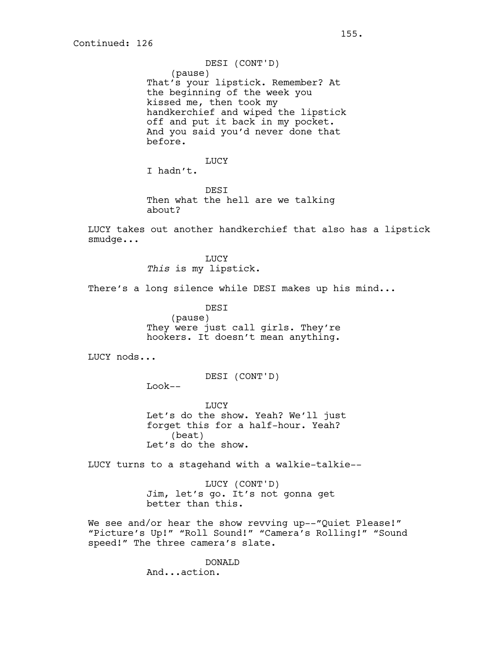DESI (CONT'D) (pause) That's your lipstick. Remember? At the beginning of the week you kissed me, then took my handkerchief and wiped the lipstick off and put it back in my pocket. And you said you'd never done that before.

LUCY I hadn't.

**DEST** Then what the hell are we talking about?

LUCY takes out another handkerchief that also has a lipstick smudge...

> LUCY *This* is my lipstick.

There's a long silence while DESI makes up his mind...

DESI (pause) They were just call girls. They're hookers. It doesn't mean anything.

LUCY nods...

DESI (CONT'D)

Look--

**LUCY** Let's do the show. Yeah? We'll just forget this for a half-hour. Yeah? (beat) Let's do the show.

LUCY turns to a stagehand with a walkie-talkie--

LUCY (CONT'D) Jim, let's go. It's not gonna get better than this.

We see and/or hear the show revving up--"Quiet Please!" "Picture's Up!" "Roll Sound!" "Camera's Rolling!" "Sound speed!" The three camera's slate.

> DONALD And...action.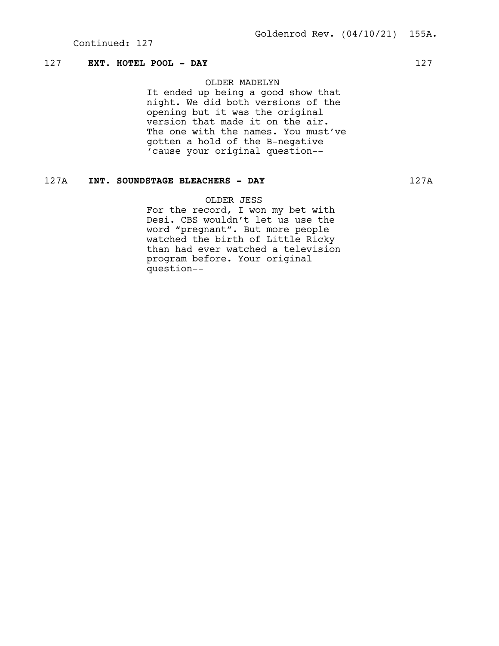## 127 **EXT. HOTEL POOL - DAY** 127

## OLDER MADELYN

It ended up being a good show that night. We did both versions of the opening but it was the original version that made it on the air. The one with the names. You must've gotten a hold of the B-negative 'cause your original question--

# 127A **INT. SOUNDSTAGE BLEACHERS - DAY** 127A

OLDER JESS

For the record, I won my bet with Desi. CBS wouldn't let us use the word "pregnant". But more people watched the birth of Little Ricky than had ever watched a television program before. Your original question--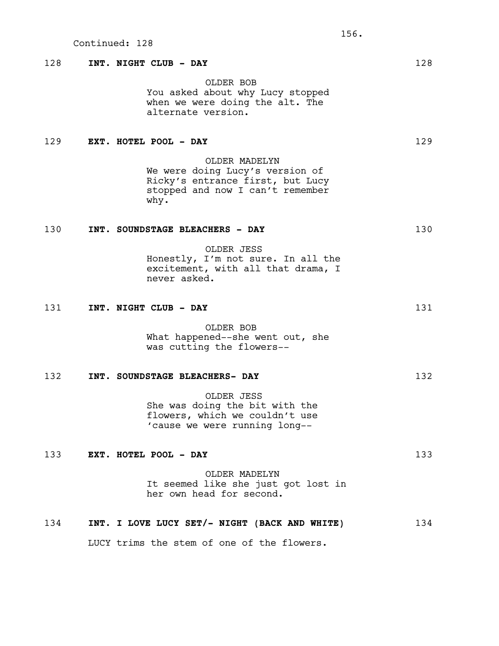## 128 **INT. NIGHT CLUB - DAY** 128

OLDER BOB You asked about why Lucy stopped when we were doing the alt. The alternate version.

## 129 **EXT. HOTEL POOL - DAY** 129

OLDER MADELYN We were doing Lucy's version of Ricky's entrance first, but Lucy stopped and now I can't remember why.

# 130 **INT. SOUNDSTAGE BLEACHERS - DAY** 130

OLDER JESS Honestly, I'm not sure. In all the excitement, with all that drama, I never asked.

131 **INT. NIGHT CLUB - DAY** 131

OLDER BOB What happened--she went out, she was cutting the flowers--

## 132 **INT. SOUNDSTAGE BLEACHERS- DAY** 132

OLDER JESS She was doing the bit with the flowers, which we couldn't use 'cause we were running long--

### 133 **EXT. HOTEL POOL - DAY** 133

OLDER MADELYN It seemed like she just got lost in her own head for second.

#### 134 **INT. I LOVE LUCY SET/- NIGHT (BACK AND WHITE)** 134

LUCY trims the stem of one of the flowers.

156.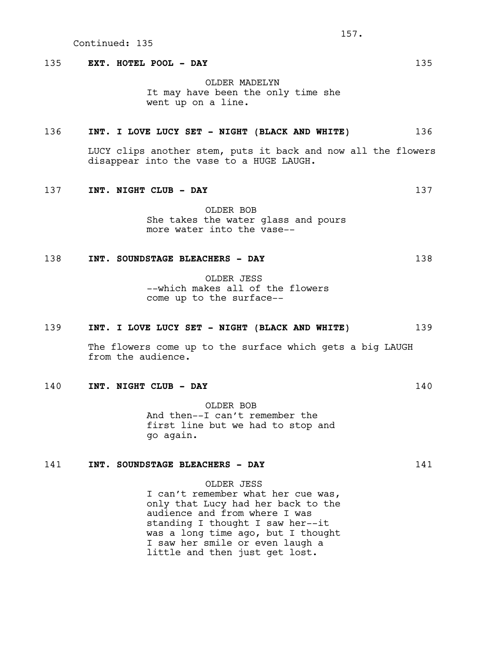### 135 **EXT. HOTEL POOL - DAY** 135

OLDER MADELYN It may have been the only time she went up on a line.

#### 136 **INT. I LOVE LUCY SET - NIGHT (BLACK AND WHITE)** 136

LUCY clips another stem, puts it back and now all the flowers disappear into the vase to a HUGE LAUGH.

#### 137 **INT. NIGHT CLUB - DAY** 137

OLDER BOB She takes the water glass and pours more water into the vase--

#### 138 **INT. SOUNDSTAGE BLEACHERS - DAY** 138

OLDER JESS --which makes all of the flowers come up to the surface--

#### 139 **INT. I LOVE LUCY SET - NIGHT (BLACK AND WHITE)** 139

The flowers come up to the surface which gets a big LAUGH from the audience.

### 140 **INT. NIGHT CLUB - DAY** 140

OLDER BOB And then--I can't remember the first line but we had to stop and go again.

### 141 **INT. SOUNDSTAGE BLEACHERS - DAY** 141

# OLDER JESS

I can't remember what her cue was, only that Lucy had her back to the audience and from where I was standing I thought I saw her--it was a long time ago, but I thought I saw her smile or even laugh a little and then just get lost.

157.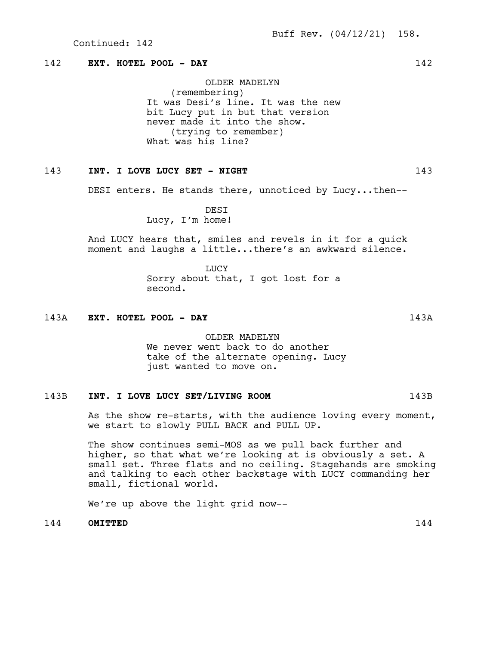## 142 **EXT. HOTEL POOL - DAY** 142

OLDER MADELYN (remembering) It was Desi's line. It was the new bit Lucy put in but that version never made it into the show. (trying to remember) What was his line?

### 143 **INT. I LOVE LUCY SET - NIGHT** 143

DESI enters. He stands there, unnoticed by Lucy...then--

DESI Lucy, I'm home!

And LUCY hears that, smiles and revels in it for a quick moment and laughs a little...there's an awkward silence.

> LUCY Sorry about that, I got lost for a second.

#### 143A **EXT. HOTEL POOL - DAY** 143A

OLDER MADELYN We never went back to do another take of the alternate opening. Lucy just wanted to move on.

# 143B **INT. I LOVE LUCY SET/LIVING ROOM** 143B

As the show re-starts, with the audience loving every moment, we start to slowly PULL BACK and PULL UP.

The show continues semi-MOS as we pull back further and higher, so that what we're looking at is obviously a set. A small set. Three flats and no ceiling. Stagehands are smoking and talking to each other backstage with LUCY commanding her small, fictional world.

We're up above the light grid now--

144 **OMITTED** 144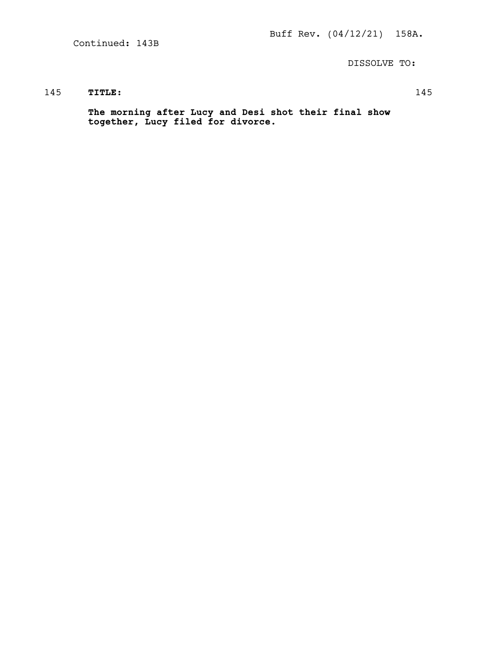Continued: 143B

DISSOLVE TO:

## 145 **TITLE:** 145

**The morning after Lucy and Desi shot their final show together, Lucy filed for divorce.**